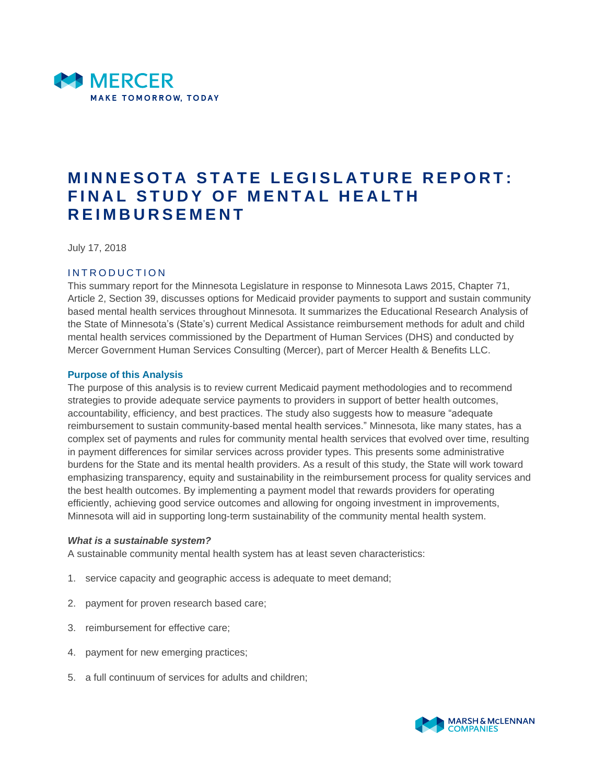

# **MINNESOTA STATE LEGISLATURE REPORT: FINAL STUDY OF MENTAL HEALTH R E I M B U R S E M E N T**

July 17, 2018

#### INTRODUCTION

This summary report for the Minnesota Legislature in response to Minnesota Laws 2015, Chapter 71, Article 2, Section 39, discusses options for Medicaid provider payments to support and sustain community based mental health services throughout Minnesota. It summarizes the Educational Research Analysis of the State of Minnesota's (State's) current Medical Assistance reimbursement methods for adult and child mental health services commissioned by the Department of Human Services (DHS) and conducted by Mercer Government Human Services Consulting (Mercer), part of Mercer Health & Benefits LLC.

#### **Purpose of this Analysis**

The purpose of this analysis is to review current Medicaid payment methodologies and to recommend strategies to provide adequate service payments to providers in support of better health outcomes, accountability, efficiency, and best practices. The study also suggests how to measure "adequate reimbursement to sustain community-based mental health services." Minnesota, like many states, has a complex set of payments and rules for community mental health services that evolved over time, resulting in payment differences for similar services across provider types. This presents some administrative burdens for the State and its mental health providers. As a result of this study, the State will work toward emphasizing transparency, equity and sustainability in the reimbursement process for quality services and the best health outcomes. By implementing a payment model that rewards providers for operating efficiently, achieving good service outcomes and allowing for ongoing investment in improvements, Minnesota will aid in supporting long-term sustainability of the community mental health system.

#### *What is a sustainable system?*

A sustainable community mental health system has at least seven characteristics:

- 1. service capacity and geographic access is adequate to meet demand;
- 2. payment for proven research based care;
- 3. reimbursement for effective care;
- 4. payment for new emerging practices;
- 5. a full continuum of services for adults and children;

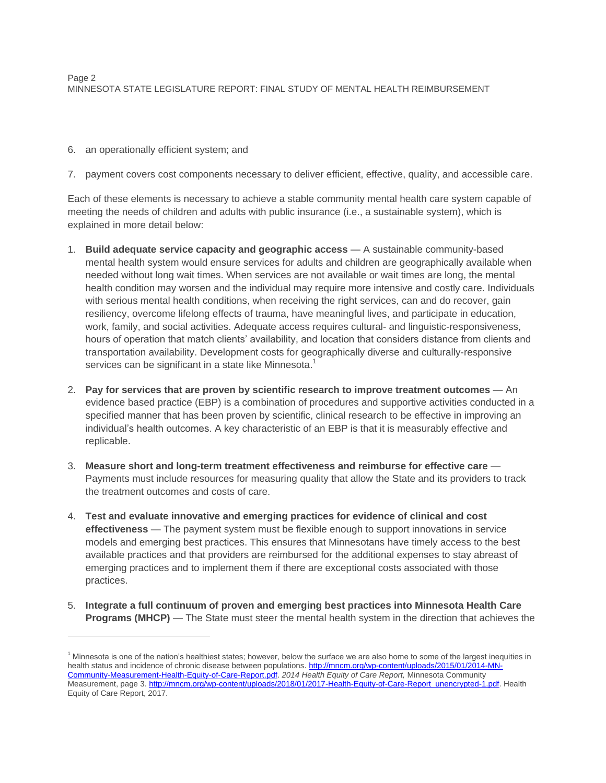# 6. an operationally efficient system; and

 $\overline{a}$ 

7. payment covers cost components necessary to deliver efficient, effective, quality, and accessible care.

Each of these elements is necessary to achieve a stable community mental health care system capable of meeting the needs of children and adults with public insurance (i.e., a sustainable system), which is explained in more detail below:

- 1. **Build adequate service capacity and geographic access** A sustainable community-based mental health system would ensure services for adults and children are geographically available when needed without long wait times. When services are not available or wait times are long, the mental health condition may worsen and the individual may require more intensive and costly care. Individuals with serious mental health conditions, when receiving the right services, can and do recover, gain resiliency, overcome lifelong effects of trauma, have meaningful lives, and participate in education, work, family, and social activities. Adequate access requires cultural- and linguistic-responsiveness, hours of operation that match clients' availability, and location that considers distance from clients and transportation availability. Development costs for geographically diverse and culturally-responsive services can be significant in a state like Minnesota.<sup>1</sup>
- 2. **Pay for services that are proven by scientific research to improve treatment outcomes** An evidence based practice (EBP) is a combination of procedures and supportive activities conducted in a specified manner that has been proven by scientific, clinical research to be effective in improving an individual's health outcomes. A key characteristic of an EBP is that it is measurably effective and replicable.
- 3. **Measure short and long-term treatment effectiveness and reimburse for effective care** Payments must include resources for measuring quality that allow the State and its providers to track the treatment outcomes and costs of care.
- 4. **Test and evaluate innovative and emerging practices for evidence of clinical and cost effectiveness** — The payment system must be flexible enough to support innovations in service models and emerging best practices. This ensures that Minnesotans have timely access to the best available practices and that providers are reimbursed for the additional expenses to stay abreast of emerging practices and to implement them if there are exceptional costs associated with those practices.
- 5. **Integrate a full continuum of proven and emerging best practices into Minnesota Health Care Programs (MHCP)** — The State must steer the mental health system in the direction that achieves the

 $<sup>1</sup>$  Minnesota is one of the nation's healthiest states; however, below the surface we are also home to some of the largest inequities in</sup> health status and incidence of chronic disease between populations. [http://mncm.org/wp-content/uploads/2015/01/2014-MN-](http://mncm.org/wp-content/uploads/2015/01/2014-MN-Community-Measurement-Health-Equity-of-Care-Report.pdf)[Community-Measurement-Health-Equity-of-Care-Report.pdf.](http://mncm.org/wp-content/uploads/2015/01/2014-MN-Community-Measurement-Health-Equity-of-Care-Report.pdf) *2014 Health Equity of Care Report,* Minnesota Community Measurement, page 3[. http://mncm.org/wp-content/uploads/2018/01/2017-Health-Equity-of-Care-Report\\_unencrypted-1.pdf.](http://mncm.org/wp-content/uploads/2018/01/2017-Health-Equity-of-Care-Report_unencrypted-1.pdf) Health Equity of Care Report, 2017.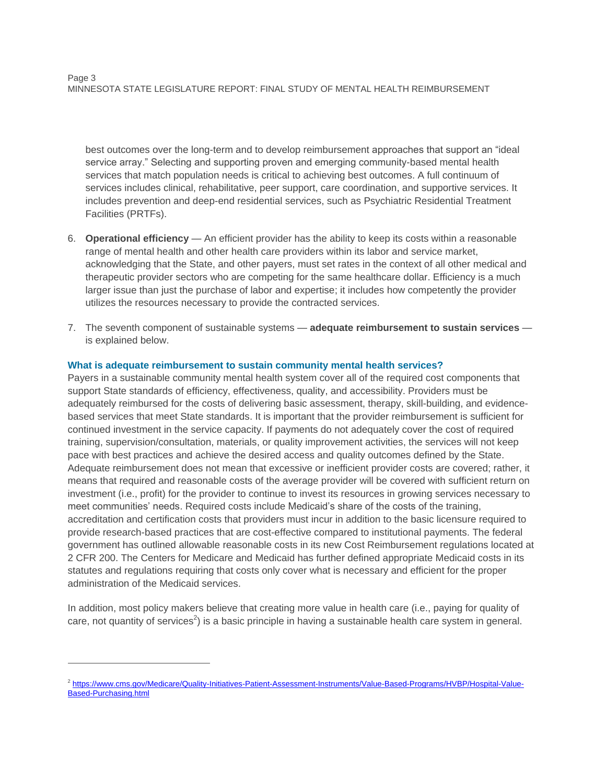best outcomes over the long-term and to develop reimbursement approaches that support an "ideal service array." Selecting and supporting proven and emerging community-based mental health services that match population needs is critical to achieving best outcomes. A full continuum of services includes clinical, rehabilitative, peer support, care coordination, and supportive services. It includes prevention and deep-end residential services, such as Psychiatric Residential Treatment Facilities (PRTFs).

- 6. **Operational efficiency**  An efficient provider has the ability to keep its costs within a reasonable range of mental health and other health care providers within its labor and service market, acknowledging that the State, and other payers, must set rates in the context of all other medical and therapeutic provider sectors who are competing for the same healthcare dollar. Efficiency is a much larger issue than just the purchase of labor and expertise; it includes how competently the provider utilizes the resources necessary to provide the contracted services.
- 7. The seventh component of sustainable systems **adequate reimbursement to sustain services** is explained below.

# **What is adequate reimbursement to sustain community mental health services?**

Payers in a sustainable community mental health system cover all of the required cost components that support State standards of efficiency, effectiveness, quality, and accessibility. Providers must be adequately reimbursed for the costs of delivering basic assessment, therapy, skill-building, and evidencebased services that meet State standards. It is important that the provider reimbursement is sufficient for continued investment in the service capacity. If payments do not adequately cover the cost of required training, supervision/consultation, materials, or quality improvement activities, the services will not keep pace with best practices and achieve the desired access and quality outcomes defined by the State. Adequate reimbursement does not mean that excessive or inefficient provider costs are covered; rather, it means that required and reasonable costs of the average provider will be covered with sufficient return on investment (i.e., profit) for the provider to continue to invest its resources in growing services necessary to meet communities' needs. Required costs include Medicaid's share of the costs of the training, accreditation and certification costs that providers must incur in addition to the basic licensure required to provide research-based practices that are cost-effective compared to institutional payments. The federal government has outlined allowable reasonable costs in its new Cost Reimbursement regulations located at 2 CFR 200. The Centers for Medicare and Medicaid has further defined appropriate Medicaid costs in its statutes and regulations requiring that costs only cover what is necessary and efficient for the proper administration of the Medicaid services.

In addition, most policy makers believe that creating more value in health care (i.e., paying for quality of care, not quantity of services<sup>2</sup>) is a basic principle in having a sustainable health care system in general.

<sup>&</sup>lt;sup>2</sup> [https://www.cms.gov/Medicare/Quality-Initiatives-Patient-Assessment-Instruments/Value-Based-Programs/HVBP/Hospital-Value-](https://www.cms.gov/Medicare/Quality-Initiatives-Patient-Assessment-Instruments/Value-Based-Programs/HVBP/Hospital-Value-Based-Purchasing.html)[Based-Purchasing.html](https://www.cms.gov/Medicare/Quality-Initiatives-Patient-Assessment-Instruments/Value-Based-Programs/HVBP/Hospital-Value-Based-Purchasing.html)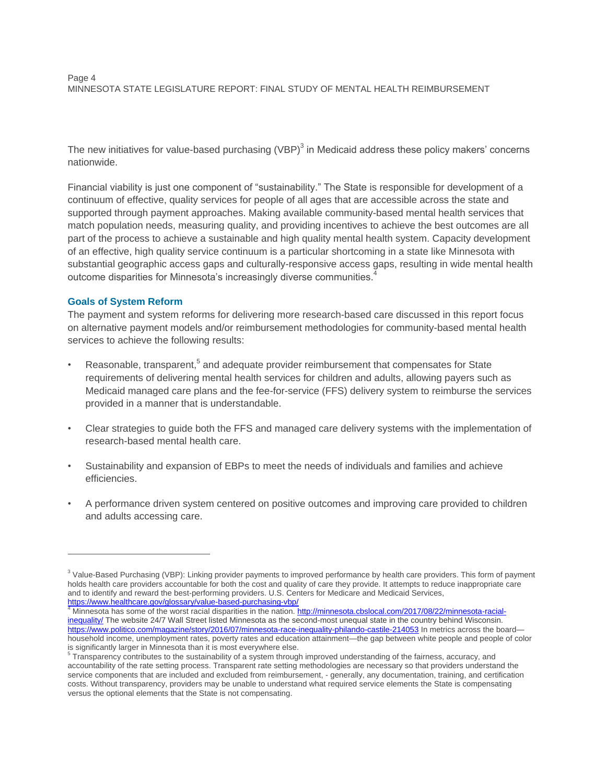The new initiatives for value-based purchasing (VBP) $^3$  in Medicaid address these policy makers' concerns nationwide.

Financial viability is just one component of "sustainability." The State is responsible for development of a continuum of effective, quality services for people of all ages that are accessible across the state and supported through payment approaches. Making available community-based mental health services that match population needs, measuring quality, and providing incentives to achieve the best outcomes are all part of the process to achieve a sustainable and high quality mental health system. Capacity development of an effective, high quality service continuum is a particular shortcoming in a state like Minnesota with substantial geographic access gaps and culturally-responsive access gaps, resulting in wide mental health outcome disparities for Minnesota's increasingly diverse communities.<sup>4</sup>

# **Goals of System Reform**

 $\overline{a}$ 

The payment and system reforms for delivering more research-based care discussed in this report focus on alternative payment models and/or reimbursement methodologies for community-based mental health services to achieve the following results:

- Reasonable, transparent,<sup>5</sup> and adequate provider reimbursement that compensates for State requirements of delivering mental health services for children and adults, allowing payers such as Medicaid managed care plans and the fee-for-service (FFS) delivery system to reimburse the services provided in a manner that is understandable.
- Clear strategies to guide both the FFS and managed care delivery systems with the implementation of research-based mental health care.
- Sustainability and expansion of EBPs to meet the needs of individuals and families and achieve efficiencies.
- A performance driven system centered on positive outcomes and improving care provided to children and adults accessing care.

<sup>&</sup>lt;sup>3</sup> Value-Based Purchasing (VBP): Linking provider payments to improved performance by health care providers. This form of payment holds health care providers accountable for both the cost and quality of care they provide. It attempts to reduce inappropriate care and to identify and reward the best-performing providers. U.S. Centers for Medicare and Medicaid Services,

<sup>&</sup>lt;mark><https://www.healthcare.gov/glossary/value-based-purchasing-vbp/></mark><br><sup>4</sup> Minnesota has some of the worst racial disparities in the nation. <u>http://minnesota.cbslocal.com/2017/08/22/minnesota-racial-</u> [inequality/](http://minnesota.cbslocal.com/2017/08/22/minnesota-racial-inequality/) The website 24/7 Wall Street listed Minnesota as the second-most unequal state in the country behind Wisconsin. <https://www.politico.com/magazine/story/2016/07/minnesota-race-inequality-philando-castile-214053> In metrics across the boardhousehold income, unemployment rates, poverty rates and education attainment—the gap between white people and people of color is significantly larger in Minnesota than it is most everywhere else.

<sup>&</sup>lt;sup>5</sup> Transparency contributes to the sustainability of a system through improved understanding of the fairness, accuracy, and accountability of the rate setting process. Transparent rate setting methodologies are necessary so that providers understand the service components that are included and excluded from reimbursement, - generally, any documentation, training, and certification costs. Without transparency, providers may be unable to understand what required service elements the State is compensating versus the optional elements that the State is not compensating.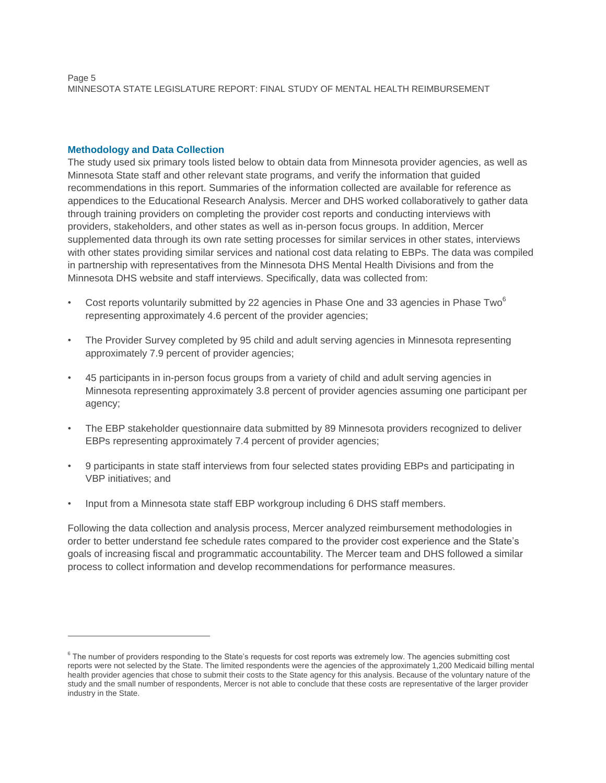Page 5 MINNESOTA STATE LEGISLATURE REPORT: FINAL STUDY OF MENTAL HEALTH REIMBURSEMENT

#### **Methodology and Data Collection**

 $\overline{a}$ 

The study used six primary tools listed below to obtain data from Minnesota provider agencies, as well as Minnesota State staff and other relevant state programs, and verify the information that guided recommendations in this report. Summaries of the information collected are available for reference as appendices to the Educational Research Analysis. Mercer and DHS worked collaboratively to gather data through training providers on completing the provider cost reports and conducting interviews with providers, stakeholders, and other states as well as in-person focus groups. In addition, Mercer supplemented data through its own rate setting processes for similar services in other states, interviews with other states providing similar services and national cost data relating to EBPs. The data was compiled in partnership with representatives from the Minnesota DHS Mental Health Divisions and from the Minnesota DHS website and staff interviews. Specifically, data was collected from:

- Cost reports voluntarily submitted by 22 agencies in Phase One and 33 agencies in Phase Two<sup>6</sup> representing approximately 4.6 percent of the provider agencies;
- The Provider Survey completed by 95 child and adult serving agencies in Minnesota representing approximately 7.9 percent of provider agencies;
- 45 participants in in-person focus groups from a variety of child and adult serving agencies in Minnesota representing approximately 3.8 percent of provider agencies assuming one participant per agency;
- The EBP stakeholder questionnaire data submitted by 89 Minnesota providers recognized to deliver EBPs representing approximately 7.4 percent of provider agencies;
- 9 participants in state staff interviews from four selected states providing EBPs and participating in VBP initiatives; and
- Input from a Minnesota state staff EBP workgroup including 6 DHS staff members.

Following the data collection and analysis process, Mercer analyzed reimbursement methodologies in order to better understand fee schedule rates compared to the provider cost experience and the State's goals of increasing fiscal and programmatic accountability. The Mercer team and DHS followed a similar process to collect information and develop recommendations for performance measures.

<sup>&</sup>lt;sup>6</sup> The number of providers responding to the State's requests for cost reports was extremely low. The agencies submitting cost reports were not selected by the State. The limited respondents were the agencies of the approximately 1,200 Medicaid billing mental health provider agencies that chose to submit their costs to the State agency for this analysis. Because of the voluntary nature of the study and the small number of respondents, Mercer is not able to conclude that these costs are representative of the larger provider industry in the State.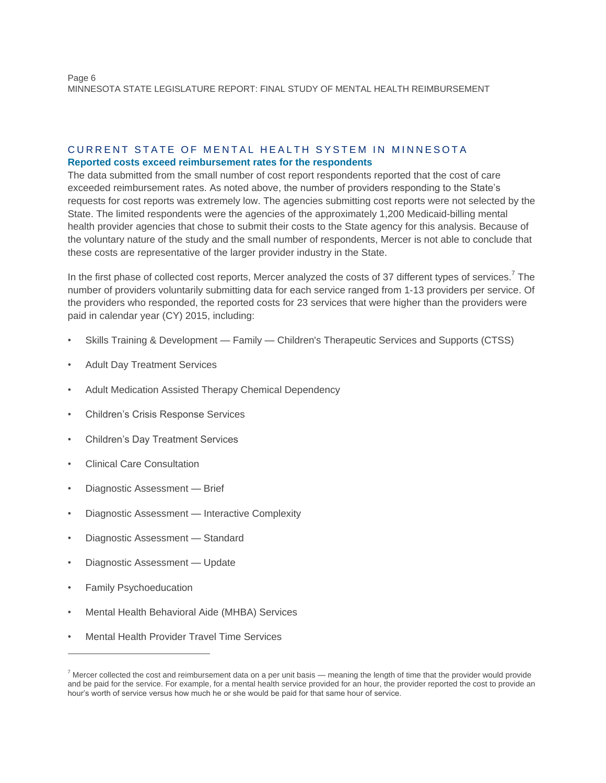# CURRENT STATE OF MENTAL HEALTH SYSTEM IN MINNESOTA **Reported costs exceed reimbursement rates for the respondents**

The data submitted from the small number of cost report respondents reported that the cost of care exceeded reimbursement rates. As noted above, the number of providers responding to the State's requests for cost reports was extremely low. The agencies submitting cost reports were not selected by the State. The limited respondents were the agencies of the approximately 1,200 Medicaid-billing mental health provider agencies that chose to submit their costs to the State agency for this analysis. Because of the voluntary nature of the study and the small number of respondents, Mercer is not able to conclude that these costs are representative of the larger provider industry in the State.

In the first phase of collected cost reports, Mercer analyzed the costs of 37 different types of services.<sup>7</sup> The number of providers voluntarily submitting data for each service ranged from 1-13 providers per service. Of the providers who responded, the reported costs for 23 services that were higher than the providers were paid in calendar year (CY) 2015, including:

- Skills Training & Development Family Children's Therapeutic Services and Supports (CTSS)
- Adult Day Treatment Services
- Adult Medication Assisted Therapy Chemical Dependency
- Children's Crisis Response Services
- Children's Day Treatment Services
- Clinical Care Consultation
- Diagnostic Assessment Brief
- Diagnostic Assessment Interactive Complexity
- Diagnostic Assessment Standard
- Diagnostic Assessment Update
- Family Psychoeducation

- Mental Health Behavioral Aide (MHBA) Services
- Mental Health Provider Travel Time Services

 $<sup>7</sup>$  Mercer collected the cost and reimbursement data on a per unit basis — meaning the length of time that the provider would provide</sup> and be paid for the service. For example, for a mental health service provided for an hour, the provider reported the cost to provide an hour's worth of service versus how much he or she would be paid for that same hour of service.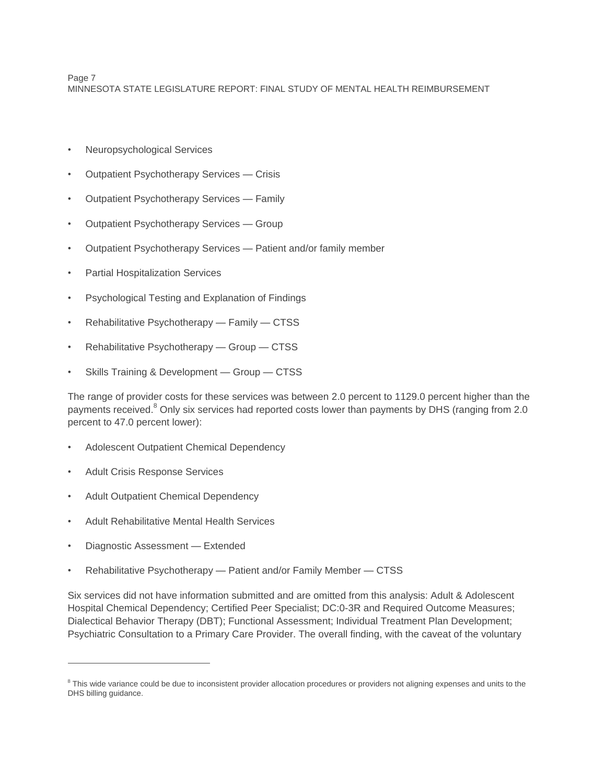Page 7 MINNESOTA STATE LEGISLATURE REPORT: FINAL STUDY OF MENTAL HEALTH REIMBURSEMENT

- Neuropsychological Services
- Outpatient Psychotherapy Services Crisis
- Outpatient Psychotherapy Services Family
- Outpatient Psychotherapy Services Group
- Outpatient Psychotherapy Services Patient and/or family member
- Partial Hospitalization Services
- Psychological Testing and Explanation of Findings
- Rehabilitative Psychotherapy Family CTSS
- Rehabilitative Psychotherapy Group CTSS
- Skills Training & Development Group CTSS

The range of provider costs for these services was between 2.0 percent to 1129.0 percent higher than the payments received.<sup>8</sup> Only six services had reported costs lower than payments by DHS (ranging from 2.0 percent to 47.0 percent lower):

- Adolescent Outpatient Chemical Dependency
- Adult Crisis Response Services
- Adult Outpatient Chemical Dependency
- Adult Rehabilitative Mental Health Services
- Diagnostic Assessment Extended

 $\overline{a}$ 

• Rehabilitative Psychotherapy — Patient and/or Family Member — CTSS

Six services did not have information submitted and are omitted from this analysis: Adult & Adolescent Hospital Chemical Dependency; Certified Peer Specialist; DC:0-3R and Required Outcome Measures; Dialectical Behavior Therapy (DBT); Functional Assessment; Individual Treatment Plan Development; Psychiatric Consultation to a Primary Care Provider. The overall finding, with the caveat of the voluntary

<sup>&</sup>lt;sup>8</sup> This wide variance could be due to inconsistent provider allocation procedures or providers not aligning expenses and units to the DHS billing guidance.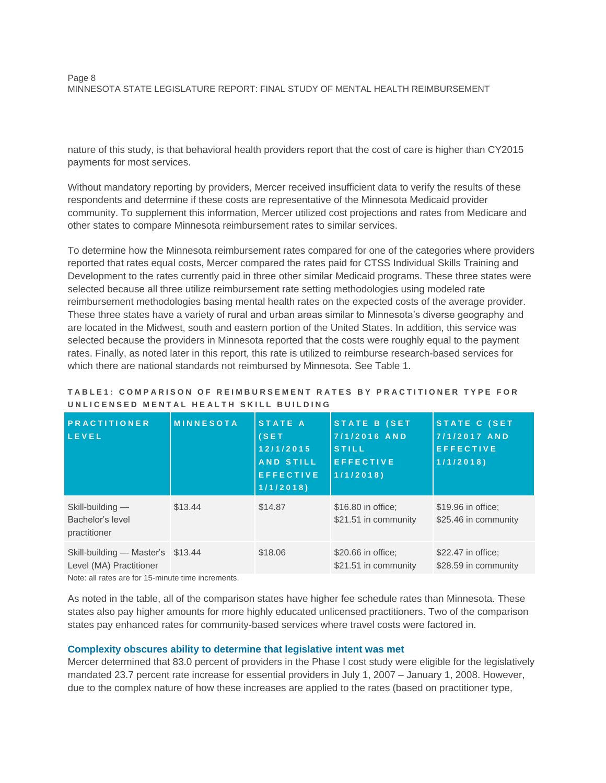nature of this study, is that behavioral health providers report that the cost of care is higher than CY2015 payments for most services.

Without mandatory reporting by providers, Mercer received insufficient data to verify the results of these respondents and determine if these costs are representative of the Minnesota Medicaid provider community. To supplement this information, Mercer utilized cost projections and rates from Medicare and other states to compare Minnesota reimbursement rates to similar services.

To determine how the Minnesota reimbursement rates compared for one of the categories where providers reported that rates equal costs, Mercer compared the rates paid for CTSS Individual Skills Training and Development to the rates currently paid in three other similar Medicaid programs. These three states were selected because all three utilize reimbursement rate setting methodologies using modeled rate reimbursement methodologies basing mental health rates on the expected costs of the average provider. These three states have a variety of rural and urban areas similar to Minnesota's diverse geography and are located in the Midwest, south and eastern portion of the United States. In addition, this service was selected because the providers in Minnesota reported that the costs were roughly equal to the payment rates. Finally, as noted later in this report, this rate is utilized to reimburse research-based services for which there are national standards not reimbursed by Minnesota. See Table 1.

# **T A B L E 1 : C O M P A R I S O N O F R E I M B U R S E M E N T R A T E S B Y P R A C T I T I O N E R T Y P E F O R U N L I C E N S E D M E N T A L H E A L T H S K I L L B U I L D I N G**

| <b>PRACTITIONER</b><br>LEVEL                                 | <b>MINNESOTA</b> | STATE A<br>(SET)<br>12/1/2015<br><b>AND STILL</b><br><b>EFFECTIVE</b><br>1/1/2018 | STATE B (SET<br>7/1/2016 AND<br><b>STILL</b><br><b>EFFECTIVE</b><br>1/1/2018 | <b>STATE C (SET</b><br>7/1/2017 AND<br><b>EFFECTIVE</b><br>1/1/2018 |
|--------------------------------------------------------------|------------------|-----------------------------------------------------------------------------------|------------------------------------------------------------------------------|---------------------------------------------------------------------|
| Skill-building —<br>Bachelor's level<br>practitioner         | \$13.44          | \$14.87                                                                           | \$16.80 in office:<br>\$21.51 in community                                   | \$19.96 in office:<br>\$25.46 in community                          |
| Skill-building - Master's \$13.44<br>Level (MA) Practitioner |                  | \$18.06                                                                           | \$20.66 in office:<br>\$21.51 in community                                   | \$22.47 in office:<br>\$28.59 in community                          |

Note: all rates are for 15-minute time increments.

As noted in the table, all of the comparison states have higher fee schedule rates than Minnesota. These states also pay higher amounts for more highly educated unlicensed practitioners. Two of the comparison states pay enhanced rates for community-based services where travel costs were factored in.

# **Complexity obscures ability to determine that legislative intent was met**

Mercer determined that 83.0 percent of providers in the Phase I cost study were eligible for the legislatively mandated 23.7 percent rate increase for essential providers in July 1, 2007 – January 1, 2008. However, due to the complex nature of how these increases are applied to the rates (based on practitioner type,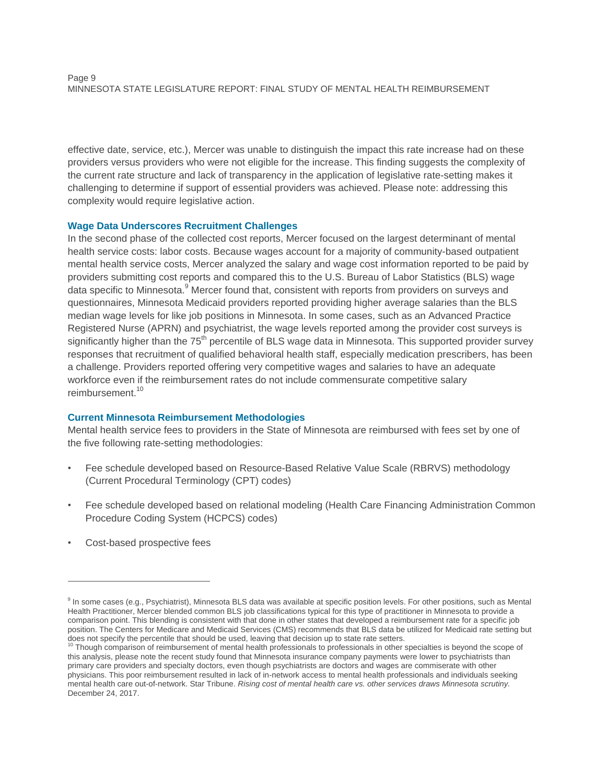effective date, service, etc.), Mercer was unable to distinguish the impact this rate increase had on these providers versus providers who were not eligible for the increase. This finding suggests the complexity of the current rate structure and lack of transparency in the application of legislative rate-setting makes it challenging to determine if support of essential providers was achieved. Please note: addressing this complexity would require legislative action.

#### **Wage Data Underscores Recruitment Challenges**

In the second phase of the collected cost reports, Mercer focused on the largest determinant of mental health service costs: labor costs. Because wages account for a majority of community-based outpatient mental health service costs, Mercer analyzed the salary and wage cost information reported to be paid by providers submitting cost reports and compared this to the U.S. Bureau of Labor Statistics (BLS) wage data specific to Minnesota.<sup>9</sup> Mercer found that, consistent with reports from providers on surveys and questionnaires, Minnesota Medicaid providers reported providing higher average salaries than the BLS median wage levels for like job positions in Minnesota. In some cases, such as an Advanced Practice Registered Nurse (APRN) and psychiatrist, the wage levels reported among the provider cost surveys is significantly higher than the 75<sup>th</sup> percentile of BLS wage data in Minnesota. This supported provider survey responses that recruitment of qualified behavioral health staff, especially medication prescribers, has been a challenge. Providers reported offering very competitive wages and salaries to have an adequate workforce even if the reimbursement rates do not include commensurate competitive salary reimbursement. 10

# **Current Minnesota Reimbursement Methodologies**

Mental health service fees to providers in the State of Minnesota are reimbursed with fees set by one of the five following rate-setting methodologies:

- Fee schedule developed based on Resource-Based Relative Value Scale (RBRVS) methodology (Current Procedural Terminology (CPT) codes)
- Fee schedule developed based on relational modeling (Health Care Financing Administration Common Procedure Coding System (HCPCS) codes)
- Cost-based prospective fees

<sup>&</sup>lt;sup>9</sup> In some cases (e.g., Psychiatrist), Minnesota BLS data was available at specific position levels. For other positions, such as Mental Health Practitioner, Mercer blended common BLS job classifications typical for this type of practitioner in Minnesota to provide a comparison point. This blending is consistent with that done in other states that developed a reimbursement rate for a specific job position. The Centers for Medicare and Medicaid Services (CMS) recommends that BLS data be utilized for Medicaid rate setting but

does not specify the percentile that should be used, leaving that decision up to state rate setters.<br><sup>10</sup> Though comparison of reimbursement of mental health professionals to professionals in other specialties is beyond th this analysis, please note the recent study found that Minnesota insurance company payments were lower to psychiatrists than primary care providers and specialty doctors, even though psychiatrists are doctors and wages are commiserate with other physicians. This poor reimbursement resulted in lack of in-network access to mental health professionals and individuals seeking mental health care out-of-network. Star Tribune. *Rising cost of mental health care vs. other services draws Minnesota scrutiny.* December 24, 2017.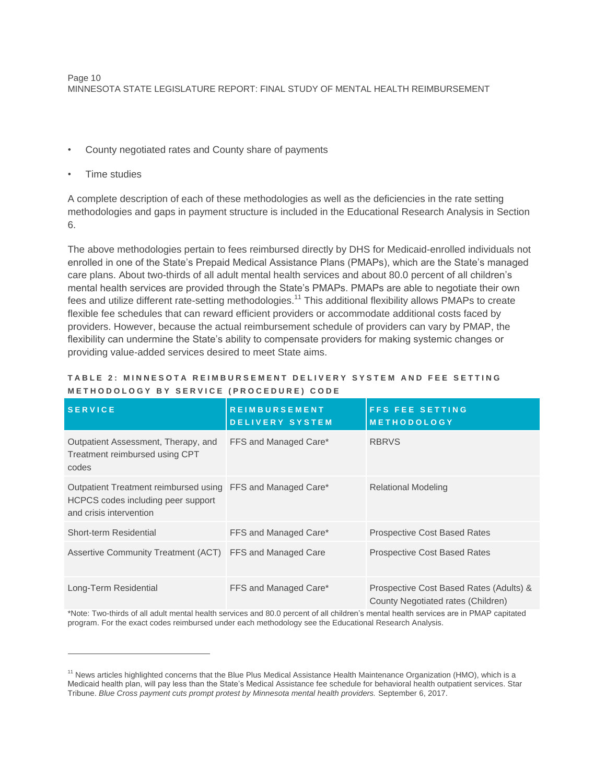- County negotiated rates and County share of payments
- Time studies

 $\overline{a}$ 

A complete description of each of these methodologies as well as the deficiencies in the rate setting methodologies and gaps in payment structure is included in the Educational Research Analysis in Section 6.

The above methodologies pertain to fees reimbursed directly by DHS for Medicaid-enrolled individuals not enrolled in one of the State's Prepaid Medical Assistance Plans (PMAPs), which are the State's managed care plans. About two-thirds of all adult mental health services and about 80.0 percent of all children's mental health services are provided through the State's PMAPs. PMAPs are able to negotiate their own fees and utilize different rate-setting methodologies.<sup>11</sup> This additional flexibility allows PMAPs to create flexible fee schedules that can reward efficient providers or accommodate additional costs faced by providers. However, because the actual reimbursement schedule of providers can vary by PMAP, the flexibility can undermine the State's ability to compensate providers for making systemic changes or providing value-added services desired to meet State aims.

| <b>SERVICE</b>                                                                                                               | <b>REIMBURSEMENT</b><br><b>DELIVERY SYSTEM</b> | <b>FFS FEE SETTING</b><br><b>METHODOLOGY</b>                                  |
|------------------------------------------------------------------------------------------------------------------------------|------------------------------------------------|-------------------------------------------------------------------------------|
| Outpatient Assessment, Therapy, and<br>Treatment reimbursed using CPT<br>codes                                               | FFS and Managed Care*                          | <b>RBRVS</b>                                                                  |
| Outpatient Treatment reimbursed using FFS and Managed Care*<br>HCPCS codes including peer support<br>and crisis intervention |                                                | Relational Modeling                                                           |
| <b>Short-term Residential</b>                                                                                                | FFS and Managed Care*                          | <b>Prospective Cost Based Rates</b>                                           |
| Assertive Community Treatment (ACT) FFS and Managed Care                                                                     |                                                | <b>Prospective Cost Based Rates</b>                                           |
| Long-Term Residential                                                                                                        | FFS and Managed Care*                          | Prospective Cost Based Rates (Adults) &<br>County Negotiated rates (Children) |

#### **T A B L E 2 : M I N N E S O T A R E I M B U R S E M E N T D E L I V E R Y S Y S T E M A N D F E E S E T T I N G M E T H O D O L O G Y B Y S E R V I C E ( P R O C E D U R E ) C O D E**

\*Note: Two-thirds of all adult mental health services and 80.0 percent of all children's mental health services are in PMAP capitated program. For the exact codes reimbursed under each methodology see the Educational Research Analysis.

<sup>&</sup>lt;sup>11</sup> News articles highlighted concerns that the Blue Plus Medical Assistance Health Maintenance Organization (HMO), which is a Medicaid health plan, will pay less than the State's Medical Assistance fee schedule for behavioral health outpatient services. Star Tribune. *Blue Cross payment cuts prompt protest by Minnesota mental health providers.* September 6, 2017.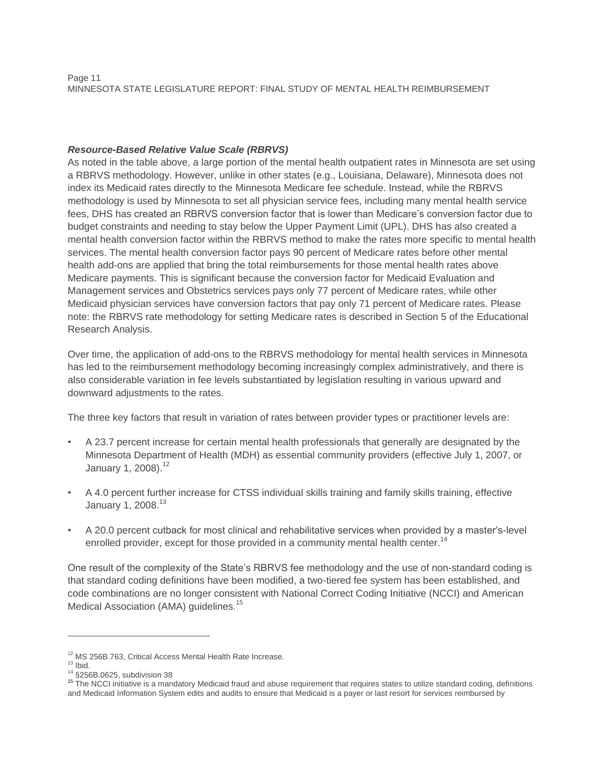# *Resource-Based Relative Value Scale (RBRVS)*

As noted in the table above, a large portion of the mental health outpatient rates in Minnesota are set using a RBRVS methodology. However, unlike in other states (e.g., Louisiana, Delaware), Minnesota does not index its Medicaid rates directly to the Minnesota Medicare fee schedule. Instead, while the RBRVS methodology is used by Minnesota to set all physician service fees, including many mental health service fees, DHS has created an RBRVS conversion factor that is lower than Medicare's conversion factor due to budget constraints and needing to stay below the Upper Payment Limit (UPL). DHS has also created a mental health conversion factor within the RBRVS method to make the rates more specific to mental health services. The mental health conversion factor pays 90 percent of Medicare rates before other mental health add-ons are applied that bring the total reimbursements for those mental health rates above Medicare payments. This is significant because the conversion factor for Medicaid Evaluation and Management services and Obstetrics services pays only 77 percent of Medicare rates, while other Medicaid physician services have conversion factors that pay only 71 percent of Medicare rates. Please note: the RBRVS rate methodology for setting Medicare rates is described in Section 5 of the Educational Research Analysis.

Over time, the application of add-ons to the RBRVS methodology for mental health services in Minnesota has led to the reimbursement methodology becoming increasingly complex administratively, and there is also considerable variation in fee levels substantiated by legislation resulting in various upward and downward adjustments to the rates.

The three key factors that result in variation of rates between provider types or practitioner levels are:

- A 23.7 percent increase for certain mental health professionals that generally are designated by the Minnesota Department of Health (MDH) as essential community providers (effective July 1, 2007, or January 1, 2008).<sup>12</sup>
- A 4.0 percent further increase for CTSS individual skills training and family skills training, effective January 1, 2008.<sup>13</sup>
- A 20.0 percent cutback for most clinical and rehabilitative services when provided by a master's-level enrolled provider, except for those provided in a community mental health center.<sup>14</sup>

One result of the complexity of the State's RBRVS fee methodology and the use of non-standard coding is that standard coding definitions have been modified, a two-tiered fee system has been established, and code combinations are no longer consistent with National Correct Coding Initiative (NCCI) and American Medical Association (AMA) quidelines.<sup>15</sup>

<sup>&</sup>lt;sup>12</sup> MS 256B.763, Critical Access Mental Health Rate Increase.

 $13$  Ibid.

 $14$  §256B.0625, subdivision 38

<sup>&</sup>lt;sup>15</sup> The NCCI initiative is a mandatory Medicaid fraud and abuse requirement that requires states to utilize standard coding, definitions and Medicaid Information System edits and audits to ensure that Medicaid is a payer or last resort for services reimbursed by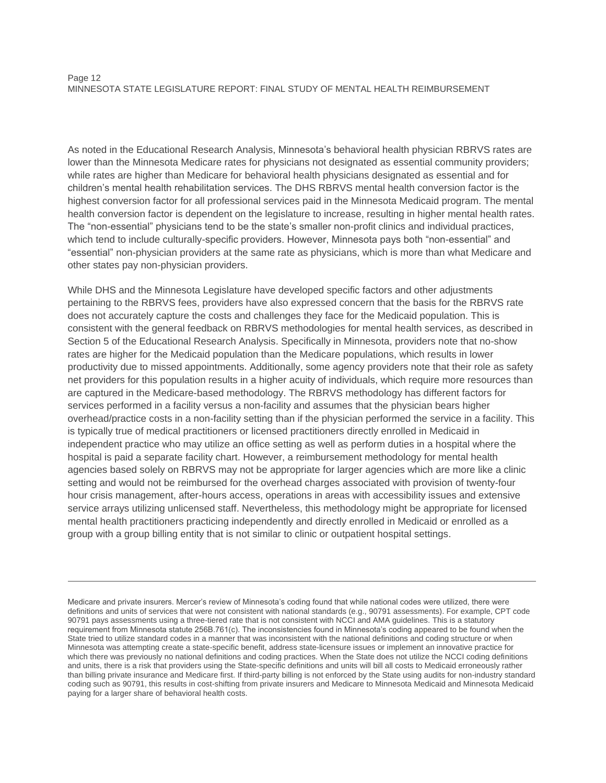As noted in the Educational Research Analysis, Minnesota's behavioral health physician RBRVS rates are lower than the Minnesota Medicare rates for physicians not designated as essential community providers; while rates are higher than Medicare for behavioral health physicians designated as essential and for children's mental health rehabilitation services. The DHS RBRVS mental health conversion factor is the highest conversion factor for all professional services paid in the Minnesota Medicaid program. The mental health conversion factor is dependent on the legislature to increase, resulting in higher mental health rates. The "non-essential" physicians tend to be the state's smaller non-profit clinics and individual practices, which tend to include culturally-specific providers. However, Minnesota pays both "non-essential" and "essential" non-physician providers at the same rate as physicians, which is more than what Medicare and other states pay non-physician providers.

While DHS and the Minnesota Legislature have developed specific factors and other adjustments pertaining to the RBRVS fees, providers have also expressed concern that the basis for the RBRVS rate does not accurately capture the costs and challenges they face for the Medicaid population. This is consistent with the general feedback on RBRVS methodologies for mental health services, as described in Section 5 of the Educational Research Analysis. Specifically in Minnesota, providers note that no-show rates are higher for the Medicaid population than the Medicare populations, which results in lower productivity due to missed appointments. Additionally, some agency providers note that their role as safety net providers for this population results in a higher acuity of individuals, which require more resources than are captured in the Medicare-based methodology. The RBRVS methodology has different factors for services performed in a facility versus a non-facility and assumes that the physician bears higher overhead/practice costs in a non-facility setting than if the physician performed the service in a facility. This is typically true of medical practitioners or licensed practitioners directly enrolled in Medicaid in independent practice who may utilize an office setting as well as perform duties in a hospital where the hospital is paid a separate facility chart. However, a reimbursement methodology for mental health agencies based solely on RBRVS may not be appropriate for larger agencies which are more like a clinic setting and would not be reimbursed for the overhead charges associated with provision of twenty-four hour crisis management, after-hours access, operations in areas with accessibility issues and extensive service arrays utilizing unlicensed staff. Nevertheless, this methodology might be appropriate for licensed mental health practitioners practicing independently and directly enrolled in Medicaid or enrolled as a group with a group billing entity that is not similar to clinic or outpatient hospital settings.

Medicare and private insurers. Mercer's review of Minnesota's coding found that while national codes were utilized, there were definitions and units of services that were not consistent with national standards (e.g., 90791 assessments). For example, CPT code 90791 pays assessments using a three-tiered rate that is not consistent with NCCI and AMA guidelines. This is a statutory requirement from Minnesota statute 256B.761(c). The inconsistencies found in Minnesota's coding appeared to be found when the State tried to utilize standard codes in a manner that was inconsistent with the national definitions and coding structure or when Minnesota was attempting create a state-specific benefit, address state-licensure issues or implement an innovative practice for which there was previously no national definitions and coding practices. When the State does not utilize the NCCI coding definitions and units, there is a risk that providers using the State-specific definitions and units will bill all costs to Medicaid erroneously rather than billing private insurance and Medicare first. If third-party billing is not enforced by the State using audits for non-industry standard coding such as 90791, this results in cost-shifting from private insurers and Medicare to Minnesota Medicaid and Minnesota Medicaid paying for a larger share of behavioral health costs.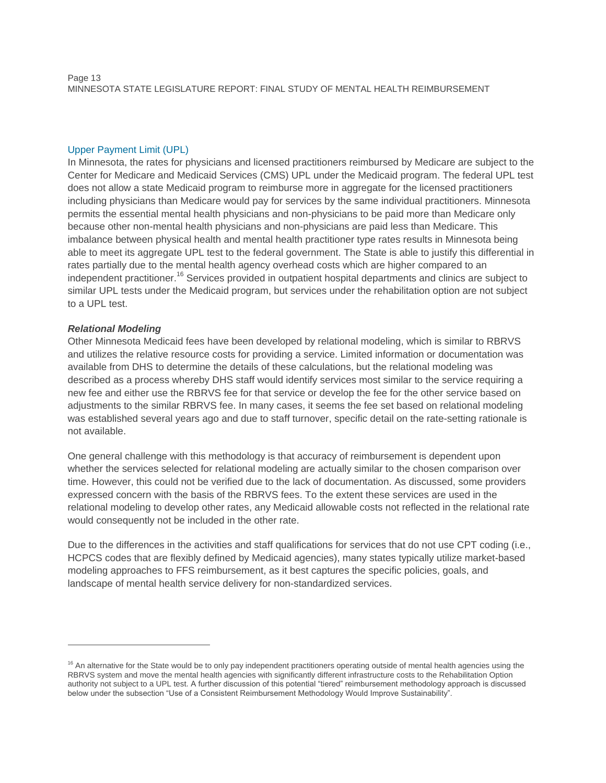# Upper Payment Limit (UPL)

In Minnesota, the rates for physicians and licensed practitioners reimbursed by Medicare are subject to the Center for Medicare and Medicaid Services (CMS) UPL under the Medicaid program. The federal UPL test does not allow a state Medicaid program to reimburse more in aggregate for the licensed practitioners including physicians than Medicare would pay for services by the same individual practitioners. Minnesota permits the essential mental health physicians and non-physicians to be paid more than Medicare only because other non-mental health physicians and non-physicians are paid less than Medicare. This imbalance between physical health and mental health practitioner type rates results in Minnesota being able to meet its aggregate UPL test to the federal government. The State is able to justify this differential in rates partially due to the mental health agency overhead costs which are higher compared to an independent practitioner.<sup>16</sup> Services provided in outpatient hospital departments and clinics are subject to similar UPL tests under the Medicaid program, but services under the rehabilitation option are not subject to a UPL test.

# *Relational Modeling*

 $\overline{a}$ 

Other Minnesota Medicaid fees have been developed by relational modeling, which is similar to RBRVS and utilizes the relative resource costs for providing a service. Limited information or documentation was available from DHS to determine the details of these calculations, but the relational modeling was described as a process whereby DHS staff would identify services most similar to the service requiring a new fee and either use the RBRVS fee for that service or develop the fee for the other service based on adjustments to the similar RBRVS fee. In many cases, it seems the fee set based on relational modeling was established several years ago and due to staff turnover, specific detail on the rate-setting rationale is not available.

One general challenge with this methodology is that accuracy of reimbursement is dependent upon whether the services selected for relational modeling are actually similar to the chosen comparison over time. However, this could not be verified due to the lack of documentation. As discussed, some providers expressed concern with the basis of the RBRVS fees. To the extent these services are used in the relational modeling to develop other rates, any Medicaid allowable costs not reflected in the relational rate would consequently not be included in the other rate.

Due to the differences in the activities and staff qualifications for services that do not use CPT coding (i.e., HCPCS codes that are flexibly defined by Medicaid agencies), many states typically utilize market-based modeling approaches to FFS reimbursement, as it best captures the specific policies, goals, and landscape of mental health service delivery for non-standardized services.

<sup>&</sup>lt;sup>16</sup> An alternative for the State would be to only pay independent practitioners operating outside of mental health agencies using the RBRVS system and move the mental health agencies with significantly different infrastructure costs to the Rehabilitation Option authority not subject to a UPL test. A further discussion of this potential "tiered" reimbursement methodology approach is discussed below under the subsection "Use of a Consistent Reimbursement Methodology Would Improve Sustainability".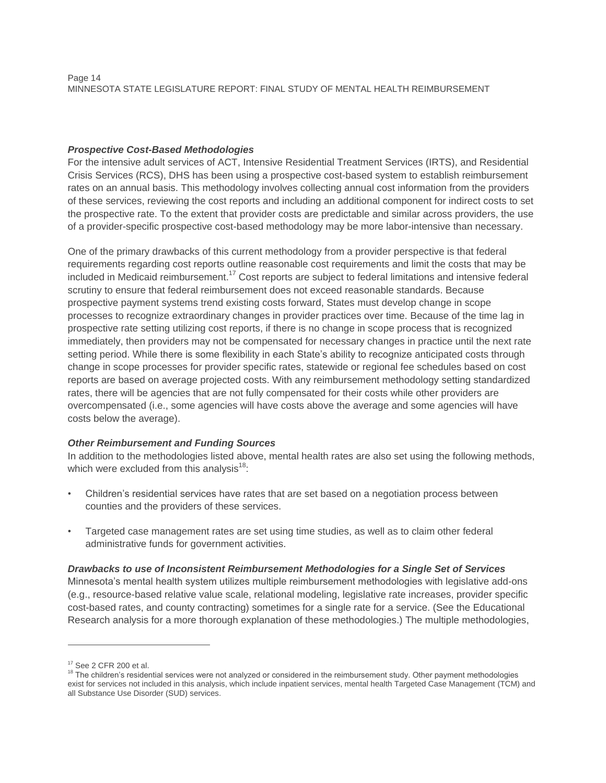Page 14 MINNESOTA STATE LEGISLATURE REPORT: FINAL STUDY OF MENTAL HEALTH REIMBURSEMENT

# *Prospective Cost-Based Methodologies*

For the intensive adult services of ACT, Intensive Residential Treatment Services (IRTS), and Residential Crisis Services (RCS), DHS has been using a prospective cost-based system to establish reimbursement rates on an annual basis. This methodology involves collecting annual cost information from the providers of these services, reviewing the cost reports and including an additional component for indirect costs to set the prospective rate. To the extent that provider costs are predictable and similar across providers, the use of a provider-specific prospective cost-based methodology may be more labor-intensive than necessary.

One of the primary drawbacks of this current methodology from a provider perspective is that federal requirements regarding cost reports outline reasonable cost requirements and limit the costs that may be included in Medicaid reimbursement.<sup>17</sup> Cost reports are subject to federal limitations and intensive federal scrutiny to ensure that federal reimbursement does not exceed reasonable standards. Because prospective payment systems trend existing costs forward, States must develop change in scope processes to recognize extraordinary changes in provider practices over time. Because of the time lag in prospective rate setting utilizing cost reports, if there is no change in scope process that is recognized immediately, then providers may not be compensated for necessary changes in practice until the next rate setting period. While there is some flexibility in each State's ability to recognize anticipated costs through change in scope processes for provider specific rates, statewide or regional fee schedules based on cost reports are based on average projected costs. With any reimbursement methodology setting standardized rates, there will be agencies that are not fully compensated for their costs while other providers are overcompensated (i.e., some agencies will have costs above the average and some agencies will have costs below the average).

# *Other Reimbursement and Funding Sources*

In addition to the methodologies listed above, mental health rates are also set using the following methods, which were excluded from this analysis<sup>18</sup>:

- Children's residential services have rates that are set based on a negotiation process between counties and the providers of these services.
- Targeted case management rates are set using time studies, as well as to claim other federal administrative funds for government activities.

#### *Drawbacks to use of Inconsistent Reimbursement Methodologies for a Single Set of Services*

Minnesota's mental health system utilizes multiple reimbursement methodologies with legislative add-ons (e.g., resource-based relative value scale, relational modeling, legislative rate increases, provider specific cost-based rates, and county contracting) sometimes for a single rate for a service. (See the Educational Research analysis for a more thorough explanation of these methodologies.) The multiple methodologies,

<sup>17</sup> See 2 CFR 200 et al.

<sup>&</sup>lt;sup>18</sup> The children's residential services were not analyzed or considered in the reimbursement study. Other payment methodologies exist for services not included in this analysis, which include inpatient services, mental health Targeted Case Management (TCM) and all Substance Use Disorder (SUD) services.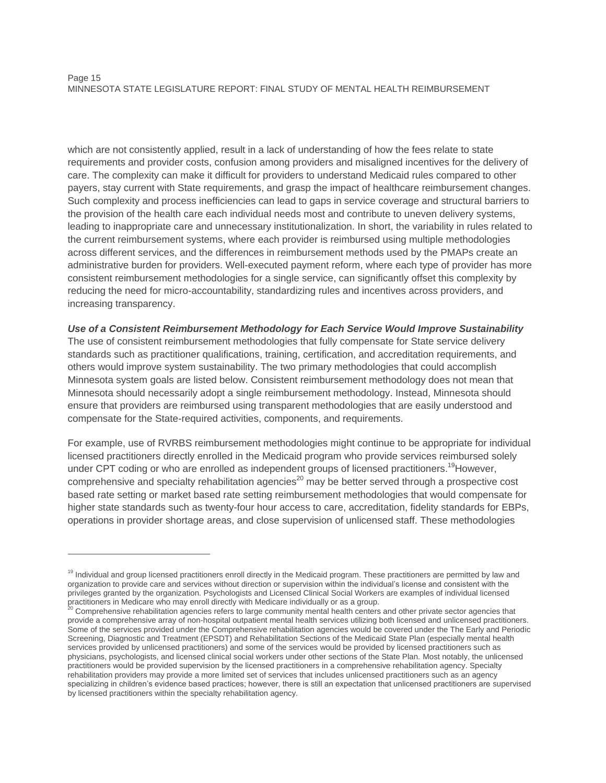#### Page 15 MINNESOTA STATE LEGISLATURE REPORT: FINAL STUDY OF MENTAL HEALTH REIMBURSEMENT

which are not consistently applied, result in a lack of understanding of how the fees relate to state requirements and provider costs, confusion among providers and misaligned incentives for the delivery of care. The complexity can make it difficult for providers to understand Medicaid rules compared to other payers, stay current with State requirements, and grasp the impact of healthcare reimbursement changes. Such complexity and process inefficiencies can lead to gaps in service coverage and structural barriers to the provision of the health care each individual needs most and contribute to uneven delivery systems, leading to inappropriate care and unnecessary institutionalization. In short, the variability in rules related to the current reimbursement systems, where each provider is reimbursed using multiple methodologies across different services, and the differences in reimbursement methods used by the PMAPs create an administrative burden for providers. Well-executed payment reform, where each type of provider has more consistent reimbursement methodologies for a single service, can significantly offset this complexity by reducing the need for micro-accountability, standardizing rules and incentives across providers, and increasing transparency.

*Use of a Consistent Reimbursement Methodology for Each Service Would Improve Sustainability* The use of consistent reimbursement methodologies that fully compensate for State service delivery standards such as practitioner qualifications, training, certification, and accreditation requirements, and others would improve system sustainability. The two primary methodologies that could accomplish Minnesota system goals are listed below. Consistent reimbursement methodology does not mean that Minnesota should necessarily adopt a single reimbursement methodology. Instead, Minnesota should ensure that providers are reimbursed using transparent methodologies that are easily understood and compensate for the State-required activities, components, and requirements.

For example, use of RVRBS reimbursement methodologies might continue to be appropriate for individual licensed practitioners directly enrolled in the Medicaid program who provide services reimbursed solely under CPT coding or who are enrolled as independent groups of licensed practitioners.<sup>19</sup>However, comprehensive and specialty rehabilitation agencies<sup>20</sup> may be better served through a prospective cost based rate setting or market based rate setting reimbursement methodologies that would compensate for higher state standards such as twenty-four hour access to care, accreditation, fidelity standards for EBPs, operations in provider shortage areas, and close supervision of unlicensed staff. These methodologies

<sup>&</sup>lt;sup>19</sup> Individual and group licensed practitioners enroll directly in the Medicaid program. These practitioners are permitted by law and organization to provide care and services without direction or supervision within the individual's license and consistent with the privileges granted by the organization. Psychologists and Licensed Clinical Social Workers are examples of individual licensed practitioners in Medicare who may enroll directly with Medicare individually or as a group.

<sup>20</sup> Comprehensive rehabilitation agencies refers to large community mental health centers and other private sector agencies that provide a comprehensive array of non-hospital outpatient mental health services utilizing both licensed and unlicensed practitioners. Some of the services provided under the Comprehensive rehabilitation agencies would be covered under the The Early and Periodic Screening, Diagnostic and Treatment (EPSDT) and Rehabilitation Sections of the Medicaid State Plan (especially mental health services provided by unlicensed practitioners) and some of the services would be provided by licensed practitioners such as physicians, psychologists, and licensed clinical social workers under other sections of the State Plan. Most notably, the unlicensed practitioners would be provided supervision by the licensed practitioners in a comprehensive rehabilitation agency. Specialty rehabilitation providers may provide a more limited set of services that includes unlicensed practitioners such as an agency specializing in children's evidence based practices; however, there is still an expectation that unlicensed practitioners are supervised by licensed practitioners within the specialty rehabilitation agency.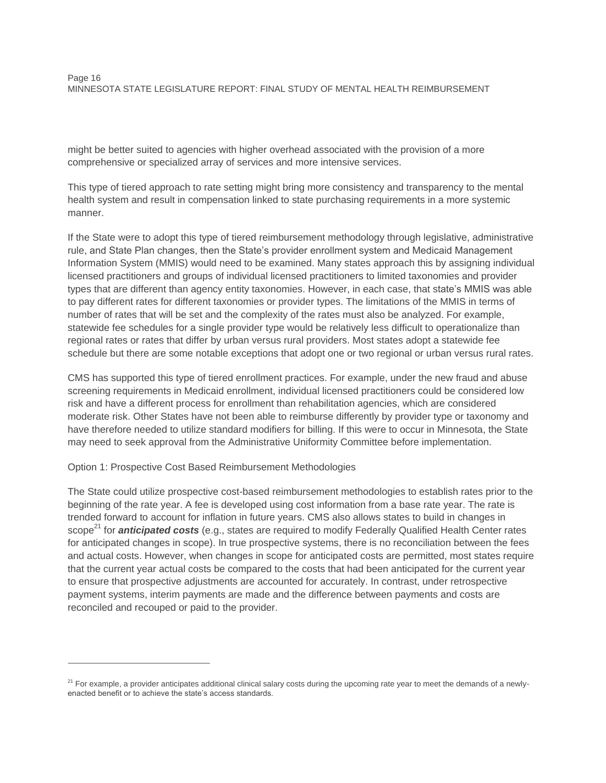might be better suited to agencies with higher overhead associated with the provision of a more comprehensive or specialized array of services and more intensive services.

This type of tiered approach to rate setting might bring more consistency and transparency to the mental health system and result in compensation linked to state purchasing requirements in a more systemic manner.

If the State were to adopt this type of tiered reimbursement methodology through legislative, administrative rule, and State Plan changes, then the State's provider enrollment system and Medicaid Management Information System (MMIS) would need to be examined. Many states approach this by assigning individual licensed practitioners and groups of individual licensed practitioners to limited taxonomies and provider types that are different than agency entity taxonomies. However, in each case, that state's MMIS was able to pay different rates for different taxonomies or provider types. The limitations of the MMIS in terms of number of rates that will be set and the complexity of the rates must also be analyzed. For example, statewide fee schedules for a single provider type would be relatively less difficult to operationalize than regional rates or rates that differ by urban versus rural providers. Most states adopt a statewide fee schedule but there are some notable exceptions that adopt one or two regional or urban versus rural rates.

CMS has supported this type of tiered enrollment practices. For example, under the new fraud and abuse screening requirements in Medicaid enrollment, individual licensed practitioners could be considered low risk and have a different process for enrollment than rehabilitation agencies, which are considered moderate risk. Other States have not been able to reimburse differently by provider type or taxonomy and have therefore needed to utilize standard modifiers for billing. If this were to occur in Minnesota, the State may need to seek approval from the Administrative Uniformity Committee before implementation.

Option 1: Prospective Cost Based Reimbursement Methodologies

 $\overline{a}$ 

The State could utilize prospective cost-based reimbursement methodologies to establish rates prior to the beginning of the rate year. A fee is developed using cost information from a base rate year. The rate is trended forward to account for inflation in future years. CMS also allows states to build in changes in scope<sup>21</sup> for **anticipated costs** (e.g., states are required to modify Federally Qualified Health Center rates for anticipated changes in scope). In true prospective systems, there is no reconciliation between the fees and actual costs. However, when changes in scope for anticipated costs are permitted, most states require that the current year actual costs be compared to the costs that had been anticipated for the current year to ensure that prospective adjustments are accounted for accurately. In contrast, under retrospective payment systems, interim payments are made and the difference between payments and costs are reconciled and recouped or paid to the provider.

 $21$  For example, a provider anticipates additional clinical salary costs during the upcoming rate year to meet the demands of a newlyenacted benefit or to achieve the state's access standards.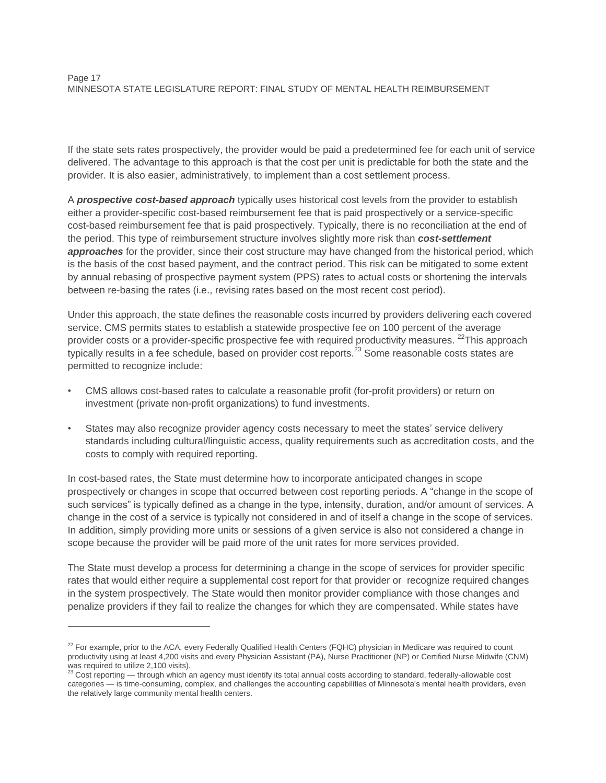If the state sets rates prospectively, the provider would be paid a predetermined fee for each unit of service delivered. The advantage to this approach is that the cost per unit is predictable for both the state and the provider. It is also easier, administratively, to implement than a cost settlement process.

A *prospective cost-based approach* typically uses historical cost levels from the provider to establish either a provider-specific cost-based reimbursement fee that is paid prospectively or a service-specific cost-based reimbursement fee that is paid prospectively. Typically, there is no reconciliation at the end of the period. This type of reimbursement structure involves slightly more risk than *cost-settlement approaches* for the provider, since their cost structure may have changed from the historical period, which is the basis of the cost based payment, and the contract period. This risk can be mitigated to some extent by annual rebasing of prospective payment system (PPS) rates to actual costs or shortening the intervals between re-basing the rates (i.e., revising rates based on the most recent cost period).

Under this approach, the state defines the reasonable costs incurred by providers delivering each covered service. CMS permits states to establish a statewide prospective fee on 100 percent of the average provider costs or a provider-specific prospective fee with required productivity measures. <sup>22</sup>This approach typically results in a fee schedule, based on provider cost reports.<sup>23</sup> Some reasonable costs states are permitted to recognize include:

- CMS allows cost-based rates to calculate a reasonable profit (for-profit providers) or return on investment (private non-profit organizations) to fund investments.
- States may also recognize provider agency costs necessary to meet the states' service delivery standards including cultural/linguistic access, quality requirements such as accreditation costs, and the costs to comply with required reporting.

In cost-based rates, the State must determine how to incorporate anticipated changes in scope prospectively or changes in scope that occurred between cost reporting periods. A "change in the scope of such services" is typically defined as a change in the type, intensity, duration, and/or amount of services. A change in the cost of a service is typically not considered in and of itself a change in the scope of services. In addition, simply providing more units or sessions of a given service is also not considered a change in scope because the provider will be paid more of the unit rates for more services provided.

The State must develop a process for determining a change in the scope of services for provider specific rates that would either require a supplemental cost report for that provider or recognize required changes in the system prospectively. The State would then monitor provider compliance with those changes and penalize providers if they fail to realize the changes for which they are compensated. While states have

 $22$  For example, prior to the ACA, every Federally Qualified Health Centers (FQHC) physician in Medicare was required to count productivity using at least 4,200 visits and every Physician Assistant (PA), Nurse Practitioner (NP) or Certified Nurse Midwife (CNM) was required to utilize 2,100 visits).

Cost reporting — through which an agency must identify its total annual costs according to standard, federally-allowable cost categories — is time-consuming, complex, and challenges the accounting capabilities of Minnesota's mental health providers, even the relatively large community mental health centers.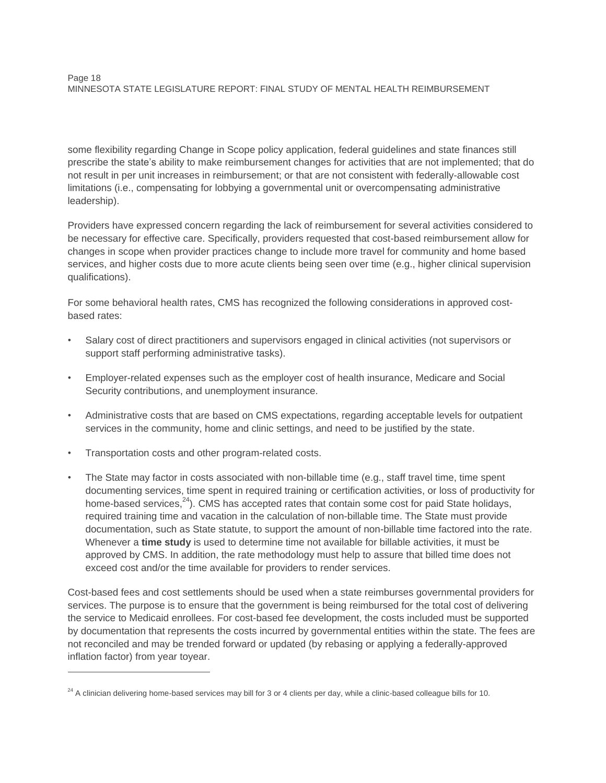some flexibility regarding Change in Scope policy application, federal guidelines and state finances still prescribe the state's ability to make reimbursement changes for activities that are not implemented; that do not result in per unit increases in reimbursement; or that are not consistent with federally-allowable cost limitations (i.e., compensating for lobbying a governmental unit or overcompensating administrative leadership).

Providers have expressed concern regarding the lack of reimbursement for several activities considered to be necessary for effective care. Specifically, providers requested that cost-based reimbursement allow for changes in scope when provider practices change to include more travel for community and home based services, and higher costs due to more acute clients being seen over time (e.g., higher clinical supervision qualifications).

For some behavioral health rates, CMS has recognized the following considerations in approved costbased rates:

- Salary cost of direct practitioners and supervisors engaged in clinical activities (not supervisors or support staff performing administrative tasks).
- Employer-related expenses such as the employer cost of health insurance, Medicare and Social Security contributions, and unemployment insurance.
- Administrative costs that are based on CMS expectations, regarding acceptable levels for outpatient services in the community, home and clinic settings, and need to be justified by the state.
- Transportation costs and other program-related costs.

 $\overline{a}$ 

The State may factor in costs associated with non-billable time (e.g., staff travel time, time spent documenting services, time spent in required training or certification activities, or loss of productivity for home-based services, $^{24}$ ). CMS has accepted rates that contain some cost for paid State holidays, required training time and vacation in the calculation of non-billable time. The State must provide documentation, such as State statute, to support the amount of non-billable time factored into the rate. Whenever a **time study** is used to determine time not available for billable activities, it must be approved by CMS. In addition, the rate methodology must help to assure that billed time does not exceed cost and/or the time available for providers to render services.

Cost-based fees and cost settlements should be used when a state reimburses governmental providers for services. The purpose is to ensure that the government is being reimbursed for the total cost of delivering the service to Medicaid enrollees. For cost-based fee development, the costs included must be supported by documentation that represents the costs incurred by governmental entities within the state. The fees are not reconciled and may be trended forward or updated (by rebasing or applying a federally-approved inflation factor) from year toyear.

 $24$  A clinician delivering home-based services may bill for 3 or 4 clients per day, while a clinic-based colleague bills for 10.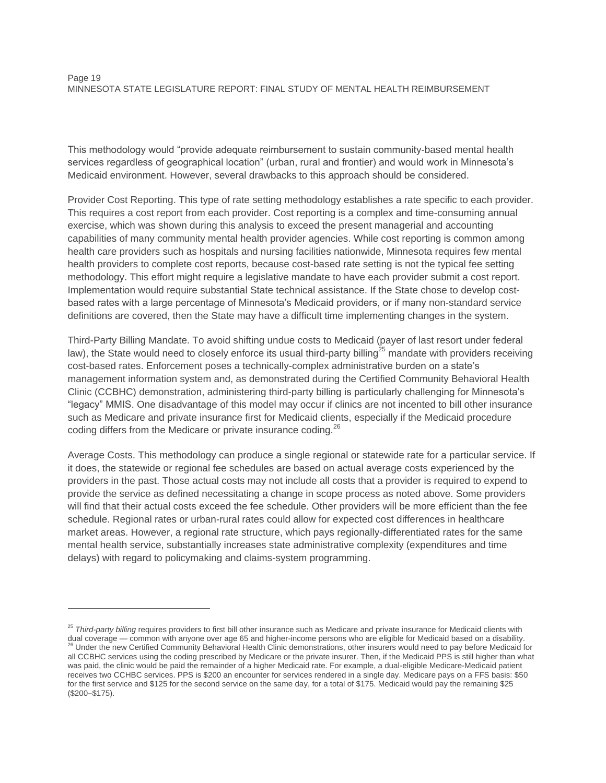#### Page 19 MINNESOTA STATE LEGISLATURE REPORT: FINAL STUDY OF MENTAL HEALTH REIMBURSEMENT

This methodology would "provide adequate reimbursement to sustain community-based mental health services regardless of geographical location" (urban, rural and frontier) and would work in Minnesota's Medicaid environment. However, several drawbacks to this approach should be considered.

Provider Cost Reporting. This type of rate setting methodology establishes a rate specific to each provider. This requires a cost report from each provider. Cost reporting is a complex and time-consuming annual exercise, which was shown during this analysis to exceed the present managerial and accounting capabilities of many community mental health provider agencies. While cost reporting is common among health care providers such as hospitals and nursing facilities nationwide, Minnesota requires few mental health providers to complete cost reports, because cost-based rate setting is not the typical fee setting methodology. This effort might require a legislative mandate to have each provider submit a cost report. Implementation would require substantial State technical assistance. If the State chose to develop costbased rates with a large percentage of Minnesota's Medicaid providers, or if many non-standard service definitions are covered, then the State may have a difficult time implementing changes in the system.

Third-Party Billing Mandate. To avoid shifting undue costs to Medicaid (payer of last resort under federal law), the State would need to closely enforce its usual third-party billing<sup>25</sup> mandate with providers receiving cost-based rates. Enforcement poses a technically-complex administrative burden on a state's management information system and, as demonstrated during the Certified Community Behavioral Health Clinic (CCBHC) demonstration, administering third-party billing is particularly challenging for Minnesota's "legacy" MMIS. One disadvantage of this model may occur if clinics are not incented to bill other insurance such as Medicare and private insurance first for Medicaid clients, especially if the Medicaid procedure coding differs from the Medicare or private insurance coding.<sup>26</sup>

Average Costs. This methodology can produce a single regional or statewide rate for a particular service. If it does, the statewide or regional fee schedules are based on actual average costs experienced by the providers in the past. Those actual costs may not include all costs that a provider is required to expend to provide the service as defined necessitating a change in scope process as noted above. Some providers will find that their actual costs exceed the fee schedule. Other providers will be more efficient than the fee schedule. Regional rates or urban-rural rates could allow for expected cost differences in healthcare market areas. However, a regional rate structure, which pays regionally-differentiated rates for the same mental health service, substantially increases state administrative complexity (expenditures and time delays) with regard to policymaking and claims-system programming.

<sup>&</sup>lt;sup>25</sup> Third-party billing requires providers to first bill other insurance such as Medicare and private insurance for Medicaid clients with dual coverage — common with anyone over age 65 and higher-income persons who are eligible for Medicaid based on a disability. <sup>8</sup> Under the new Certified Community Behavioral Health Clinic demonstrations, other insurers would need to pay before Medicaid for all CCBHC services using the coding prescribed by Medicare or the private insurer. Then, if the Medicaid PPS is still higher than what was paid, the clinic would be paid the remainder of a higher Medicaid rate. For example, a dual-eligible Medicare-Medicaid patient receives two CCHBC services. PPS is \$200 an encounter for services rendered in a single day. Medicare pays on a FFS basis: \$50 for the first service and \$125 for the second service on the same day, for a total of \$175. Medicaid would pay the remaining \$25 (\$200–\$175).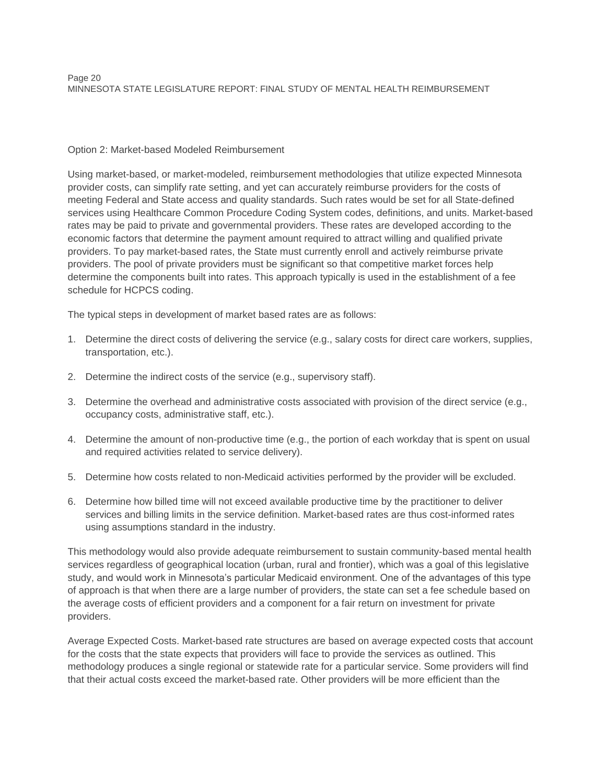# Option 2: Market-based Modeled Reimbursement

Using market-based, or market-modeled, reimbursement methodologies that utilize expected Minnesota provider costs, can simplify rate setting, and yet can accurately reimburse providers for the costs of meeting Federal and State access and quality standards. Such rates would be set for all State-defined services using Healthcare Common Procedure Coding System codes, definitions, and units. Market-based rates may be paid to private and governmental providers. These rates are developed according to the economic factors that determine the payment amount required to attract willing and qualified private providers. To pay market-based rates, the State must currently enroll and actively reimburse private providers. The pool of private providers must be significant so that competitive market forces help determine the components built into rates. This approach typically is used in the establishment of a fee schedule for HCPCS coding.

The typical steps in development of market based rates are as follows:

- 1. Determine the direct costs of delivering the service (e.g., salary costs for direct care workers, supplies, transportation, etc.).
- 2. Determine the indirect costs of the service (e.g., supervisory staff).
- 3. Determine the overhead and administrative costs associated with provision of the direct service (e.g., occupancy costs, administrative staff, etc.).
- 4. Determine the amount of non-productive time (e.g., the portion of each workday that is spent on usual and required activities related to service delivery).
- 5. Determine how costs related to non-Medicaid activities performed by the provider will be excluded.
- 6. Determine how billed time will not exceed available productive time by the practitioner to deliver services and billing limits in the service definition. Market-based rates are thus cost-informed rates using assumptions standard in the industry.

This methodology would also provide adequate reimbursement to sustain community-based mental health services regardless of geographical location (urban, rural and frontier), which was a goal of this legislative study, and would work in Minnesota's particular Medicaid environment. One of the advantages of this type of approach is that when there are a large number of providers, the state can set a fee schedule based on the average costs of efficient providers and a component for a fair return on investment for private providers.

Average Expected Costs. Market-based rate structures are based on average expected costs that account for the costs that the state expects that providers will face to provide the services as outlined. This methodology produces a single regional or statewide rate for a particular service. Some providers will find that their actual costs exceed the market-based rate. Other providers will be more efficient than the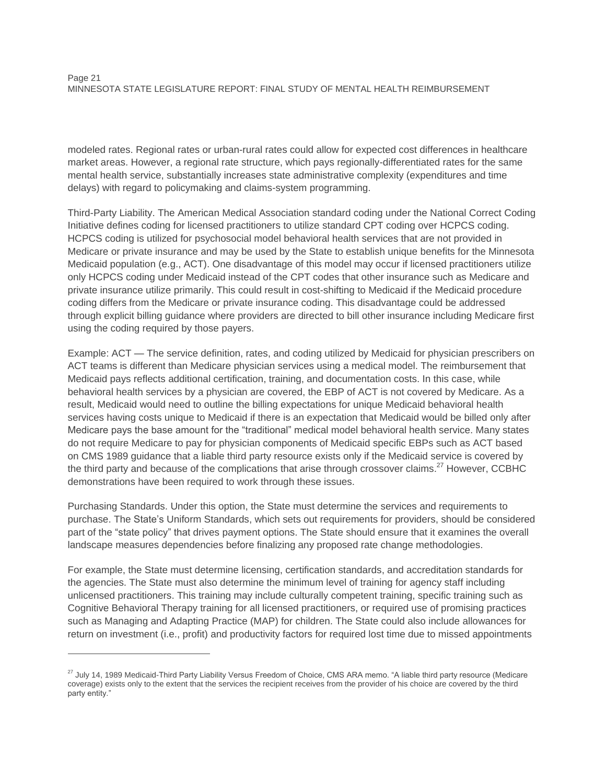modeled rates. Regional rates or urban-rural rates could allow for expected cost differences in healthcare market areas. However, a regional rate structure, which pays regionally-differentiated rates for the same mental health service, substantially increases state administrative complexity (expenditures and time delays) with regard to policymaking and claims-system programming.

Third-Party Liability. The American Medical Association standard coding under the National Correct Coding Initiative defines coding for licensed practitioners to utilize standard CPT coding over HCPCS coding. HCPCS coding is utilized for psychosocial model behavioral health services that are not provided in Medicare or private insurance and may be used by the State to establish unique benefits for the Minnesota Medicaid population (e.g., ACT). One disadvantage of this model may occur if licensed practitioners utilize only HCPCS coding under Medicaid instead of the CPT codes that other insurance such as Medicare and private insurance utilize primarily. This could result in cost-shifting to Medicaid if the Medicaid procedure coding differs from the Medicare or private insurance coding. This disadvantage could be addressed through explicit billing guidance where providers are directed to bill other insurance including Medicare first using the coding required by those payers.

Example: ACT — The service definition, rates, and coding utilized by Medicaid for physician prescribers on ACT teams is different than Medicare physician services using a medical model. The reimbursement that Medicaid pays reflects additional certification, training, and documentation costs. In this case, while behavioral health services by a physician are covered, the EBP of ACT is not covered by Medicare. As a result, Medicaid would need to outline the billing expectations for unique Medicaid behavioral health services having costs unique to Medicaid if there is an expectation that Medicaid would be billed only after Medicare pays the base amount for the "traditional" medical model behavioral health service. Many states do not require Medicare to pay for physician components of Medicaid specific EBPs such as ACT based on CMS 1989 guidance that a liable third party resource exists only if the Medicaid service is covered by the third party and because of the complications that arise through crossover claims.<sup>27</sup> However, CCBHC demonstrations have been required to work through these issues.

Purchasing Standards. Under this option, the State must determine the services and requirements to purchase. The State's Uniform Standards, which sets out requirements for providers, should be considered part of the "state policy" that drives payment options. The State should ensure that it examines the overall landscape measures dependencies before finalizing any proposed rate change methodologies.

For example, the State must determine licensing, certification standards, and accreditation standards for the agencies. The State must also determine the minimum level of training for agency staff including unlicensed practitioners. This training may include culturally competent training, specific training such as Cognitive Behavioral Therapy training for all licensed practitioners, or required use of promising practices such as Managing and Adapting Practice (MAP) for children. The State could also include allowances for return on investment (i.e., profit) and productivity factors for required lost time due to missed appointments

<sup>&</sup>lt;sup>27</sup> July 14, 1989 Medicaid-Third Party Liability Versus Freedom of Choice, CMS ARA memo. "A liable third party resource (Medicare coverage) exists only to the extent that the services the recipient receives from the provider of his choice are covered by the third party entity."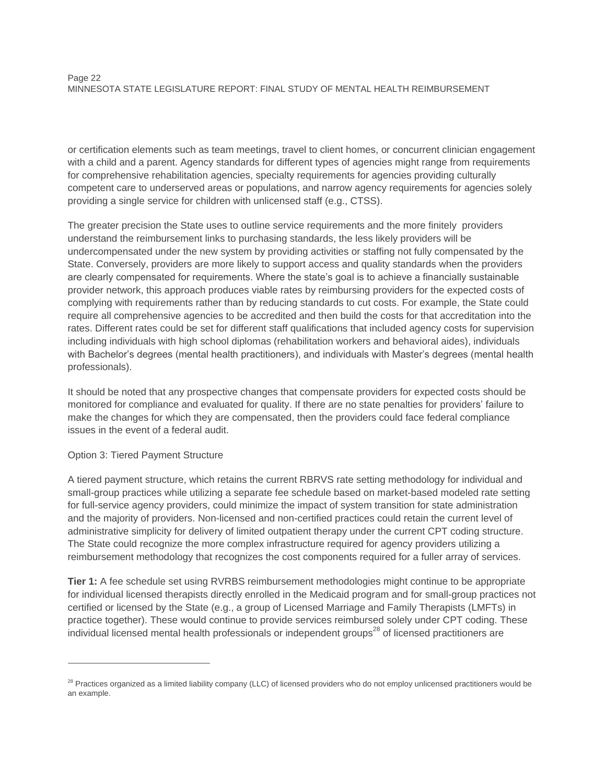or certification elements such as team meetings, travel to client homes, or concurrent clinician engagement with a child and a parent. Agency standards for different types of agencies might range from requirements for comprehensive rehabilitation agencies, specialty requirements for agencies providing culturally competent care to underserved areas or populations, and narrow agency requirements for agencies solely providing a single service for children with unlicensed staff (e.g., CTSS).

The greater precision the State uses to outline service requirements and the more finitely providers understand the reimbursement links to purchasing standards, the less likely providers will be undercompensated under the new system by providing activities or staffing not fully compensated by the State. Conversely, providers are more likely to support access and quality standards when the providers are clearly compensated for requirements. Where the state's goal is to achieve a financially sustainable provider network, this approach produces viable rates by reimbursing providers for the expected costs of complying with requirements rather than by reducing standards to cut costs. For example, the State could require all comprehensive agencies to be accredited and then build the costs for that accreditation into the rates. Different rates could be set for different staff qualifications that included agency costs for supervision including individuals with high school diplomas (rehabilitation workers and behavioral aides), individuals with Bachelor's degrees (mental health practitioners), and individuals with Master's degrees (mental health professionals).

It should be noted that any prospective changes that compensate providers for expected costs should be monitored for compliance and evaluated for quality. If there are no state penalties for providers' failure to make the changes for which they are compensated, then the providers could face federal compliance issues in the event of a federal audit.

# Option 3: Tiered Payment Structure

 $\overline{a}$ 

A tiered payment structure, which retains the current RBRVS rate setting methodology for individual and small-group practices while utilizing a separate fee schedule based on market-based modeled rate setting for full-service agency providers, could minimize the impact of system transition for state administration and the majority of providers. Non-licensed and non-certified practices could retain the current level of administrative simplicity for delivery of limited outpatient therapy under the current CPT coding structure. The State could recognize the more complex infrastructure required for agency providers utilizing a reimbursement methodology that recognizes the cost components required for a fuller array of services.

**Tier 1:** A fee schedule set using RVRBS reimbursement methodologies might continue to be appropriate for individual licensed therapists directly enrolled in the Medicaid program and for small-group practices not certified or licensed by the State (e.g., a group of Licensed Marriage and Family Therapists (LMFTs) in practice together). These would continue to provide services reimbursed solely under CPT coding. These individual licensed mental health professionals or independent groups<sup>28</sup> of licensed practitioners are

<sup>&</sup>lt;sup>28</sup> Practices organized as a limited liability company (LLC) of licensed providers who do not employ unlicensed practitioners would be an example.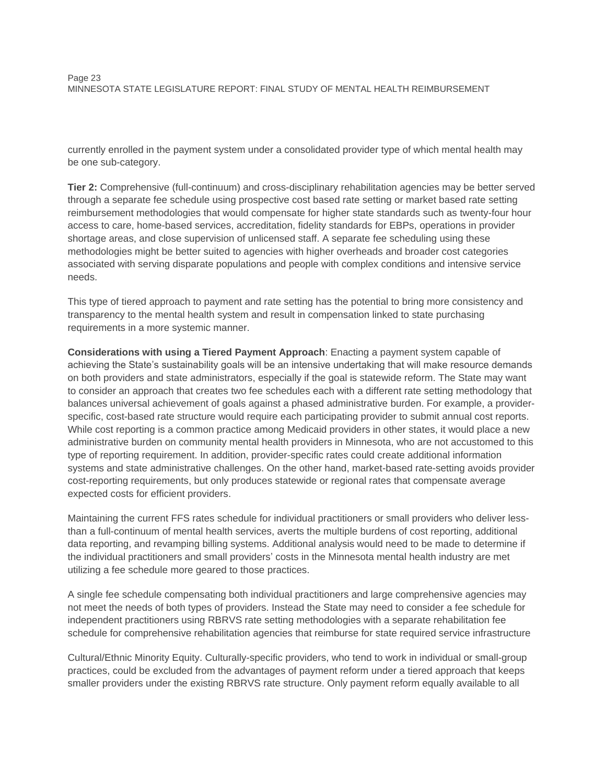currently enrolled in the payment system under a consolidated provider type of which mental health may be one sub-category.

**Tier 2:** Comprehensive (full-continuum) and cross-disciplinary rehabilitation agencies may be better served through a separate fee schedule using prospective cost based rate setting or market based rate setting reimbursement methodologies that would compensate for higher state standards such as twenty-four hour access to care, home-based services, accreditation, fidelity standards for EBPs, operations in provider shortage areas, and close supervision of unlicensed staff. A separate fee scheduling using these methodologies might be better suited to agencies with higher overheads and broader cost categories associated with serving disparate populations and people with complex conditions and intensive service needs.

This type of tiered approach to payment and rate setting has the potential to bring more consistency and transparency to the mental health system and result in compensation linked to state purchasing requirements in a more systemic manner.

**Considerations with using a Tiered Payment Approach**: Enacting a payment system capable of achieving the State's sustainability goals will be an intensive undertaking that will make resource demands on both providers and state administrators, especially if the goal is statewide reform. The State may want to consider an approach that creates two fee schedules each with a different rate setting methodology that balances universal achievement of goals against a phased administrative burden. For example, a providerspecific, cost-based rate structure would require each participating provider to submit annual cost reports. While cost reporting is a common practice among Medicaid providers in other states, it would place a new administrative burden on community mental health providers in Minnesota, who are not accustomed to this type of reporting requirement. In addition, provider-specific rates could create additional information systems and state administrative challenges. On the other hand, market-based rate-setting avoids provider cost-reporting requirements, but only produces statewide or regional rates that compensate average expected costs for efficient providers.

Maintaining the current FFS rates schedule for individual practitioners or small providers who deliver lessthan a full-continuum of mental health services, averts the multiple burdens of cost reporting, additional data reporting, and revamping billing systems. Additional analysis would need to be made to determine if the individual practitioners and small providers' costs in the Minnesota mental health industry are met utilizing a fee schedule more geared to those practices.

A single fee schedule compensating both individual practitioners and large comprehensive agencies may not meet the needs of both types of providers. Instead the State may need to consider a fee schedule for independent practitioners using RBRVS rate setting methodologies with a separate rehabilitation fee schedule for comprehensive rehabilitation agencies that reimburse for state required service infrastructure

Cultural/Ethnic Minority Equity. Culturally-specific providers, who tend to work in individual or small-group practices, could be excluded from the advantages of payment reform under a tiered approach that keeps smaller providers under the existing RBRVS rate structure. Only payment reform equally available to all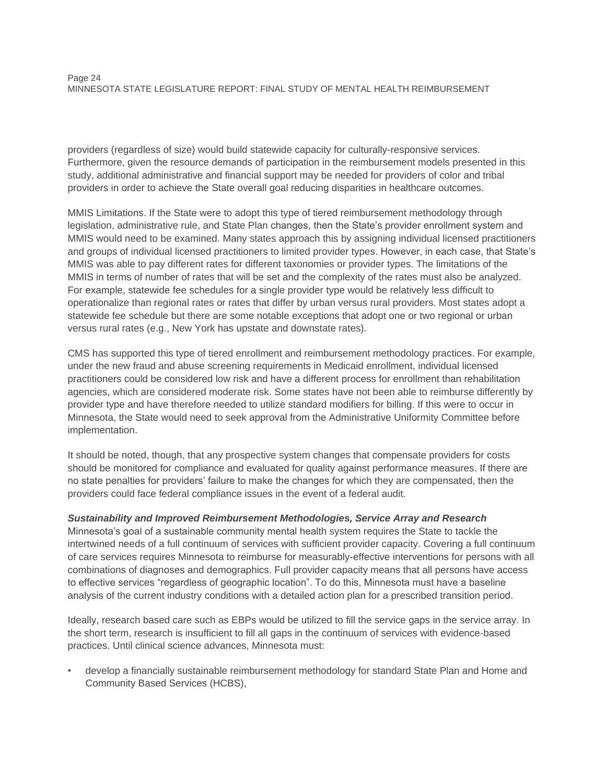#### Page 24 MINNESOTA STATE LEGISLATURE REPORT: FINAL STUDY OF MENTAL HEALTH REIMBURSEMENT

providers (regardless of size) would build statewide capacity for culturally-responsive services. Furthermore, given the resource demands of participation in the reimbursement models presented in this study, additional administrative and financial support may be needed for providers of color and tribal providers in order to achieve the State overall goal reducing disparities in healthcare outcomes.

MMIS Limitations. If the State were to adopt this type of tiered reimbursement methodology through legislation, administrative rule, and State Plan changes, then the State's provider enrollment system and MMIS would need to be examined. Many states approach this by assigning individual licensed practitioners and groups of individual licensed practitioners to limited provider types. However, in each case, that State's MMIS was able to pay different rates for different taxonomies or provider types. The limitations of the MMIS in terms of number of rates that will be set and the complexity of the rates must also be analyzed. For example, statewide fee schedules for a single provider type would be relatively less difficult to operationalize than regional rates or rates that differ by urban versus rural providers. Most states adopt a statewide fee schedule but there are some notable exceptions that adopt one or two regional or urban versus rural rates (e.g., New York has upstate and downstate rates).

CMS has supported this type of tiered enrollment and reimbursement methodology practices. For example, under the new fraud and abuse screening requirements in Medicaid enrollment, individual licensed practitioners could be considered low risk and have a different process for enrollment than rehabilitation agencies, which are considered moderate risk. Some states have not been able to reimburse differently by provider type and have therefore needed to utilize standard modifiers for billing. If this were to occur in Minnesota, the State would need to seek approval from the Administrative Uniformity Committee before implementation.

It should be noted, though, that any prospective system changes that compensate providers for costs should be monitored for compliance and evaluated for quality against performance measures. If there are no state penalties for providers' failure to make the changes for which they are compensated, then the providers could face federal compliance issues in the event of a federal audit.

# *Sustainability and Improved Reimbursement Methodologies, Service Array and Research*

Minnesota's goal of a sustainable community mental health system requires the State to tackle the intertwined needs of a full continuum of services with sufficient provider capacity. Covering a full continuum of care services requires Minnesota to reimburse for measurably-effective interventions for persons with all combinations of diagnoses and demographics. Full provider capacity means that all persons have access to effective services "regardless of geographic location". To do this, Minnesota must have a baseline analysis of the current industry conditions with a detailed action plan for a prescribed transition period.

Ideally, research based care such as EBPs would be utilized to fill the service gaps in the service array. In the short term, research is insufficient to fill all gaps in the continuum of services with evidence-based practices. Until clinical science advances, Minnesota must:

• develop a financially sustainable reimbursement methodology for standard State Plan and Home and Community Based Services (HCBS),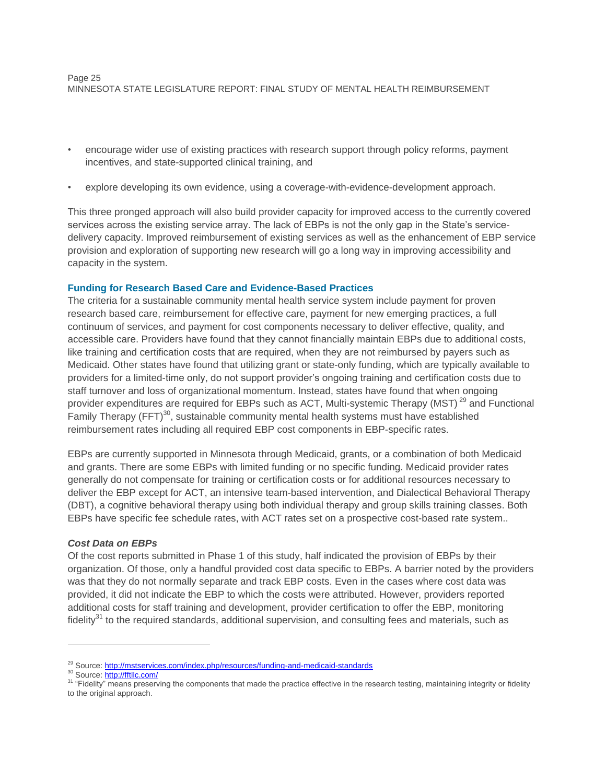- encourage wider use of existing practices with research support through policy reforms, payment incentives, and state-supported clinical training, and
- explore developing its own evidence, using a coverage-with-evidence-development approach.

This three pronged approach will also build provider capacity for improved access to the currently covered services across the existing service array. The lack of EBPs is not the only gap in the State's servicedelivery capacity. Improved reimbursement of existing services as well as the enhancement of EBP service provision and exploration of supporting new research will go a long way in improving accessibility and capacity in the system.

# **Funding for Research Based Care and Evidence-Based Practices**

The criteria for a sustainable community mental health service system include payment for proven research based care, reimbursement for effective care, payment for new emerging practices, a full continuum of services, and payment for cost components necessary to deliver effective, quality, and accessible care. Providers have found that they cannot financially maintain EBPs due to additional costs, like training and certification costs that are required, when they are not reimbursed by payers such as Medicaid. Other states have found that utilizing grant or state-only funding, which are typically available to providers for a limited-time only, do not support provider's ongoing training and certification costs due to staff turnover and loss of organizational momentum. Instead, states have found that when ongoing provider expenditures are required for EBPs such as ACT, Multi-systemic Therapy (MST)<sup>29</sup> and Functional Family Therapy (FFT)<sup>30</sup>, sustainable community mental health systems must have established reimbursement rates including all required EBP cost components in EBP-specific rates.

EBPs are currently supported in Minnesota through Medicaid, grants, or a combination of both Medicaid and grants. There are some EBPs with limited funding or no specific funding. Medicaid provider rates generally do not compensate for training or certification costs or for additional resources necessary to deliver the EBP except for ACT, an intensive team-based intervention, and Dialectical Behavioral Therapy (DBT), a cognitive behavioral therapy using both individual therapy and group skills training classes. Both EBPs have specific fee schedule rates, with ACT rates set on a prospective cost-based rate system..

# *Cost Data on EBPs*

Of the cost reports submitted in Phase 1 of this study, half indicated the provision of EBPs by their organization. Of those, only a handful provided cost data specific to EBPs. A barrier noted by the providers was that they do not normally separate and track EBP costs. Even in the cases where cost data was provided, it did not indicate the EBP to which the costs were attributed. However, providers reported additional costs for staff training and development, provider certification to offer the EBP, monitoring fidelity $31$  to the required standards, additional supervision, and consulting fees and materials, such as

<sup>&</sup>lt;sup>29</sup> Source:<http://mstservices.com/index.php/resources/funding-and-medicaid-standards>

<sup>&</sup>lt;sup>30</sup> Source:<http://fftllc.com/>

<sup>&</sup>lt;sup>31</sup> "Fidelity" means preserving the components that made the practice effective in the research testing, maintaining integrity or fidelity to the original approach.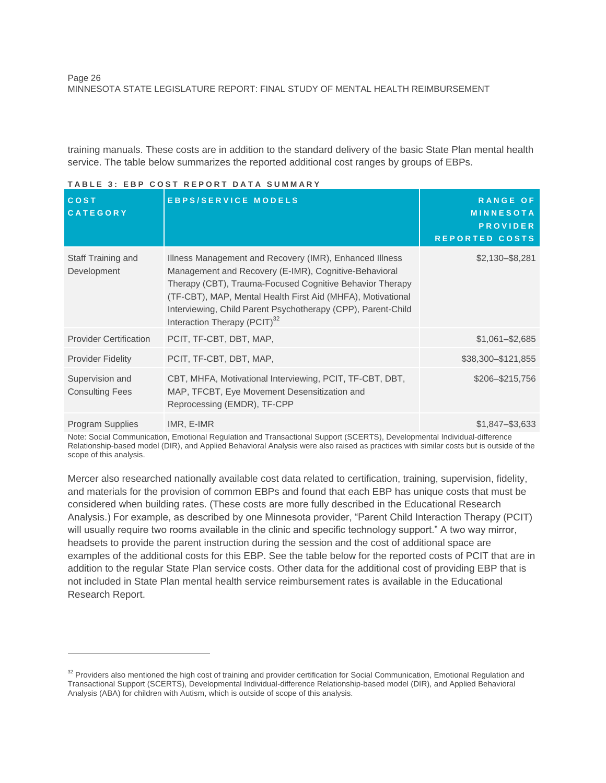Page 26 MINNESOTA STATE LEGISLATURE REPORT: FINAL STUDY OF MENTAL HEALTH REIMBURSEMENT

training manuals. These costs are in addition to the standard delivery of the basic State Plan mental health service. The table below summarizes the reported additional cost ranges by groups of EBPs.

|                                           | I A D L L J .   L D I     U V V I   I L I   V I\ I   D A I A   V V III III A I\ I                                                                                                                                                                                                                                                                       |                                                                                 |
|-------------------------------------------|---------------------------------------------------------------------------------------------------------------------------------------------------------------------------------------------------------------------------------------------------------------------------------------------------------------------------------------------------------|---------------------------------------------------------------------------------|
| <b>COST</b><br><b>CATEGORY</b>            | <b>EBPS/SERVICE MODELS</b>                                                                                                                                                                                                                                                                                                                              | <b>RANGE OF</b><br><b>MINNESOTA</b><br><b>PROVIDER</b><br><b>REPORTED COSTS</b> |
| Staff Training and<br>Development         | Illness Management and Recovery (IMR), Enhanced Illness<br>Management and Recovery (E-IMR), Cognitive-Behavioral<br>Therapy (CBT), Trauma-Focused Cognitive Behavior Therapy<br>(TF-CBT), MAP, Mental Health First Aid (MHFA), Motivational<br>Interviewing, Child Parent Psychotherapy (CPP), Parent-Child<br>Interaction Therapy (PCIT) <sup>32</sup> | $$2,130 - $8,281$                                                               |
| <b>Provider Certification</b>             | PCIT, TF-CBT, DBT, MAP,                                                                                                                                                                                                                                                                                                                                 | $$1,061 - $2,685$                                                               |
| <b>Provider Fidelity</b>                  | PCIT, TF-CBT, DBT, MAP,                                                                                                                                                                                                                                                                                                                                 | \$38,300-\$121,855                                                              |
| Supervision and<br><b>Consulting Fees</b> | CBT, MHFA, Motivational Interviewing, PCIT, TF-CBT, DBT,<br>MAP, TFCBT, Eye Movement Desensitization and<br>Reprocessing (EMDR), TF-CPP                                                                                                                                                                                                                 | \$206-\$215,756                                                                 |
| Program Supplies                          | IMR, E-IMR                                                                                                                                                                                                                                                                                                                                              | $$1,847 - $3,633$                                                               |

#### **T A B L E 3 : E B P C O S T R E P O R T D A T A S U M M A R Y**

 $\overline{a}$ 

Note: Social Communication, Emotional Regulation and Transactional Support (SCERTS), Developmental Individual-difference Relationship-based model (DIR), and Applied Behavioral Analysis were also raised as practices with similar costs but is outside of the scope of this analysis.

Mercer also researched nationally available cost data related to certification, training, supervision, fidelity, and materials for the provision of common EBPs and found that each EBP has unique costs that must be considered when building rates. (These costs are more fully described in the Educational Research Analysis.) For example, as described by one Minnesota provider, "Parent Child Interaction Therapy (PCIT) will usually require two rooms available in the clinic and specific technology support." A two way mirror, headsets to provide the parent instruction during the session and the cost of additional space are examples of the additional costs for this EBP. See the table below for the reported costs of PCIT that are in addition to the regular State Plan service costs. Other data for the additional cost of providing EBP that is not included in State Plan mental health service reimbursement rates is available in the Educational Research Report.

<sup>&</sup>lt;sup>32</sup> Providers also mentioned the high cost of training and provider certification for Social Communication, Emotional Regulation and Transactional Support (SCERTS), Developmental Individual-difference Relationship-based model (DIR), and Applied Behavioral Analysis (ABA) for children with Autism, which is outside of scope of this analysis.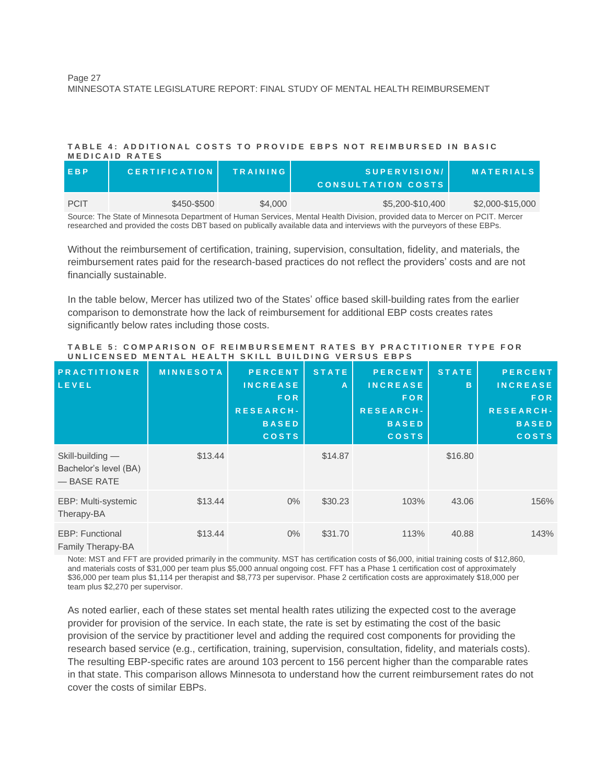#### **T A B L E 4 : A D D I T I O N A L C O S T S T O P R O V I D E E B P S N O T R E I M B U R S E D I N B A S I C M E D I C A I D R A T E S**

| EBP         | <b>CERTIFICATION</b> | <b>TRAINING</b> | SUPERVISION/<br>CONSULTATION COSTS | <b>MATERIALS</b> |
|-------------|----------------------|-----------------|------------------------------------|------------------|
| <b>PCIT</b> | \$450-\$500          | \$4,000         | \$5,200-\$10,400                   | \$2,000-\$15,000 |

Source: The State of Minnesota Department of Human Services, Mental Health Division, provided data to Mercer on PCIT. Mercer researched and provided the costs DBT based on publically available data and interviews with the purveyors of these EBPs.

Without the reimbursement of certification, training, supervision, consultation, fidelity, and materials, the reimbursement rates paid for the research-based practices do not reflect the providers' costs and are not financially sustainable.

In the table below, Mercer has utilized two of the States' office based skill-building rates from the earlier comparison to demonstrate how the lack of reimbursement for additional EBP costs creates rates significantly below rates including those costs.

| <b>PRACTITIONER</b><br>LEVEL                              | <b>MINNESOTA</b> | <b>PERCENT</b><br><b>INCREASE</b><br><b>FOR</b><br><b>RESEARCH-</b><br><b>BASED</b><br><b>COSTS</b> | <b>STATE</b><br>A | <b>PERCENT</b><br><b>INCREASE</b><br><b>FOR</b><br><b>RESEARCH-</b><br><b>BASED</b><br><b>COSTS</b> | <b>STATE</b><br>B | <b>PERCENT</b><br><b>INCREASE</b><br><b>FOR</b><br>RESEARCH-<br><b>BASED</b><br><b>COSTS</b> |
|-----------------------------------------------------------|------------------|-----------------------------------------------------------------------------------------------------|-------------------|-----------------------------------------------------------------------------------------------------|-------------------|----------------------------------------------------------------------------------------------|
| Skill-building —<br>Bachelor's level (BA)<br>- BASE RATE  | \$13.44          |                                                                                                     | \$14.87           |                                                                                                     | \$16.80           |                                                                                              |
| EBP: Multi-systemic<br>Therapy-BA                         | \$13.44          | $0\%$                                                                                               | \$30.23           | 103%                                                                                                | 43.06             | 156%                                                                                         |
| <b>EBP: Functional</b><br>$F_{\alpha\beta}$ There $\beta$ | \$13.44          | $0\%$                                                                                               | \$31.70           | 113%                                                                                                | 40.88             | 143%                                                                                         |

#### **T A B L E 5 : C O M P A R I S O N O F R E I M B U R S E M E N T R A T E S B Y P R A C T I T I O N E R T Y P E F O R UNLICENSED MENTAL HEALTH SKILL BUILDING VERSUS EBPS**

Family Therapy-BA

Note: MST and FFT are provided primarily in the community. MST has certification costs of \$6,000, initial training costs of \$12,860, and materials costs of \$31,000 per team plus \$5,000 annual ongoing cost. FFT has a Phase 1 certification cost of approximately \$36,000 per team plus \$1,114 per therapist and \$8,773 per supervisor. Phase 2 certification costs are approximately \$18,000 per team plus \$2,270 per supervisor.

As noted earlier, each of these states set mental health rates utilizing the expected cost to the average provider for provision of the service. In each state, the rate is set by estimating the cost of the basic provision of the service by practitioner level and adding the required cost components for providing the research based service (e.g., certification, training, supervision, consultation, fidelity, and materials costs). The resulting EBP-specific rates are around 103 percent to 156 percent higher than the comparable rates in that state. This comparison allows Minnesota to understand how the current reimbursement rates do not cover the costs of similar EBPs.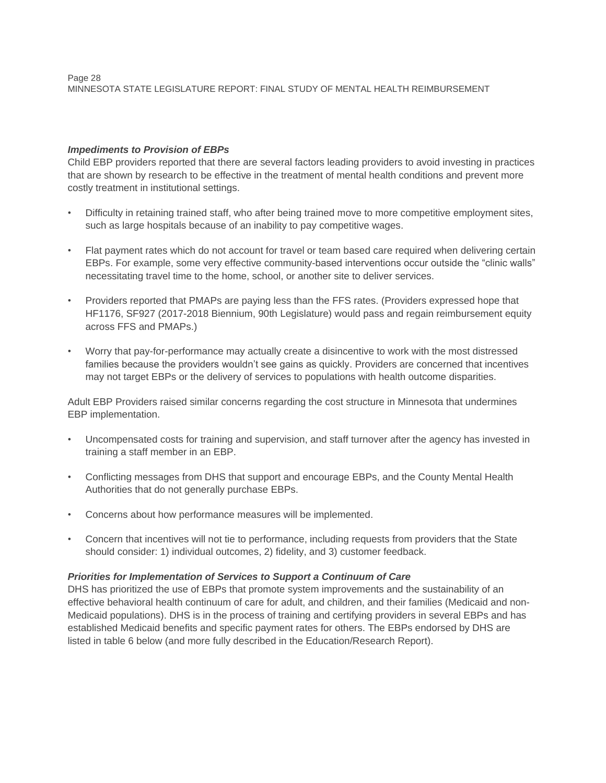# *Impediments to Provision of EBPs*

Child EBP providers reported that there are several factors leading providers to avoid investing in practices that are shown by research to be effective in the treatment of mental health conditions and prevent more costly treatment in institutional settings.

- Difficulty in retaining trained staff, who after being trained move to more competitive employment sites, such as large hospitals because of an inability to pay competitive wages.
- Flat payment rates which do not account for travel or team based care required when delivering certain EBPs. For example, some very effective community-based interventions occur outside the "clinic walls" necessitating travel time to the home, school, or another site to deliver services.
- Providers reported that PMAPs are paying less than the FFS rates. (Providers expressed hope that HF1176, SF927 (2017-2018 Biennium, 90th Legislature) would pass and regain reimbursement equity across FFS and PMAPs.)
- Worry that pay-for-performance may actually create a disincentive to work with the most distressed families because the providers wouldn't see gains as quickly. Providers are concerned that incentives may not target EBPs or the delivery of services to populations with health outcome disparities.

Adult EBP Providers raised similar concerns regarding the cost structure in Minnesota that undermines EBP implementation.

- Uncompensated costs for training and supervision, and staff turnover after the agency has invested in training a staff member in an EBP.
- Conflicting messages from DHS that support and encourage EBPs, and the County Mental Health Authorities that do not generally purchase EBPs.
- Concerns about how performance measures will be implemented.
- Concern that incentives will not tie to performance, including requests from providers that the State should consider: 1) individual outcomes, 2) fidelity, and 3) customer feedback.

# *Priorities for Implementation of Services to Support a Continuum of Care*

DHS has prioritized the use of EBPs that promote system improvements and the sustainability of an effective behavioral health continuum of care for adult, and children, and their families (Medicaid and non-Medicaid populations). DHS is in the process of training and certifying providers in several EBPs and has established Medicaid benefits and specific payment rates for others. The EBPs endorsed by DHS are listed in table 6 below (and more fully described in the Education/Research Report).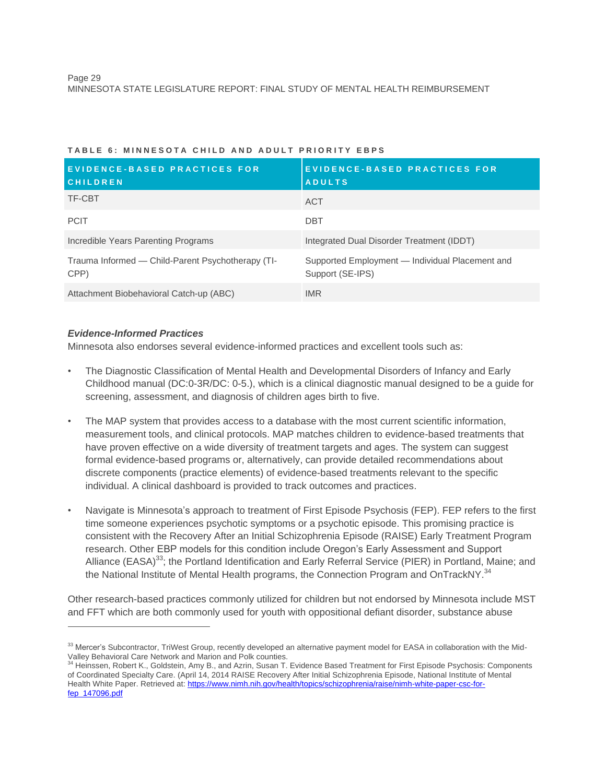| EVIDENCE-BASED PRACTICES FOR<br><b>CHILDREN</b>           | <b>EVIDENCE-BASED PRACTICES FOR</b><br><b>ADULTS</b>                |
|-----------------------------------------------------------|---------------------------------------------------------------------|
| TF-CBT                                                    | ACT                                                                 |
| <b>PCIT</b>                                               | <b>DBT</b>                                                          |
| Incredible Years Parenting Programs                       | Integrated Dual Disorder Treatment (IDDT)                           |
| Trauma Informed — Child-Parent Psychotherapy (TI-<br>CPP) | Supported Employment — Individual Placement and<br>Support (SE-IPS) |
| Attachment Biobehavioral Catch-up (ABC)                   | <b>IMR</b>                                                          |

#### **T A B L E 6 : M I N N E S O T A C H I L D A N D A D U L T P R I O R I T Y E B P S**

# *Evidence-Informed Practices*

 $\overline{a}$ 

Minnesota also endorses several evidence-informed practices and excellent tools such as:

- The Diagnostic Classification of Mental Health and Developmental Disorders of Infancy and Early Childhood manual (DC:0-3R/DC: 0-5.), which is a clinical diagnostic manual designed to be a guide for screening, assessment, and diagnosis of children ages birth to five.
- The MAP system that provides access to a database with the most current scientific information, measurement tools, and clinical protocols. MAP matches children to evidence-based treatments that have proven effective on a wide diversity of treatment targets and ages. The system can suggest formal evidence-based programs or, alternatively, can provide detailed recommendations about discrete components (practice elements) of evidence-based treatments relevant to the specific individual. A clinical dashboard is provided to track outcomes and practices.
- Navigate is Minnesota's approach to treatment of First Episode Psychosis (FEP). FEP refers to the first time someone experiences psychotic symptoms or a psychotic episode. This promising practice is consistent with the Recovery After an Initial Schizophrenia Episode (RAISE) Early Treatment Program research. Other EBP models for this condition include Oregon's Early Assessment and Support Alliance (EASA)<sup>33</sup>; the Portland Identification and Early Referral Service (PIER) in Portland, Maine; and the National Institute of Mental Health programs, the Connection Program and OnTrackNY.<sup>34</sup>

Other research-based practices commonly utilized for children but not endorsed by Minnesota include MST and FFT which are both commonly used for youth with oppositional defiant disorder, substance abuse

<sup>&</sup>lt;sup>33</sup> Mercer's Subcontractor, TriWest Group, recently developed an alternative payment model for EASA in collaboration with the Mid-Valley Behavioral Care Network and Marion and Polk counties.<br><sup>34</sup> Heinssen, Bohert K., Coldstein, Amy P., and Arrin, System T.

Heinssen, Robert K., Goldstein, Amy B., and Azrin, Susan T. Evidence Based Treatment for First Episode Psychosis: Components of Coordinated Specialty Care. (April 14, 2014 RAISE Recovery After Initial Schizophrenia Episode, National Institute of Mental Health White Paper. Retrieved at: [https://www.nimh.nih.gov/health/topics/schizophrenia/raise/nimh-white-paper-csc-for](https://www.nimh.nih.gov/health/topics/schizophrenia/raise/nimh-white-paper-csc-for-fep_147096.pdf)[fep\\_147096.pdf](https://www.nimh.nih.gov/health/topics/schizophrenia/raise/nimh-white-paper-csc-for-fep_147096.pdf)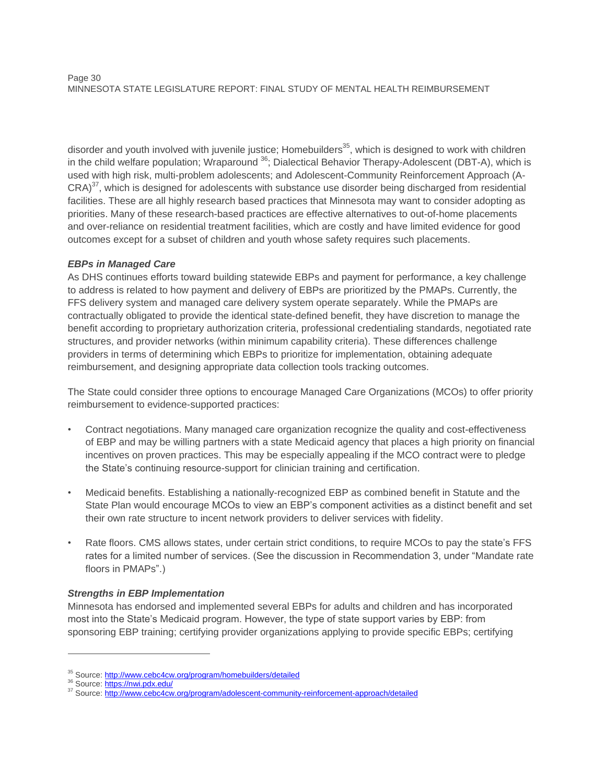#### Page 30 MINNESOTA STATE LEGISLATURE REPORT: FINAL STUDY OF MENTAL HEALTH REIMBURSEMENT

disorder and youth involved with juvenile justice; Homebuilders $35$ , which is designed to work with children in the child welfare population; Wraparound <sup>36</sup>; Dialectical Behavior Therapy-Adolescent (DBT-A), which is used with high risk, multi-problem adolescents; and Adolescent-Community Reinforcement Approach (A- $CRA$ <sup>37</sup>, which is designed for adolescents with substance use disorder being discharged from residential facilities. These are all highly research based practices that Minnesota may want to consider adopting as priorities. Many of these research-based practices are effective alternatives to out-of-home placements and over-reliance on residential treatment facilities, which are costly and have limited evidence for good outcomes except for a subset of children and youth whose safety requires such placements.

# *EBPs in Managed Care*

As DHS continues efforts toward building statewide EBPs and payment for performance, a key challenge to address is related to how payment and delivery of EBPs are prioritized by the PMAPs. Currently, the FFS delivery system and managed care delivery system operate separately. While the PMAPs are contractually obligated to provide the identical state-defined benefit, they have discretion to manage the benefit according to proprietary authorization criteria, professional credentialing standards, negotiated rate structures, and provider networks (within minimum capability criteria). These differences challenge providers in terms of determining which EBPs to prioritize for implementation, obtaining adequate reimbursement, and designing appropriate data collection tools tracking outcomes.

The State could consider three options to encourage Managed Care Organizations (MCOs) to offer priority reimbursement to evidence-supported practices:

- Contract negotiations. Many managed care organization recognize the quality and cost-effectiveness of EBP and may be willing partners with a state Medicaid agency that places a high priority on financial incentives on proven practices. This may be especially appealing if the MCO contract were to pledge the State's continuing resource-support for clinician training and certification.
- Medicaid benefits. Establishing a nationally-recognized EBP as combined benefit in Statute and the State Plan would encourage MCOs to view an EBP's component activities as a distinct benefit and set their own rate structure to incent network providers to deliver services with fidelity.
- Rate floors. CMS allows states, under certain strict conditions, to require MCOs to pay the state's FFS rates for a limited number of services. (See the discussion in Recommendation 3, under "Mandate rate floors in PMAPs".)

# *Strengths in EBP Implementation*

Minnesota has endorsed and implemented several EBPs for adults and children and has incorporated most into the State's Medicaid program. However, the type of state support varies by EBP: from sponsoring EBP training; certifying provider organizations applying to provide specific EBPs; certifying

<sup>&</sup>lt;sup>35</sup> Source:<http://www.cebc4cw.org/program/homebuilders/detailed>

<sup>&</sup>lt;sup>36</sup> Source:<https://nwi.pdx.edu/>

<sup>&</sup>lt;sup>37</sup> Source:<http://www.cebc4cw.org/program/adolescent-community-reinforcement-approach/detailed>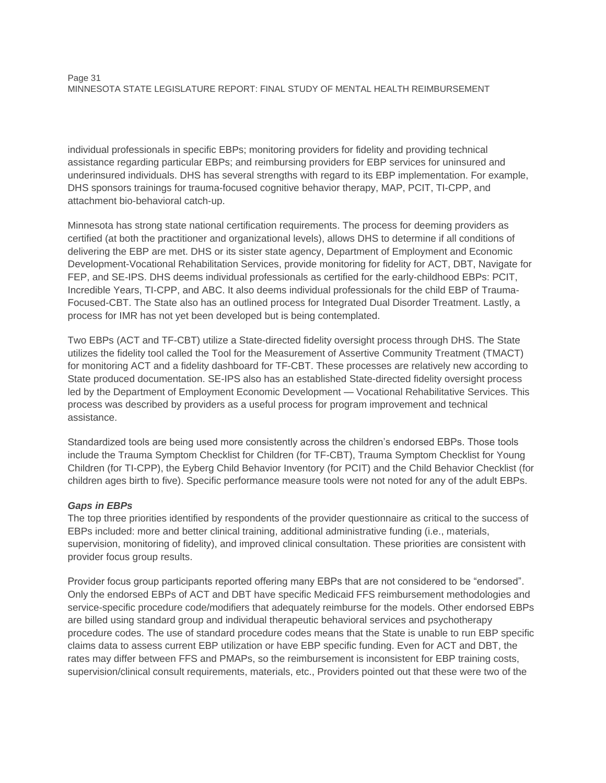individual professionals in specific EBPs; monitoring providers for fidelity and providing technical assistance regarding particular EBPs; and reimbursing providers for EBP services for uninsured and underinsured individuals. DHS has several strengths with regard to its EBP implementation. For example, DHS sponsors trainings for trauma-focused cognitive behavior therapy, MAP, PCIT, TI-CPP, and attachment bio-behavioral catch-up.

Minnesota has strong state national certification requirements. The process for deeming providers as certified (at both the practitioner and organizational levels), allows DHS to determine if all conditions of delivering the EBP are met. DHS or its sister state agency, Department of Employment and Economic Development-Vocational Rehabilitation Services, provide monitoring for fidelity for ACT, DBT, Navigate for FEP, and SE-IPS. DHS deems individual professionals as certified for the early-childhood EBPs: PCIT, Incredible Years, TI-CPP, and ABC. It also deems individual professionals for the child EBP of Trauma-Focused-CBT. The State also has an outlined process for Integrated Dual Disorder Treatment. Lastly, a process for IMR has not yet been developed but is being contemplated.

Two EBPs (ACT and TF-CBT) utilize a State-directed fidelity oversight process through DHS. The State utilizes the fidelity tool called the Tool for the Measurement of Assertive Community Treatment (TMACT) for monitoring ACT and a fidelity dashboard for TF-CBT. These processes are relatively new according to State produced documentation. SE-IPS also has an established State-directed fidelity oversight process led by the Department of Employment Economic Development — Vocational Rehabilitative Services. This process was described by providers as a useful process for program improvement and technical assistance.

Standardized tools are being used more consistently across the children's endorsed EBPs. Those tools include the Trauma Symptom Checklist for Children (for TF-CBT), Trauma Symptom Checklist for Young Children (for TI-CPP), the Eyberg Child Behavior Inventory (for PCIT) and the Child Behavior Checklist (for children ages birth to five). Specific performance measure tools were not noted for any of the adult EBPs.

# *Gaps in EBPs*

The top three priorities identified by respondents of the provider questionnaire as critical to the success of EBPs included: more and better clinical training, additional administrative funding (i.e., materials, supervision, monitoring of fidelity), and improved clinical consultation. These priorities are consistent with provider focus group results.

Provider focus group participants reported offering many EBPs that are not considered to be "endorsed". Only the endorsed EBPs of ACT and DBT have specific Medicaid FFS reimbursement methodologies and service-specific procedure code/modifiers that adequately reimburse for the models. Other endorsed EBPs are billed using standard group and individual therapeutic behavioral services and psychotherapy procedure codes. The use of standard procedure codes means that the State is unable to run EBP specific claims data to assess current EBP utilization or have EBP specific funding. Even for ACT and DBT, the rates may differ between FFS and PMAPs, so the reimbursement is inconsistent for EBP training costs, supervision/clinical consult requirements, materials, etc., Providers pointed out that these were two of the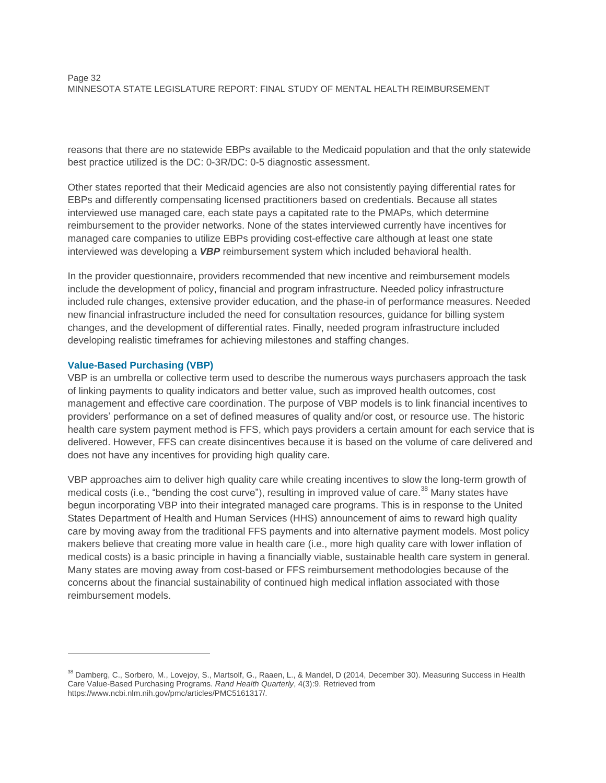reasons that there are no statewide EBPs available to the Medicaid population and that the only statewide best practice utilized is the DC: 0-3R/DC: 0-5 diagnostic assessment.

Other states reported that their Medicaid agencies are also not consistently paying differential rates for EBPs and differently compensating licensed practitioners based on credentials. Because all states interviewed use managed care, each state pays a capitated rate to the PMAPs, which determine reimbursement to the provider networks. None of the states interviewed currently have incentives for managed care companies to utilize EBPs providing cost-effective care although at least one state interviewed was developing a *VBP* reimbursement system which included behavioral health.

In the provider questionnaire, providers recommended that new incentive and reimbursement models include the development of policy, financial and program infrastructure. Needed policy infrastructure included rule changes, extensive provider education, and the phase-in of performance measures. Needed new financial infrastructure included the need for consultation resources, guidance for billing system changes, and the development of differential rates. Finally, needed program infrastructure included developing realistic timeframes for achieving milestones and staffing changes.

# **Value-Based Purchasing (VBP)**

 $\overline{a}$ 

VBP is an umbrella or collective term used to describe the numerous ways purchasers approach the task of linking payments to quality indicators and better value, such as improved health outcomes, cost management and effective care coordination. The purpose of VBP models is to link financial incentives to providers' performance on a set of defined measures of quality and/or cost, or resource use. The historic health care system payment method is FFS, which pays providers a certain amount for each service that is delivered. However, FFS can create disincentives because it is based on the volume of care delivered and does not have any incentives for providing high quality care.

VBP approaches aim to deliver high quality care while creating incentives to slow the long-term growth of medical costs (i.e., "bending the cost curve"), resulting in improved value of care.<sup>38</sup> Many states have begun incorporating VBP into their integrated managed care programs. This is in response to the United States Department of Health and Human Services (HHS) announcement of aims to reward high quality care by moving away from the traditional FFS payments and into alternative payment models. Most policy makers believe that creating more value in health care (i.e., more high quality care with lower inflation of medical costs) is a basic principle in having a financially viable, sustainable health care system in general. Many states are moving away from cost-based or FFS reimbursement methodologies because of the concerns about the financial sustainability of continued high medical inflation associated with those reimbursement models.

<sup>&</sup>lt;sup>38</sup> Damberg, C., Sorbero, M., Lovejoy, S., Martsolf, G., Raaen, L., & Mandel, D (2014, December 30). Measuring Success in Health Care Value-Based Purchasing Programs. *Rand Health Quarterly*, 4(3):9. Retrieved from [https://www.ncbi.nlm.nih.gov/pmc/articles/PMC5161317/.](https://www.ncbi.nlm.nih.gov/pmc/articles/PMC5161317/)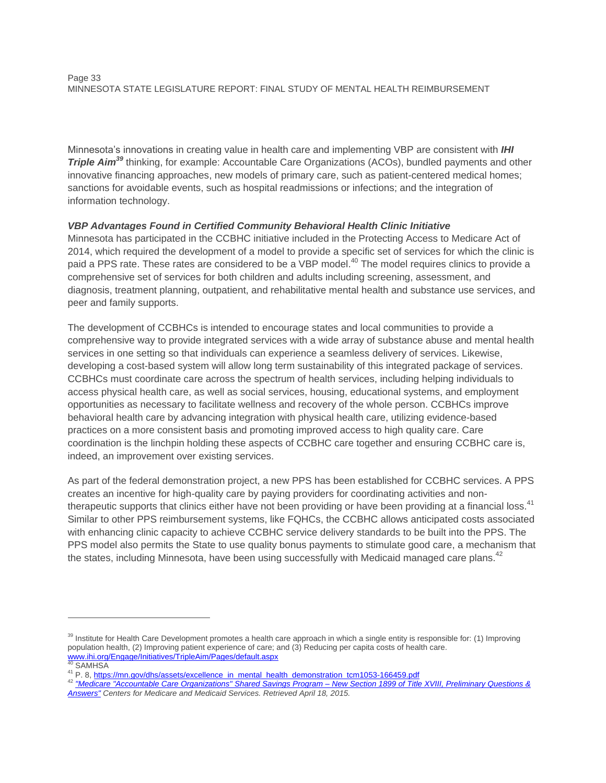Minnesota's innovations in creating value in health care and implementing VBP are consistent with *IHI Triple Aim*<sup>39</sup> thinking, for example: Accountable Care Organizations (ACOs), bundled payments and other innovative financing approaches, new models of primary care, such as patient-centered medical homes; sanctions for avoidable events, such as hospital readmissions or infections; and the integration of information technology.

# *VBP Advantages Found in Certified Community Behavioral Health Clinic Initiative*

Minnesota has participated in the CCBHC initiative included in the Protecting Access to Medicare Act of 2014, which required the development of a model to provide a specific set of services for which the clinic is paid a PPS rate. These rates are considered to be a VBP model.<sup>40</sup> The model requires clinics to provide a comprehensive set of services for both children and adults including screening, assessment, and diagnosis, treatment planning, outpatient, and rehabilitative mental health and substance use services, and peer and family supports.

The development of CCBHCs is intended to encourage states and local communities to provide a comprehensive way to provide integrated services with a wide array of substance abuse and mental health services in one setting so that individuals can experience a seamless delivery of services. Likewise, developing a cost-based system will allow long term sustainability of this integrated package of services. CCBHCs must coordinate care across the spectrum of health services, including helping individuals to access physical health care, as well as social services, housing, educational systems, and employment opportunities as necessary to facilitate wellness and recovery of the whole person. CCBHCs improve behavioral health care by advancing integration with physical health care, utilizing evidence-based practices on a more consistent basis and promoting improved access to high quality care. Care coordination is the linchpin holding these aspects of CCBHC care together and ensuring CCBHC care is, indeed, an improvement over existing services.

As part of the federal demonstration project, a new PPS has been established for CCBHC services. A PPS creates an incentive for high-quality care by paying providers for coordinating activities and nontherapeutic supports that clinics either have not been providing or have been providing at a financial loss.<sup>41</sup> Similar to other PPS reimbursement systems, like FQHCs, the CCBHC allows anticipated costs associated with enhancing clinic capacity to achieve CCBHC service delivery standards to be built into the PPS. The PPS model also permits the State to use quality bonus payments to stimulate good care, a mechanism that the states, including Minnesota, have been using successfully with Medicaid managed care plans.<sup>42</sup>

<sup>&</sup>lt;sup>39</sup> Institute for Health Care Development promotes a health care approach in which a single entity is responsible for: (1) Improving population health, (2) Improving patient experience of care; and (3) Reducing per capita costs of health care. [www.ihi.org/Engage/Initiatives/TripleAim/Pages/default.aspx](file://MERCER.COM/US_HOME/MSP/EGIJA-LOGINA/Peers/www.ihi.org/Engage/Initiatives/TripleAim/Pages/default.aspx)<br>40 SAMUSA

**SAMHSA** 

<sup>&</sup>lt;sup>41</sup> P. 8, [https://mn.gov/dhs/assets/excellence\\_in\\_mental\\_health\\_demonstration\\_tcm1053-166459.pdf](https://mn.gov/dhs/assets/excellence_in_mental_health_demonstration_tcm1053-166459.pdf)

<sup>42</sup> *["Medicare "Accountable Care Organizations" Shared Savings Program –](https://www.aace.com/files/cmspremlimqa.pdf) New Section 1899 of Title XVIII, Preliminary Questions & [Answers"](https://www.aace.com/files/cmspremlimqa.pdf) Centers for Medicare and Medicaid Services. Retrieved April 18, 2015.*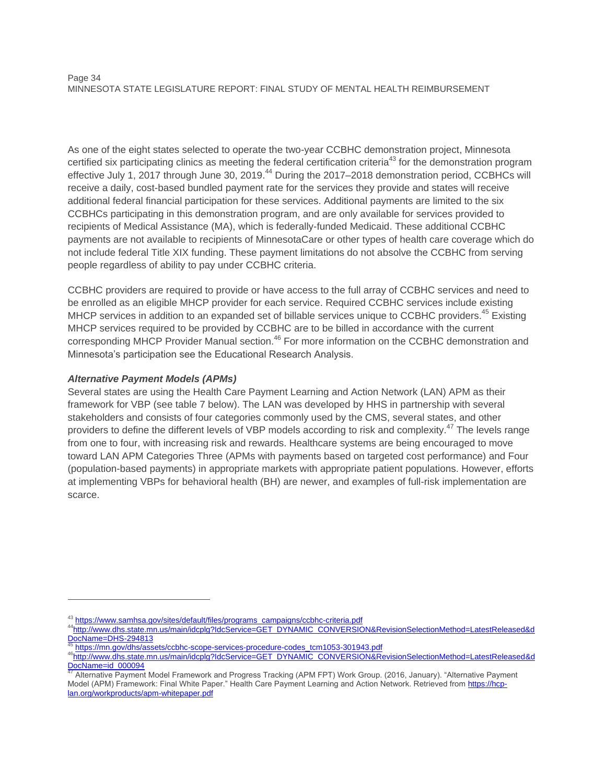#### Page 34 MINNESOTA STATE LEGISLATURE REPORT: FINAL STUDY OF MENTAL HEALTH REIMBURSEMENT

As one of the eight states selected to operate the two-year CCBHC demonstration project, Minnesota certified six participating clinics as meeting the federal certification criteria<sup>43</sup> for the demonstration program effective July 1, 2017 through June 30, 2019.<sup>44</sup> During the 2017–2018 demonstration period, CCBHCs will receive a daily, cost-based bundled payment rate for the services they provide and states will receive additional federal financial participation for these services. Additional payments are limited to the six CCBHCs participating in this demonstration program, and are only available for services provided to recipients of Medical Assistance (MA), which is federally-funded Medicaid. These additional CCBHC payments are not available to recipients of MinnesotaCare or other types of health care coverage which do not include federal Title XIX funding. These payment limitations do not absolve the CCBHC from serving people regardless of ability to pay under CCBHC criteria.

CCBHC providers are required to provide or have access to the full array of CCBHC services and need to be enrolled as an eligible MHCP provider for each service. Required CCBHC services include existing MHCP services in addition to an expanded set of billable services unique to CCBHC providers.<sup>45</sup> Existing MHCP services required to be provided by CCBHC are to be billed in accordance with the current corresponding MHCP Provider Manual section.<sup>46</sup> For more information on the CCBHC demonstration and Minnesota's participation see the Educational Research Analysis.

# *Alternative Payment Models (APMs)*

 $\overline{a}$ 

Several states are using the Health Care Payment Learning and Action Network (LAN) APM as their framework for VBP (see table 7 below). The LAN was developed by HHS in partnership with several stakeholders and consists of four categories commonly used by the CMS, several states, and other providers to define the different levels of VBP models according to risk and complexity.<sup>47</sup> The levels range from one to four, with increasing risk and rewards. Healthcare systems are being encouraged to move toward LAN APM Categories Three (APMs with payments based on targeted cost performance) and Four (population-based payments) in appropriate markets with appropriate patient populations. However, efforts at implementing VBPs for behavioral health (BH) are newer, and examples of full-risk implementation are scarce.

<sup>43</sup> [https://www.samhsa.gov/sites/default/files/programs\\_campaigns/ccbhc-criteria.pdf](https://www.samhsa.gov/sites/default/files/programs_campaigns/ccbhc-criteria.pdf)

<sup>44</sup>[http://www.dhs.state.mn.us/main/idcplg?IdcService=GET\\_DYNAMIC\\_CONVERSION&RevisionSelectionMethod=LatestReleased&d](http://www.dhs.state.mn.us/main/idcplg?IdcService=GET_DYNAMIC_CONVERSION&RevisionSelectionMethod=LatestReleased&dDocName=DHS-294813) [DocName=DHS-294813](http://www.dhs.state.mn.us/main/idcplg?IdcService=GET_DYNAMIC_CONVERSION&RevisionSelectionMethod=LatestReleased&dDocName=DHS-294813)

<sup>45</sup> [https://mn.gov/dhs/assets/ccbhc-scope-services-procedure-codes\\_tcm1053-301943.pdf](https://mn.gov/dhs/assets/ccbhc-scope-services-procedure-codes_tcm1053-301943.pdf)

<sup>46</sup>[http://www.dhs.state.mn.us/main/idcplg?IdcService=GET\\_DYNAMIC\\_CONVERSION&RevisionSelectionMethod=LatestReleased&d](http://www.dhs.state.mn.us/main/idcplg?IdcService=GET_DYNAMIC_CONVERSION&RevisionSelectionMethod=LatestReleased&dDocName=id_000094) [DocName=id\\_000094](http://www.dhs.state.mn.us/main/idcplg?IdcService=GET_DYNAMIC_CONVERSION&RevisionSelectionMethod=LatestReleased&dDocName=id_000094)

Alternative Payment Model Framework and Progress Tracking (APM FPT) Work Group. (2016, January). "Alternative Payment Model (APM) Framework: Final White Paper." Health Care Payment Learning and Action Network. Retrieved from [https://hcp](https://hcp-lan.org/workproducts/apm-whitepaper.pdf)[lan.org/workproducts/apm-whitepaper.pdf](https://hcp-lan.org/workproducts/apm-whitepaper.pdf)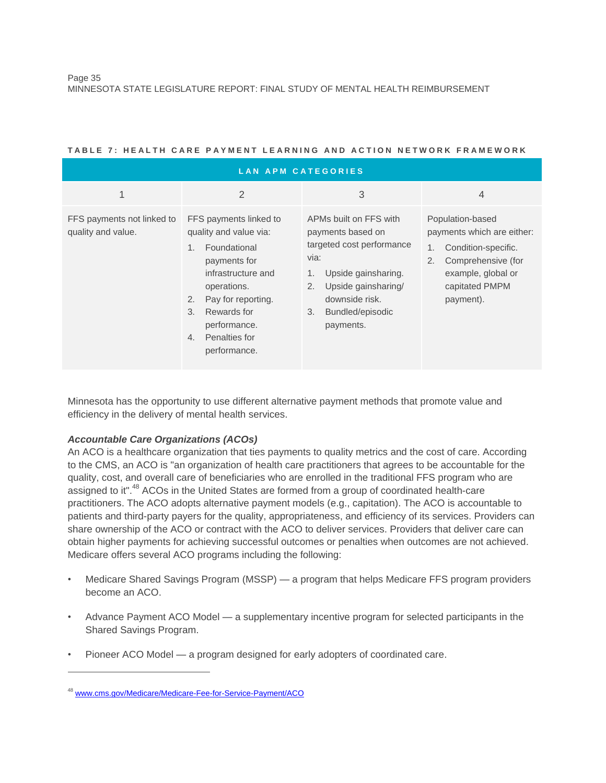| <b>LAN APM CATEGORIES</b>                        |                                                                                                                                                                                                                                                  |                                                                                                                                                                                                     |                                                                                                                                                        |  |  |
|--------------------------------------------------|--------------------------------------------------------------------------------------------------------------------------------------------------------------------------------------------------------------------------------------------------|-----------------------------------------------------------------------------------------------------------------------------------------------------------------------------------------------------|--------------------------------------------------------------------------------------------------------------------------------------------------------|--|--|
| 1                                                | $\overline{2}$                                                                                                                                                                                                                                   | 3                                                                                                                                                                                                   | $\overline{4}$                                                                                                                                         |  |  |
| FFS payments not linked to<br>quality and value. | FFS payments linked to<br>quality and value via:<br>Foundational<br>1.<br>payments for<br>infrastructure and<br>operations.<br>Pay for reporting.<br>2.<br>Rewards for<br>$\mathcal{B}$ .<br>performance.<br>Penalties for<br>4.<br>performance. | APMs built on FFS with<br>payments based on<br>targeted cost performance<br>via:<br>Upside gainsharing.<br>1.<br>Upside gainsharing/<br>2.<br>downside risk.<br>Bundled/episodic<br>3.<br>payments. | Population-based<br>payments which are either:<br>Condition-specific.<br>Comprehensive (for<br>2.<br>example, global or<br>capitated PMPM<br>payment). |  |  |

#### **T A B L E 7 : H E A L T H C A R E P A Y M E N T L E A R N I N G A N D A C T I O N N E T W O R K F R A M E W O R K**

Minnesota has the opportunity to use different alternative payment methods that promote value and efficiency in the delivery of mental health services.

# *Accountable Care Organizations (ACOs)*

An ACO is a healthcare organization that ties payments to quality metrics and the cost of care. According to the CMS, an ACO is "an organization of health care practitioners that agrees to be accountable for the quality, cost, and overall care of beneficiaries who are enrolled in the traditional FFS program who are assigned to it".<sup>48</sup> ACOs in the United States are formed from a group of coordinated health-care practitioners. The ACO adopts alternative payment models (e.g., capitation). The ACO is accountable to patients and third-party payers for the quality, appropriateness, and efficiency of its services. Providers can share ownership of the ACO or contract with the ACO to deliver services. Providers that deliver care can obtain higher payments for achieving successful outcomes or penalties when outcomes are not achieved. Medicare offers several ACO programs including the following:

- Medicare Shared Savings Program (MSSP) a program that helps Medicare FFS program providers become an ACO.
- Advance Payment ACO Model a supplementary incentive program for selected participants in the Shared Savings Program.
- Pioneer ACO Model a program designed for early adopters of coordinated care.

<sup>48</sup> [www.cms.gov/Medicare/Medicare-Fee-for-Service-Payment/ACO](file:///C:/Users/brenda-d-jackson/AppData/Local/Microsoft/Windows/Temporary%20Internet%20Files/Content.Outlook/837X2PMZ/www.cms.gov/Medicare/Medicare-Fee-for-Service-Payment/ACO)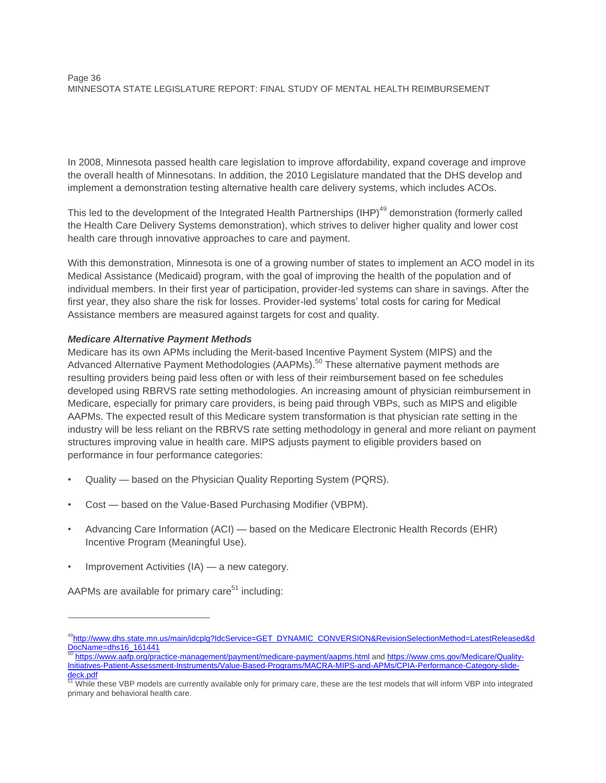In 2008, Minnesota passed health care legislation to improve affordability, expand coverage and improve the overall health of Minnesotans. In addition, the 2010 Legislature mandated that the DHS develop and implement a demonstration testing alternative health care delivery systems, which includes ACOs.

This led to the development of the Integrated Health Partnerships (IHP)<sup>49</sup> demonstration (formerly called the Health Care Delivery Systems demonstration), which strives to deliver higher quality and lower cost health care through innovative approaches to care and payment.

With this demonstration, Minnesota is one of a growing number of states to implement an ACO model in its Medical Assistance (Medicaid) program, with the goal of improving the health of the population and of individual members. In their first year of participation, provider-led systems can share in savings. After the first year, they also share the risk for losses. Provider-led systems' total costs for caring for Medical Assistance members are measured against targets for cost and quality.

# *Medicare Alternative Payment Methods*

Medicare has its own APMs including the Merit-based Incentive Payment System (MIPS) and the Advanced Alternative Payment Methodologies (AAPMs).<sup>50</sup> These alternative payment methods are resulting providers being paid less often or with less of their reimbursement based on fee schedules developed using RBRVS rate setting methodologies. An increasing amount of physician reimbursement in Medicare, especially for primary care providers, is being paid through VBPs, such as MIPS and eligible AAPMs. The expected result of this Medicare system transformation is that physician rate setting in the industry will be less reliant on the RBRVS rate setting methodology in general and more reliant on payment structures improving value in health care. MIPS adjusts payment to eligible providers based on performance in four performance categories:

- Quality based on the Physician Quality Reporting System (PQRS).
- Cost based on the Value-Based Purchasing Modifier (VBPM).
- Advancing Care Information (ACI) based on the Medicare Electronic Health Records (EHR) Incentive Program (Meaningful Use).
- Improvement Activities (IA) a new category.

AAPMs are available for primary care<sup>51</sup> including:

<sup>&</sup>lt;sup>49</sup>[http://www.dhs.state.mn.us/main/idcplg?IdcService=GET\\_DYNAMIC\\_CONVERSION&RevisionSelectionMethod=LatestReleased&d](http://www.dhs.state.mn.us/main/idcplg?IdcService=GET_DYNAMIC_CONVERSION&RevisionSelectionMethod=LatestReleased&dDocName=dhs16_161441) [DocName=dhs16\\_161441](http://www.dhs.state.mn.us/main/idcplg?IdcService=GET_DYNAMIC_CONVERSION&RevisionSelectionMethod=LatestReleased&dDocName=dhs16_161441) <sup>50</sup> <https://www.aafp.org/practice-management/payment/medicare-payment/aapms.html> an[d https://www.cms.gov/Medicare/Quality-](https://www.cms.gov/Medicare/Quality-Initiatives-Patient-Assessment-Instruments/Value-Based-Programs/MACRA-MIPS-and-APMs/CPIA-Performance-Category-slide-deck.pdf)

[Initiatives-Patient-Assessment-Instruments/Value-Based-Programs/MACRA-MIPS-and-APMs/CPIA-Performance-Category-slide](https://www.cms.gov/Medicare/Quality-Initiatives-Patient-Assessment-Instruments/Value-Based-Programs/MACRA-MIPS-and-APMs/CPIA-Performance-Category-slide-deck.pdf)[deck.pdf](https://www.cms.gov/Medicare/Quality-Initiatives-Patient-Assessment-Instruments/Value-Based-Programs/MACRA-MIPS-and-APMs/CPIA-Performance-Category-slide-deck.pdf)<br><sup>51</sup> While

While these VBP models are currently available only for primary care, these are the test models that will inform VBP into integrated primary and behavioral health care.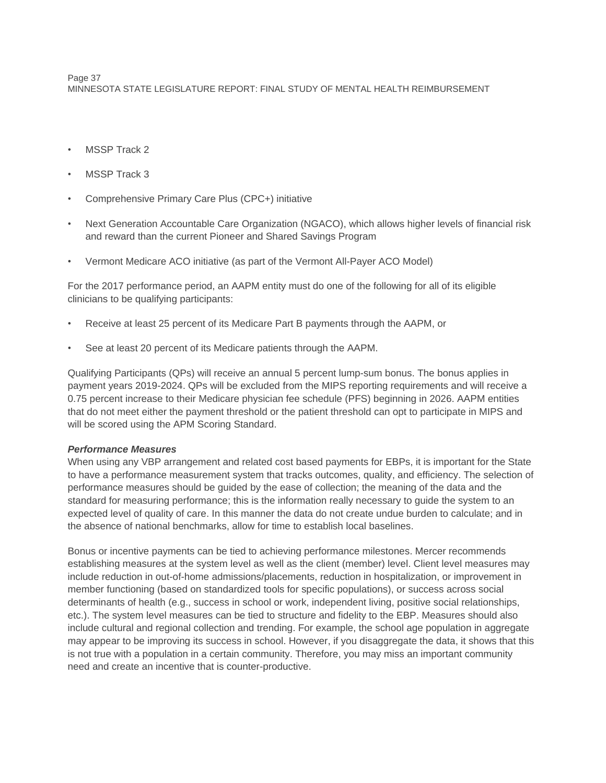Page 37 MINNESOTA STATE LEGISLATURE REPORT: FINAL STUDY OF MENTAL HEALTH REIMBURSEMENT

- MSSP Track 2
- MSSP Track 3
- Comprehensive Primary Care Plus (CPC+) initiative
- Next Generation Accountable Care Organization (NGACO), which allows higher levels of financial risk and reward than the current Pioneer and Shared Savings Program
- Vermont Medicare ACO initiative (as part of the Vermont All-Payer ACO Model)

For the 2017 performance period, an AAPM entity must do one of the following for all of its eligible clinicians to be qualifying participants:

- Receive at least 25 percent of its Medicare Part B payments through the AAPM, or
- See at least 20 percent of its Medicare patients through the AAPM.

Qualifying Participants (QPs) will receive an annual 5 percent lump-sum bonus. The bonus applies in payment years 2019-2024. QPs will be excluded from the MIPS reporting requirements and will receive a 0.75 percent increase to their Medicare physician fee schedule (PFS) beginning in 2026. AAPM entities that do not meet either the payment threshold or the patient threshold can opt to participate in MIPS and will be scored using the APM Scoring Standard.

# *Performance Measures*

When using any VBP arrangement and related cost based payments for EBPs, it is important for the State to have a performance measurement system that tracks outcomes, quality, and efficiency. The selection of performance measures should be guided by the ease of collection; the meaning of the data and the standard for measuring performance; this is the information really necessary to guide the system to an expected level of quality of care. In this manner the data do not create undue burden to calculate; and in the absence of national benchmarks, allow for time to establish local baselines.

Bonus or incentive payments can be tied to achieving performance milestones. Mercer recommends establishing measures at the system level as well as the client (member) level. Client level measures may include reduction in out-of-home admissions/placements, reduction in hospitalization, or improvement in member functioning (based on standardized tools for specific populations), or success across social determinants of health (e.g., success in school or work, independent living, positive social relationships, etc.). The system level measures can be tied to structure and fidelity to the EBP. Measures should also include cultural and regional collection and trending. For example, the school age population in aggregate may appear to be improving its success in school. However, if you disaggregate the data, it shows that this is not true with a population in a certain community. Therefore, you may miss an important community need and create an incentive that is counter-productive.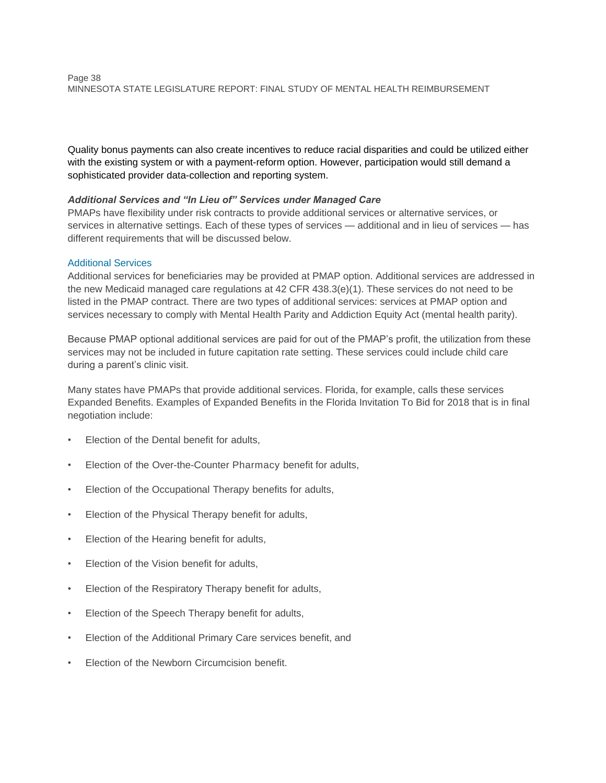Quality bonus payments can also create incentives to reduce racial disparities and could be utilized either with the existing system or with a payment-reform option. However, participation would still demand a sophisticated provider data-collection and reporting system.

# *Additional Services and "In Lieu of" Services under Managed Care*

PMAPs have flexibility under risk contracts to provide additional services or alternative services, or services in alternative settings. Each of these types of services — additional and in lieu of services — has different requirements that will be discussed below.

# Additional Services

Additional services for beneficiaries may be provided at PMAP option. Additional services are addressed in the new Medicaid managed care regulations at 42 CFR 438.3(e)(1). These services do not need to be listed in the PMAP contract. There are two types of additional services: services at PMAP option and services necessary to comply with Mental Health Parity and Addiction Equity Act (mental health parity).

Because PMAP optional additional services are paid for out of the PMAP's profit, the utilization from these services may not be included in future capitation rate setting. These services could include child care during a parent's clinic visit.

Many states have PMAPs that provide additional services. Florida, for example, calls these services Expanded Benefits. Examples of Expanded Benefits in the Florida Invitation To Bid for 2018 that is in final negotiation include:

- Election of the Dental benefit for adults,
- Election of the Over-the-Counter Pharmacy benefit for adults,
- Election of the Occupational Therapy benefits for adults,
- Election of the Physical Therapy benefit for adults,
- Election of the Hearing benefit for adults,
- Election of the Vision benefit for adults,
- Election of the Respiratory Therapy benefit for adults,
- Election of the Speech Therapy benefit for adults,
- Election of the Additional Primary Care services benefit, and
- Election of the Newborn Circumcision benefit.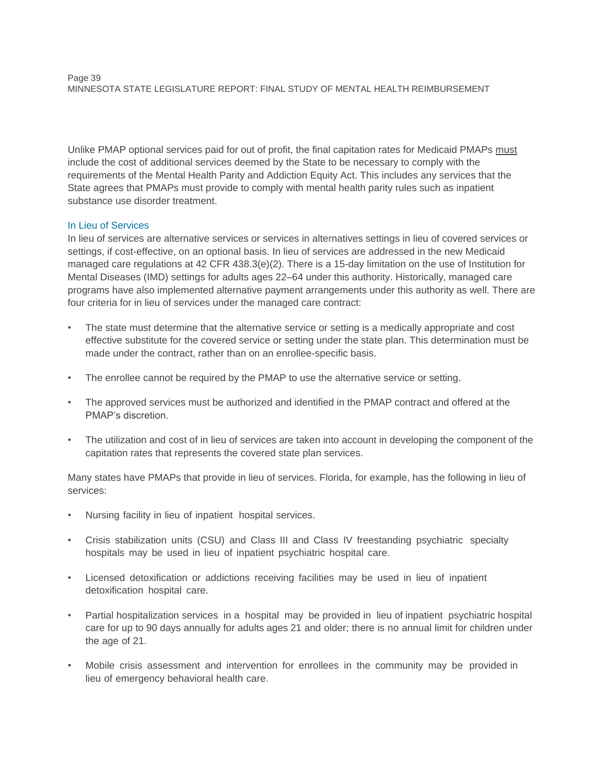Unlike PMAP optional services paid for out of profit, the final capitation rates for Medicaid PMAPs must include the cost of additional services deemed by the State to be necessary to comply with the requirements of the Mental Health Parity and Addiction Equity Act. This includes any services that the State agrees that PMAPs must provide to comply with mental health parity rules such as inpatient substance use disorder treatment.

# In Lieu of Services

In lieu of services are alternative services or services in alternatives settings in lieu of covered services or settings, if cost-effective, on an optional basis. In lieu of services are addressed in the new Medicaid managed care regulations at 42 CFR 438.3(e)(2). There is a 15-day limitation on the use of Institution for Mental Diseases (IMD) settings for adults ages 22–64 under this authority. Historically, managed care programs have also implemented alternative payment arrangements under this authority as well. There are four criteria for in lieu of services under the managed care contract:

- The state must determine that the alternative service or setting is a medically appropriate and cost effective substitute for the covered service or setting under the state plan. This determination must be made under the contract, rather than on an enrollee-specific basis.
- The enrollee cannot be required by the PMAP to use the alternative service or setting.
- The approved services must be authorized and identified in the PMAP contract and offered at the PMAP's discretion.
- The utilization and cost of in lieu of services are taken into account in developing the component of the capitation rates that represents the covered state plan services.

Many states have PMAPs that provide in lieu of services. Florida, for example, has the following in lieu of services:

- Nursing facility in lieu of inpatient hospital services.
- Crisis stabilization units (CSU) and Class III and Class IV freestanding psychiatric specialty hospitals may be used in lieu of inpatient psychiatric hospital care.
- Licensed detoxification or addictions receiving facilities may be used in lieu of inpatient detoxification hospital care.
- Partial hospitalization services in a hospital may be provided in lieu of inpatient psychiatric hospital care for up to 90 days annually for adults ages 21 and older; there is no annual limit for children under the age of 21.
- Mobile crisis assessment and intervention for enrollees in the community may be provided in lieu of emergency behavioral health care.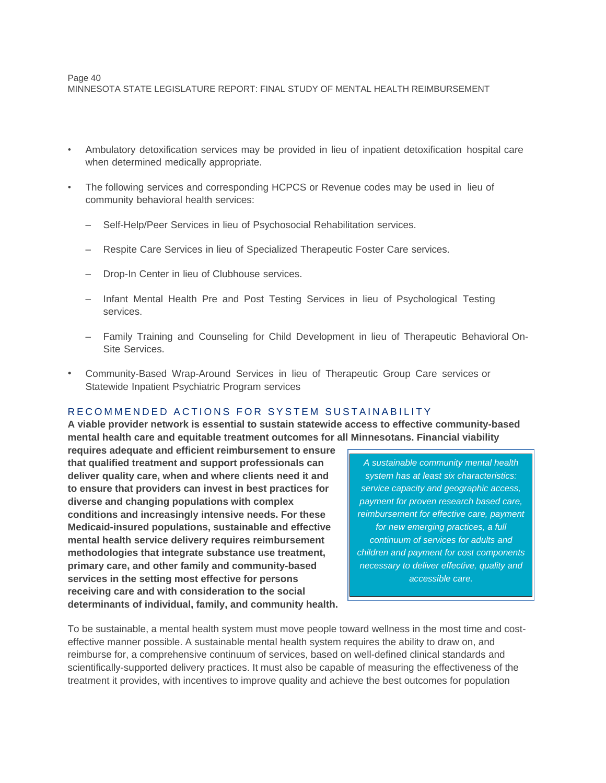#### Page 40 MINNESOTA STATE LEGISLATURE REPORT: FINAL STUDY OF MENTAL HEALTH REIMBURSEMENT

- Ambulatory detoxification services may be provided in lieu of inpatient detoxification hospital care when determined medically appropriate.
- The following services and corresponding HCPCS or Revenue codes may be used in lieu of community behavioral health services:
	- Self-Help/Peer Services in lieu of Psychosocial Rehabilitation services.
	- Respite Care Services in lieu of Specialized Therapeutic Foster Care services.
	- Drop-In Center in lieu of Clubhouse services.
	- Infant Mental Health Pre and Post Testing Services in lieu of Psychological Testing services.
	- Family Training and Counseling for Child Development in lieu of Therapeutic Behavioral On-Site Services.
- Community-Based Wrap-Around Services in lieu of Therapeutic Group Care services or Statewide Inpatient Psychiatric Program services

#### RECOMMENDED ACTIONS FOR SYSTEM SUSTAINABILITY

**A viable provider network is essential to sustain statewide access to effective community-based mental health care and equitable treatment outcomes for all Minnesotans. Financial viability** 

**requires adequate and efficient reimbursement to ensure that qualified treatment and support professionals can deliver quality care, when and where clients need it and to ensure that providers can invest in best practices for diverse and changing populations with complex conditions and increasingly intensive needs. For these Medicaid-insured populations, sustainable and effective mental health service delivery requires reimbursement methodologies that integrate substance use treatment, primary care, and other family and community-based services in the setting most effective for persons receiving care and with consideration to the social determinants of individual, family, and community health.**

*A sustainable community mental health system has at least six characteristics: service capacity and geographic access, payment for proven research based care, reimbursement for effective care, payment for new emerging practices, a full continuum of services for adults and children and payment for cost components necessary to deliver effective, quality and accessible care.*

To be sustainable, a mental health system must move people toward wellness in the most time and costeffective manner possible. A sustainable mental health system requires the ability to draw on, and reimburse for, a comprehensive continuum of services, based on well-defined clinical standards and scientifically-supported delivery practices. It must also be capable of measuring the effectiveness of the treatment it provides, with incentives to improve quality and achieve the best outcomes for population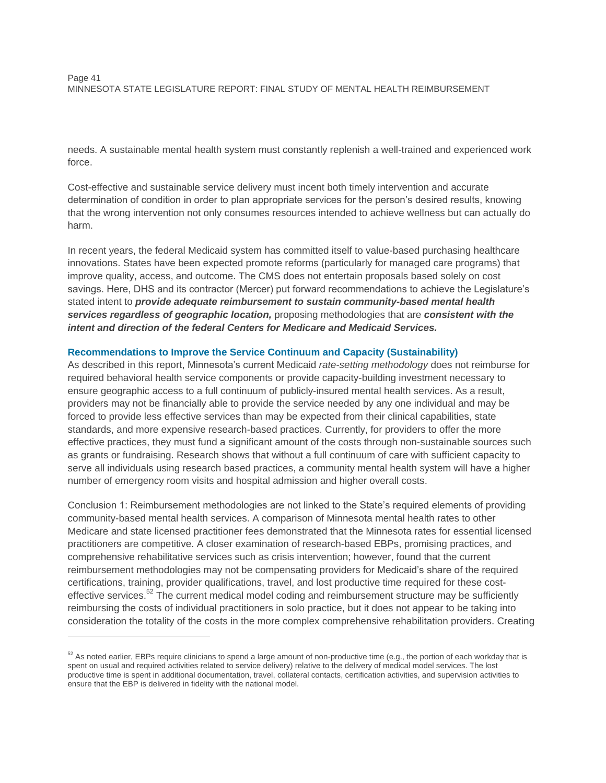needs. A sustainable mental health system must constantly replenish a well-trained and experienced work force.

Cost-effective and sustainable service delivery must incent both timely intervention and accurate determination of condition in order to plan appropriate services for the person's desired results, knowing that the wrong intervention not only consumes resources intended to achieve wellness but can actually do harm.

In recent years, the federal Medicaid system has committed itself to value-based purchasing healthcare innovations. States have been expected promote reforms (particularly for managed care programs) that improve quality, access, and outcome. The CMS does not entertain proposals based solely on cost savings. Here, DHS and its contractor (Mercer) put forward recommendations to achieve the Legislature's stated intent to *provide adequate reimbursement to sustain community-based mental health services regardless of geographic location,* proposing methodologies that are *consistent with the intent and direction of the federal Centers for Medicare and Medicaid Services.*

# **Recommendations to Improve the Service Continuum and Capacity (Sustainability)**

As described in this report, Minnesota's current Medicaid *rate-setting methodology* does not reimburse for required behavioral health service components or provide capacity-building investment necessary to ensure geographic access to a full continuum of publicly-insured mental health services. As a result, providers may not be financially able to provide the service needed by any one individual and may be forced to provide less effective services than may be expected from their clinical capabilities, state standards, and more expensive research-based practices. Currently, for providers to offer the more effective practices, they must fund a significant amount of the costs through non-sustainable sources such as grants or fundraising. Research shows that without a full continuum of care with sufficient capacity to serve all individuals using research based practices, a community mental health system will have a higher number of emergency room visits and hospital admission and higher overall costs.

Conclusion 1: Reimbursement methodologies are not linked to the State's required elements of providing community-based mental health services. A comparison of Minnesota mental health rates to other Medicare and state licensed practitioner fees demonstrated that the Minnesota rates for essential licensed practitioners are competitive. A closer examination of research-based EBPs, promising practices, and comprehensive rehabilitative services such as crisis intervention; however, found that the current reimbursement methodologies may not be compensating providers for Medicaid's share of the required certifications, training, provider qualifications, travel, and lost productive time required for these costeffective services.<sup>52</sup> The current medical model coding and reimbursement structure may be sufficiently reimbursing the costs of individual practitioners in solo practice, but it does not appear to be taking into consideration the totality of the costs in the more complex comprehensive rehabilitation providers. Creating

 $52$  As noted earlier, EBPs require clinicians to spend a large amount of non-productive time (e.g., the portion of each workday that is spent on usual and required activities related to service delivery) relative to the delivery of medical model services. The lost productive time is spent in additional documentation, travel, collateral contacts, certification activities, and supervision activities to ensure that the EBP is delivered in fidelity with the national model.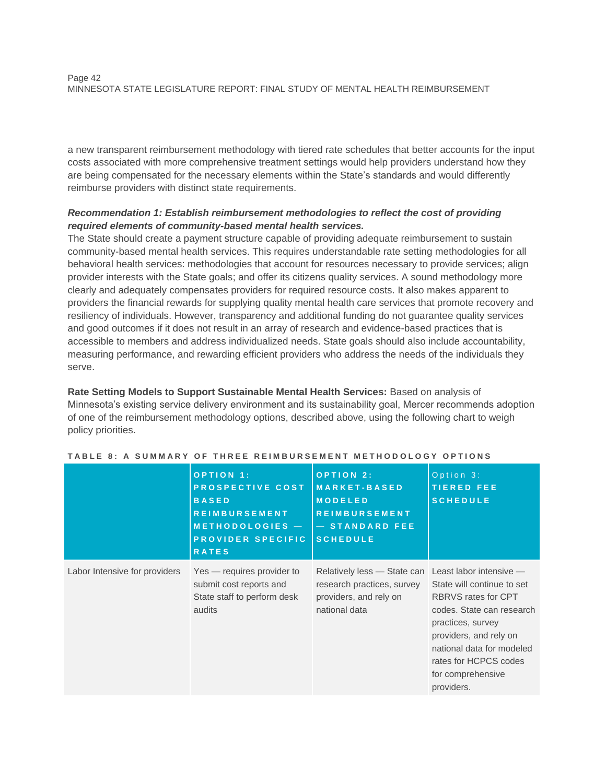a new transparent reimbursement methodology with tiered rate schedules that better accounts for the input costs associated with more comprehensive treatment settings would help providers understand how they are being compensated for the necessary elements within the State's standards and would differently reimburse providers with distinct state requirements.

# *Recommendation 1: Establish reimbursement methodologies to reflect the cost of providing required elements of community-based mental health services.*

The State should create a payment structure capable of providing adequate reimbursement to sustain community-based mental health services. This requires understandable rate setting methodologies for all behavioral health services: methodologies that account for resources necessary to provide services; align provider interests with the State goals; and offer its citizens quality services. A sound methodology more clearly and adequately compensates providers for required resource costs. It also makes apparent to providers the financial rewards for supplying quality mental health care services that promote recovery and resiliency of individuals. However, transparency and additional funding do not guarantee quality services and good outcomes if it does not result in an array of research and evidence-based practices that is accessible to members and address individualized needs. State goals should also include accountability, measuring performance, and rewarding efficient providers who address the needs of the individuals they serve.

**Rate Setting Models to Support Sustainable Mental Health Services:** Based on analysis of Minnesota's existing service delivery environment and its sustainability goal, Mercer recommends adoption of one of the reimbursement methodology options, described above, using the following chart to weigh policy priorities.

|                               | OPTION 1:<br>PROSPECTIVE COST<br><b>BASED</b><br><b>REIMBURSEMENT</b><br>METHODOLOGIES -<br>PROVIDER SPECIFIC<br><b>RATES</b> | <b>OPTION 2:</b><br><b>MARKET-BASED</b><br><b>MODELED</b><br><b>REIMBURSEMENT</b><br>- STANDARD FEE<br><b>SCHEDULE</b>       | Option 3:<br><b>TIERED FEE</b><br><b>SCHEDULE</b>                                                                                                                                                                             |
|-------------------------------|-------------------------------------------------------------------------------------------------------------------------------|------------------------------------------------------------------------------------------------------------------------------|-------------------------------------------------------------------------------------------------------------------------------------------------------------------------------------------------------------------------------|
| Labor Intensive for providers | Yes — requires provider to<br>submit cost reports and<br>State staff to perform desk<br>audits                                | Relatively less - State can Least labor intensive -<br>research practices, survey<br>providers, and rely on<br>national data | State will continue to set<br><b>RBRVS</b> rates for CPT<br>codes. State can research<br>practices, survey<br>providers, and rely on<br>national data for modeled<br>rates for HCPCS codes<br>for comprehensive<br>providers. |

| TABLE 8: A SUMMARY OF THREE REIMBURSEMENT METHODOLOGY OPTIONS |  |  |  |  |
|---------------------------------------------------------------|--|--|--|--|
|---------------------------------------------------------------|--|--|--|--|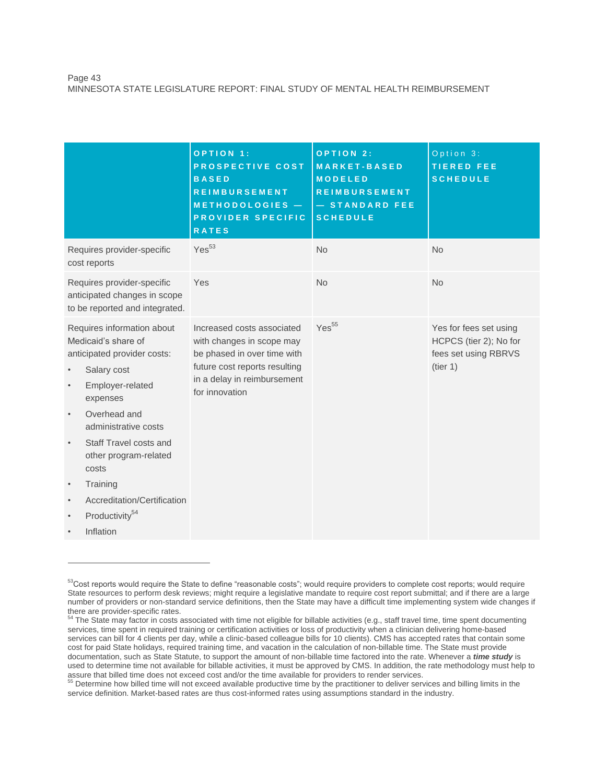|                                                                                                                                                                                                                                                                                                                                                                                                                                   | OPTION 1:<br>PROSPECTIVE COST<br><b>BASED</b><br><b>REIMBURSEMENT</b><br>METHODOLOGIES -<br>PROVIDER SPECIFIC<br><b>RATES</b>                                            | OPTION 2:<br><b>MARKET-BASED</b><br><b>MODELED</b><br><b>REIMBURSEMENT</b><br>- STANDARD FEE<br><b>SCHEDULE</b> | Option 3:<br><b>TIERED FEE</b><br><b>SCHEDULE</b>                                    |
|-----------------------------------------------------------------------------------------------------------------------------------------------------------------------------------------------------------------------------------------------------------------------------------------------------------------------------------------------------------------------------------------------------------------------------------|--------------------------------------------------------------------------------------------------------------------------------------------------------------------------|-----------------------------------------------------------------------------------------------------------------|--------------------------------------------------------------------------------------|
| Requires provider-specific<br>cost reports                                                                                                                                                                                                                                                                                                                                                                                        | Yes <sup>53</sup>                                                                                                                                                        | <b>No</b>                                                                                                       | <b>No</b>                                                                            |
| Requires provider-specific<br>anticipated changes in scope<br>to be reported and integrated.                                                                                                                                                                                                                                                                                                                                      | Yes                                                                                                                                                                      | <b>No</b>                                                                                                       | <b>No</b>                                                                            |
| Requires information about<br>Medicaid's share of<br>anticipated provider costs:<br>Salary cost<br>$\bullet$<br>Employer-related<br>$\bullet$<br>expenses<br>Overhead and<br>$\bullet$<br>administrative costs<br>Staff Travel costs and<br>$\bullet$<br>other program-related<br>costs<br>Training<br>$\bullet$<br>Accreditation/Certification<br>$\bullet$<br>Productivity <sup>54</sup><br>$\bullet$<br>Inflation<br>$\bullet$ | Increased costs associated<br>with changes in scope may<br>be phased in over time with<br>future cost reports resulting<br>in a delay in reimbursement<br>for innovation | Yes <sup>55</sup>                                                                                               | Yes for fees set using<br>HCPCS (tier 2); No for<br>fees set using RBRVS<br>(tier 1) |

<sup>&</sup>lt;sup>53</sup>Cost reports would require the State to define "reasonable costs"; would require providers to complete cost reports; would require State resources to perform desk reviews; might require a legislative mandate to require cost report submittal; and if there are a large number of providers or non-standard service definitions, then the State may have a difficult time implementing system wide changes if there are provider-specific rates.

<sup>&</sup>lt;sup>54</sup> The State may factor in costs associated with time not eligible for billable activities (e.g., staff travel time, time spent documenting services, time spent in required training or certification activities or loss of productivity when a clinician delivering home-based services can bill for 4 clients per day, while a clinic-based colleague bills for 10 clients). CMS has accepted rates that contain some cost for paid State holidays, required training time, and vacation in the calculation of non-billable time. The State must provide documentation, such as State Statute, to support the amount of non-billable time factored into the rate. Whenever a *time study* is used to determine time not available for billable activities, it must be approved by CMS. In addition, the rate methodology must help to assure that billed time does not exceed cost and/or the time available for providers to render services.<br><sup>55</sup> Determine how billed time will not overead systems to the time available for providers to render services.

Determine how billed time will not exceed available productive time by the practitioner to deliver services and billing limits in the service definition. Market-based rates are thus cost-informed rates using assumptions standard in the industry.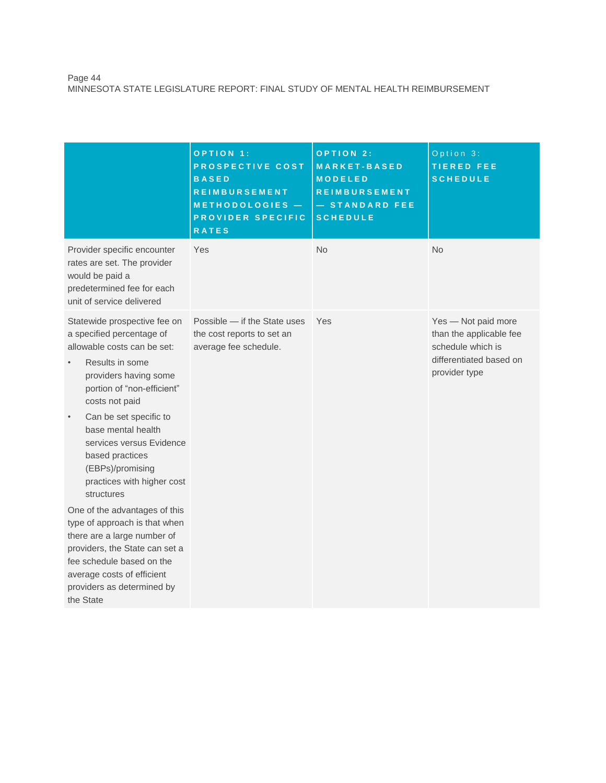#### Page 44 MINNESOTA STATE LEGISLATURE REPORT: FINAL STUDY OF MENTAL HEALTH REIMBURSEMENT

|                                                                                                                                                                                                                                                                                                                                                                  | <b>OPTION 1:</b><br>PROSPECTIVE COST<br><b>BASED</b><br><b>REIMBURSEMENT</b><br>METHODOLOGIES -<br>PROVIDER SPECIFIC<br><b>RATES</b> | OPTION 2:<br><b>MARKET-BASED</b><br><b>MODELED</b><br><b>REIMBURSEMENT</b><br>- STANDARD FEE<br><b>SCHEDULE</b> | Option 3:<br><b>TIERED FEE</b><br><b>SCHEDULE</b>                                                               |
|------------------------------------------------------------------------------------------------------------------------------------------------------------------------------------------------------------------------------------------------------------------------------------------------------------------------------------------------------------------|--------------------------------------------------------------------------------------------------------------------------------------|-----------------------------------------------------------------------------------------------------------------|-----------------------------------------------------------------------------------------------------------------|
| Provider specific encounter<br>rates are set. The provider<br>would be paid a<br>predetermined fee for each<br>unit of service delivered                                                                                                                                                                                                                         | Yes                                                                                                                                  | <b>No</b>                                                                                                       | <b>No</b>                                                                                                       |
| Statewide prospective fee on<br>a specified percentage of<br>allowable costs can be set:<br>Results in some<br>providers having some<br>portion of "non-efficient"<br>costs not paid<br>Can be set specific to<br>$\bullet$<br>base mental health<br>services versus Evidence<br>based practices<br>(EBPs)/promising<br>practices with higher cost<br>structures | Possible - if the State uses<br>the cost reports to set an<br>average fee schedule.                                                  | Yes                                                                                                             | Yes - Not paid more<br>than the applicable fee<br>schedule which is<br>differentiated based on<br>provider type |
| One of the advantages of this<br>type of approach is that when<br>there are a large number of<br>providers, the State can set a<br>fee schedule based on the<br>average costs of efficient<br>providers as determined by<br>the State                                                                                                                            |                                                                                                                                      |                                                                                                                 |                                                                                                                 |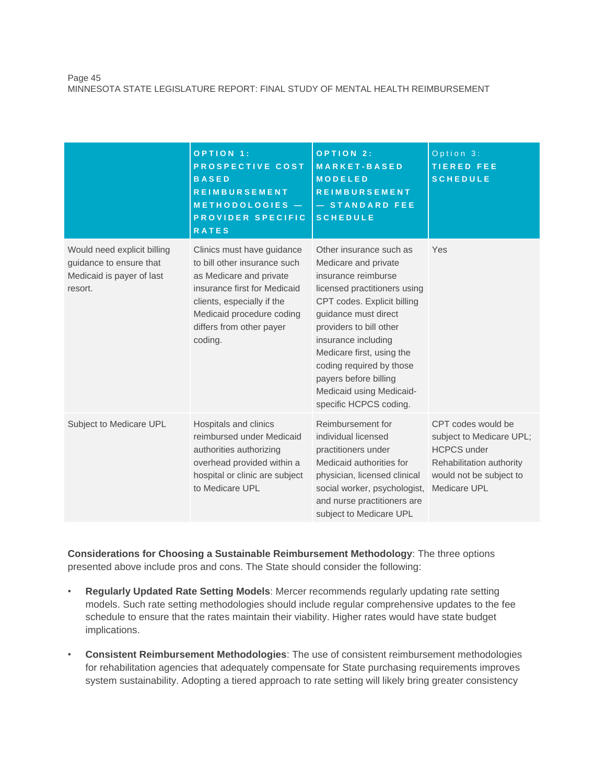#### Page 45 MINNESOTA STATE LEGISLATURE REPORT: FINAL STUDY OF MENTAL HEALTH REIMBURSEMENT

|                                                                                                | <b>OPTION 1:</b><br>PROSPECTIVE COST<br><b>BASED</b><br><b>REIMBURSEMENT</b><br>METHODOLOGIES -<br>PROVIDER SPECIFIC<br><b>RATES</b>                                                                                    | <b>OPTION 2:</b><br><b>MARKET-BASED</b><br><b>MODELED</b><br><b>REIMBURSEMENT</b><br>- STANDARD FEE<br><b>SCHEDULE</b>                                                                                                                                                                                                                                  | Option 3:<br><b>TIERED FEE</b><br><b>SCHEDULE</b>                                                                                           |
|------------------------------------------------------------------------------------------------|-------------------------------------------------------------------------------------------------------------------------------------------------------------------------------------------------------------------------|---------------------------------------------------------------------------------------------------------------------------------------------------------------------------------------------------------------------------------------------------------------------------------------------------------------------------------------------------------|---------------------------------------------------------------------------------------------------------------------------------------------|
| Would need explicit billing<br>guidance to ensure that<br>Medicaid is payer of last<br>resort. | Clinics must have guidance<br>to bill other insurance such<br>as Medicare and private<br>insurance first for Medicaid<br>clients, especially if the<br>Medicaid procedure coding<br>differs from other payer<br>coding. | Other insurance such as<br>Medicare and private<br>insurance reimburse<br>licensed practitioners using<br>CPT codes. Explicit billing<br>guidance must direct<br>providers to bill other<br>insurance including<br>Medicare first, using the<br>coding required by those<br>payers before billing<br>Medicaid using Medicaid-<br>specific HCPCS coding. | Yes                                                                                                                                         |
| Subject to Medicare UPL                                                                        | Hospitals and clinics<br>reimbursed under Medicaid<br>authorities authorizing<br>overhead provided within a<br>hospital or clinic are subject<br>to Medicare UPL                                                        | Reimbursement for<br>individual licensed<br>practitioners under<br>Medicaid authorities for<br>physician, licensed clinical<br>social worker, psychologist,<br>and nurse practitioners are<br>subject to Medicare UPL                                                                                                                                   | CPT codes would be<br>subject to Medicare UPL;<br><b>HCPCS</b> under<br>Rehabilitation authority<br>would not be subject to<br>Medicare UPL |

**Considerations for Choosing a Sustainable Reimbursement Methodology**: The three options presented above include pros and cons. The State should consider the following:

- **Regularly Updated Rate Setting Models**: Mercer recommends regularly updating rate setting models. Such rate setting methodologies should include regular comprehensive updates to the fee schedule to ensure that the rates maintain their viability. Higher rates would have state budget implications.
- **Consistent Reimbursement Methodologies**: The use of consistent reimbursement methodologies for rehabilitation agencies that adequately compensate for State purchasing requirements improves system sustainability. Adopting a tiered approach to rate setting will likely bring greater consistency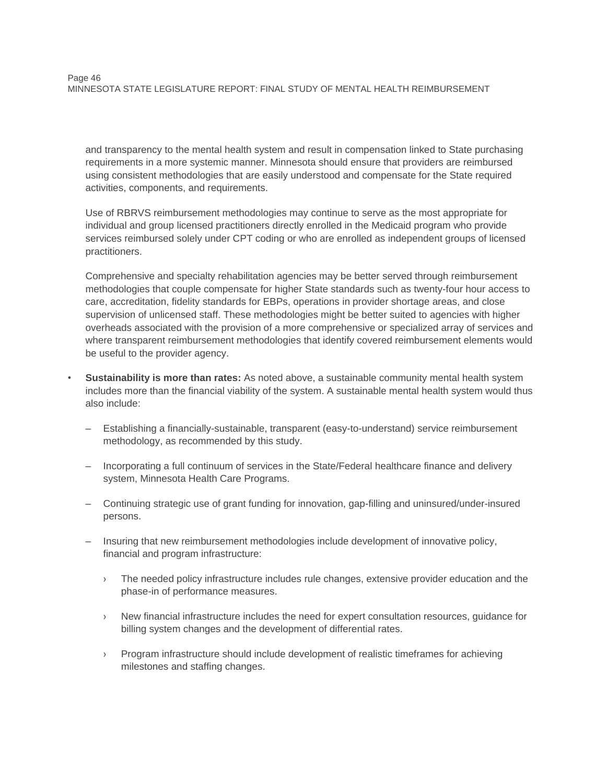and transparency to the mental health system and result in compensation linked to State purchasing requirements in a more systemic manner. Minnesota should ensure that providers are reimbursed using consistent methodologies that are easily understood and compensate for the State required activities, components, and requirements.

Use of RBRVS reimbursement methodologies may continue to serve as the most appropriate for individual and group licensed practitioners directly enrolled in the Medicaid program who provide services reimbursed solely under CPT coding or who are enrolled as independent groups of licensed practitioners.

Comprehensive and specialty rehabilitation agencies may be better served through reimbursement methodologies that couple compensate for higher State standards such as twenty-four hour access to care, accreditation, fidelity standards for EBPs, operations in provider shortage areas, and close supervision of unlicensed staff. These methodologies might be better suited to agencies with higher overheads associated with the provision of a more comprehensive or specialized array of services and where transparent reimbursement methodologies that identify covered reimbursement elements would be useful to the provider agency.

- **Sustainability is more than rates:** As noted above, a sustainable community mental health system includes more than the financial viability of the system. A sustainable mental health system would thus also include:
	- Establishing a financially-sustainable, transparent (easy-to-understand) service reimbursement methodology, as recommended by this study.
	- Incorporating a full continuum of services in the State/Federal healthcare finance and delivery system, Minnesota Health Care Programs.
	- Continuing strategic use of grant funding for innovation, gap-filling and uninsured/under-insured persons.
	- Insuring that new reimbursement methodologies include development of innovative policy, financial and program infrastructure:
		- › The needed policy infrastructure includes rule changes, extensive provider education and the phase-in of performance measures.
		- › New financial infrastructure includes the need for expert consultation resources, guidance for billing system changes and the development of differential rates.
		- › Program infrastructure should include development of realistic timeframes for achieving milestones and staffing changes.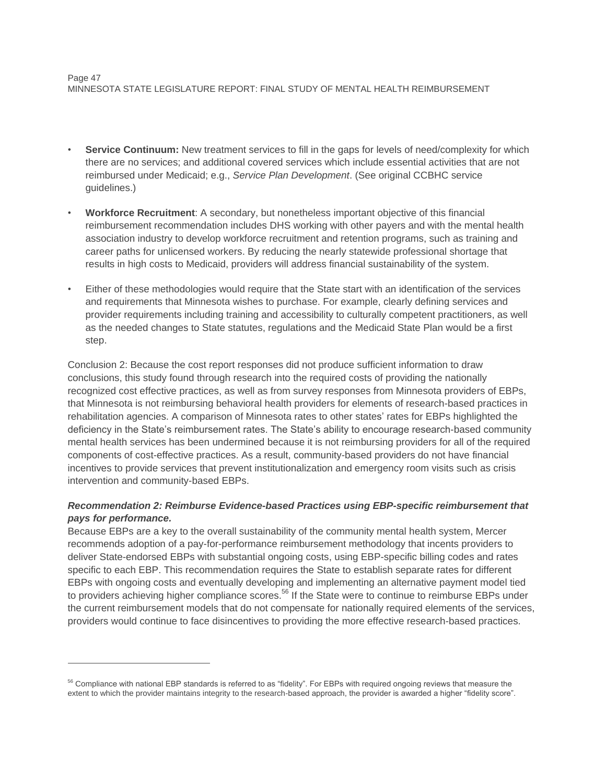#### Page 47 MINNESOTA STATE LEGISLATURE REPORT: FINAL STUDY OF MENTAL HEALTH REIMBURSEMENT

- Service Continuum: New treatment services to fill in the gaps for levels of need/complexity for which there are no services; and additional covered services which include essential activities that are not reimbursed under Medicaid; e.g., *Service Plan Development*. (See original CCBHC service guidelines.)
- **Workforce Recruitment**: A secondary, but nonetheless important objective of this financial reimbursement recommendation includes DHS working with other payers and with the mental health association industry to develop workforce recruitment and retention programs, such as training and career paths for unlicensed workers. By reducing the nearly statewide professional shortage that results in high costs to Medicaid, providers will address financial sustainability of the system.
- Either of these methodologies would require that the State start with an identification of the services and requirements that Minnesota wishes to purchase. For example, clearly defining services and provider requirements including training and accessibility to culturally competent practitioners, as well as the needed changes to State statutes, regulations and the Medicaid State Plan would be a first step.

Conclusion 2: Because the cost report responses did not produce sufficient information to draw conclusions, this study found through research into the required costs of providing the nationally recognized cost effective practices, as well as from survey responses from Minnesota providers of EBPs, that Minnesota is not reimbursing behavioral health providers for elements of research-based practices in rehabilitation agencies. A comparison of Minnesota rates to other states' rates for EBPs highlighted the deficiency in the State's reimbursement rates. The State's ability to encourage research-based community mental health services has been undermined because it is not reimbursing providers for all of the required components of cost-effective practices. As a result, community-based providers do not have financial incentives to provide services that prevent institutionalization and emergency room visits such as crisis intervention and community-based EBPs.

# *Recommendation 2: Reimburse Evidence-based Practices using EBP-specific reimbursement that pays for performance.*

Because EBPs are a key to the overall sustainability of the community mental health system, Mercer recommends adoption of a pay-for-performance reimbursement methodology that incents providers to deliver State-endorsed EBPs with substantial ongoing costs, using EBP-specific billing codes and rates specific to each EBP. This recommendation requires the State to establish separate rates for different EBPs with ongoing costs and eventually developing and implementing an alternative payment model tied to providers achieving higher compliance scores.<sup>56</sup> If the State were to continue to reimburse EBPs under the current reimbursement models that do not compensate for nationally required elements of the services, providers would continue to face disincentives to providing the more effective research-based practices.

<sup>&</sup>lt;sup>56</sup> Compliance with national EBP standards is referred to as "fidelity". For EBPs with required ongoing reviews that measure the extent to which the provider maintains integrity to the research-based approach, the provider is awarded a higher "fidelity score".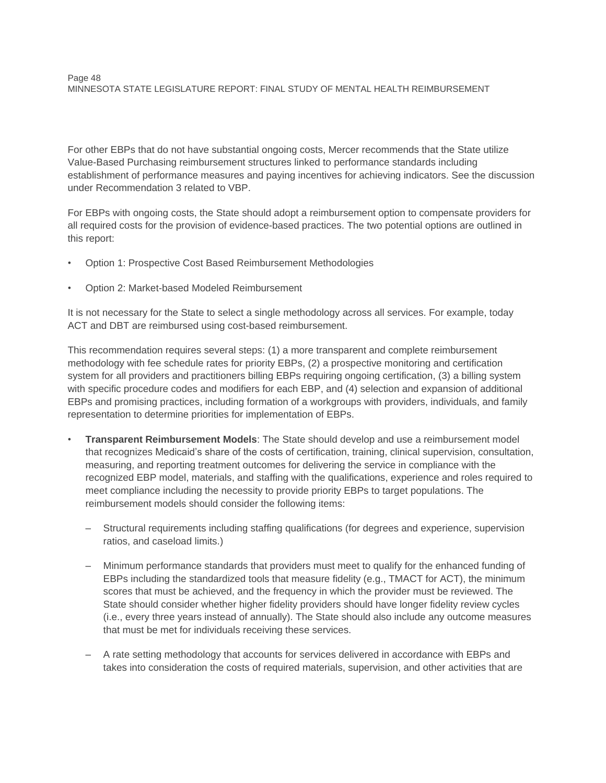For other EBPs that do not have substantial ongoing costs, Mercer recommends that the State utilize Value-Based Purchasing reimbursement structures linked to performance standards including establishment of performance measures and paying incentives for achieving indicators. See the discussion under Recommendation 3 related to VBP.

For EBPs with ongoing costs, the State should adopt a reimbursement option to compensate providers for all required costs for the provision of evidence-based practices. The two potential options are outlined in this report:

- Option 1: Prospective Cost Based Reimbursement Methodologies
- Option 2: Market-based Modeled Reimbursement

It is not necessary for the State to select a single methodology across all services. For example, today ACT and DBT are reimbursed using cost-based reimbursement.

This recommendation requires several steps: (1) a more transparent and complete reimbursement methodology with fee schedule rates for priority EBPs, (2) a prospective monitoring and certification system for all providers and practitioners billing EBPs requiring ongoing certification, (3) a billing system with specific procedure codes and modifiers for each EBP, and (4) selection and expansion of additional EBPs and promising practices, including formation of a workgroups with providers, individuals, and family representation to determine priorities for implementation of EBPs.

- **Transparent Reimbursement Models**: The State should develop and use a reimbursement model that recognizes Medicaid's share of the costs of certification, training, clinical supervision, consultation, measuring, and reporting treatment outcomes for delivering the service in compliance with the recognized EBP model, materials, and staffing with the qualifications, experience and roles required to meet compliance including the necessity to provide priority EBPs to target populations. The reimbursement models should consider the following items:
	- Structural requirements including staffing qualifications (for degrees and experience, supervision ratios, and caseload limits.)
	- Minimum performance standards that providers must meet to qualify for the enhanced funding of EBPs including the standardized tools that measure fidelity (e.g., TMACT for ACT), the minimum scores that must be achieved, and the frequency in which the provider must be reviewed. The State should consider whether higher fidelity providers should have longer fidelity review cycles (i.e., every three years instead of annually). The State should also include any outcome measures that must be met for individuals receiving these services.
	- A rate setting methodology that accounts for services delivered in accordance with EBPs and takes into consideration the costs of required materials, supervision, and other activities that are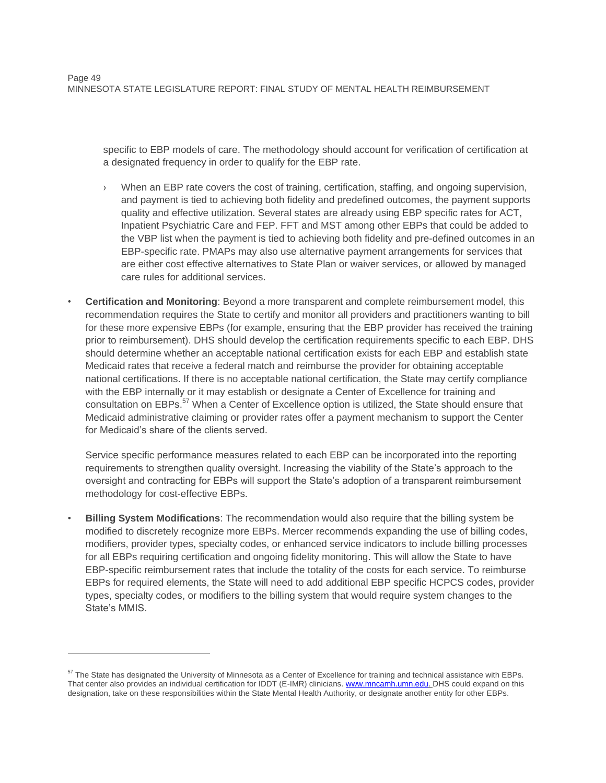specific to EBP models of care. The methodology should account for verification of certification at a designated frequency in order to qualify for the EBP rate.

- When an EBP rate covers the cost of training, certification, staffing, and ongoing supervision, and payment is tied to achieving both fidelity and predefined outcomes, the payment supports quality and effective utilization. Several states are already using EBP specific rates for ACT, Inpatient Psychiatric Care and FEP. FFT and MST among other EBPs that could be added to the VBP list when the payment is tied to achieving both fidelity and pre-defined outcomes in an EBP-specific rate. PMAPs may also use alternative payment arrangements for services that are either cost effective alternatives to State Plan or waiver services, or allowed by managed care rules for additional services.
- **Certification and Monitoring**: Beyond a more transparent and complete reimbursement model, this recommendation requires the State to certify and monitor all providers and practitioners wanting to bill for these more expensive EBPs (for example, ensuring that the EBP provider has received the training prior to reimbursement). DHS should develop the certification requirements specific to each EBP. DHS should determine whether an acceptable national certification exists for each EBP and establish state Medicaid rates that receive a federal match and reimburse the provider for obtaining acceptable national certifications. If there is no acceptable national certification, the State may certify compliance with the EBP internally or it may establish or designate a Center of Excellence for training and consultation on EBPs.<sup>57</sup> When a Center of Excellence option is utilized, the State should ensure that Medicaid administrative claiming or provider rates offer a payment mechanism to support the Center for Medicaid's share of the clients served.

Service specific performance measures related to each EBP can be incorporated into the reporting requirements to strengthen quality oversight. Increasing the viability of the State's approach to the oversight and contracting for EBPs will support the State's adoption of a transparent reimbursement methodology for cost-effective EBPs.

• **Billing System Modifications**: The recommendation would also require that the billing system be modified to discretely recognize more EBPs. Mercer recommends expanding the use of billing codes, modifiers, provider types, specialty codes, or enhanced service indicators to include billing processes for all EBPs requiring certification and ongoing fidelity monitoring. This will allow the State to have EBP-specific reimbursement rates that include the totality of the costs for each service. To reimburse EBPs for required elements, the State will need to add additional EBP specific HCPCS codes, provider types, specialty codes, or modifiers to the billing system that would require system changes to the State's MMIS.

<sup>&</sup>lt;sup>57</sup> The State has designated the University of Minnesota as a Center of Excellence for training and technical assistance with EBPs. That center also provides an individual certification for IDDT (E-IMR) clinicians[. www.mncamh.umn.edu.](http://www.mncamh.umn.edu/) DHS could expand on this designation, take on these responsibilities within the State Mental Health Authority, or designate another entity for other EBPs.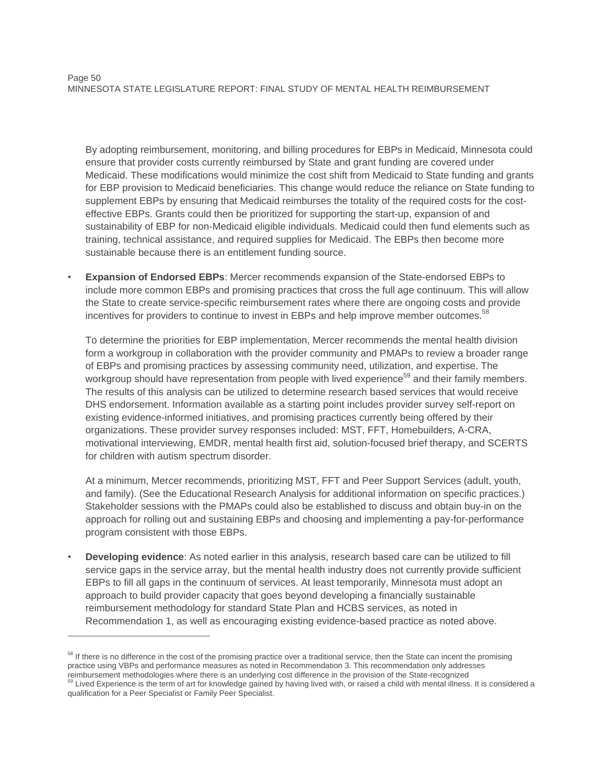By adopting reimbursement, monitoring, and billing procedures for EBPs in Medicaid, Minnesota could ensure that provider costs currently reimbursed by State and grant funding are covered under Medicaid. These modifications would minimize the cost shift from Medicaid to State funding and grants for EBP provision to Medicaid beneficiaries. This change would reduce the reliance on State funding to supplement EBPs by ensuring that Medicaid reimburses the totality of the required costs for the costeffective EBPs. Grants could then be prioritized for supporting the start-up, expansion of and sustainability of EBP for non-Medicaid eligible individuals. Medicaid could then fund elements such as training, technical assistance, and required supplies for Medicaid. The EBPs then become more sustainable because there is an entitlement funding source.

• **Expansion of Endorsed EBPs**: Mercer recommends expansion of the State-endorsed EBPs to include more common EBPs and promising practices that cross the full age continuum. This will allow the State to create service-specific reimbursement rates where there are ongoing costs and provide incentives for providers to continue to invest in EBPs and help improve member outcomes.<sup>58</sup>

To determine the priorities for EBP implementation, Mercer recommends the mental health division form a workgroup in collaboration with the provider community and PMAPs to review a broader range of EBPs and promising practices by assessing community need, utilization, and expertise. The workgroup should have representation from people with lived experience<sup>59</sup> and their family members. The results of this analysis can be utilized to determine research based services that would receive DHS endorsement. Information available as a starting point includes provider survey self-report on existing evidence-informed initiatives, and promising practices currently being offered by their organizations. These provider survey responses included: MST, FFT, Homebuilders, A-CRA, motivational interviewing, EMDR, mental health first aid, solution-focused brief therapy, and SCERTS for children with autism spectrum disorder.

At a minimum, Mercer recommends, prioritizing MST, FFT and Peer Support Services (adult, youth, and family). (See the Educational Research Analysis for additional information on specific practices.) Stakeholder sessions with the PMAPs could also be established to discuss and obtain buy-in on the approach for rolling out and sustaining EBPs and choosing and implementing a pay-for-performance program consistent with those EBPs.

• **Developing evidence**: As noted earlier in this analysis, research based care can be utilized to fill service gaps in the service array, but the mental health industry does not currently provide sufficient EBPs to fill all gaps in the continuum of services. At least temporarily, Minnesota must adopt an approach to build provider capacity that goes beyond developing a financially sustainable reimbursement methodology for standard State Plan and HCBS services, as noted in Recommendation 1, as well as encouraging existing evidence-based practice as noted above.

<sup>&</sup>lt;sup>58</sup> If there is no difference in the cost of the promising practice over a traditional service, then the State can incent the promising practice using VBPs and performance measures as noted in Recommendation 3. This recommendation only addresses reimbursement methodologies where there is an underlying cost difference in the provision of the State-recognized<br><sup>59</sup> Lived Experience is the term of at for linear details and in the state-recognized Lived Experience is the term of art for knowledge gained by having lived with, or raised a child with mental illness. It is considered a

qualification for a Peer Specialist or Family Peer Specialist.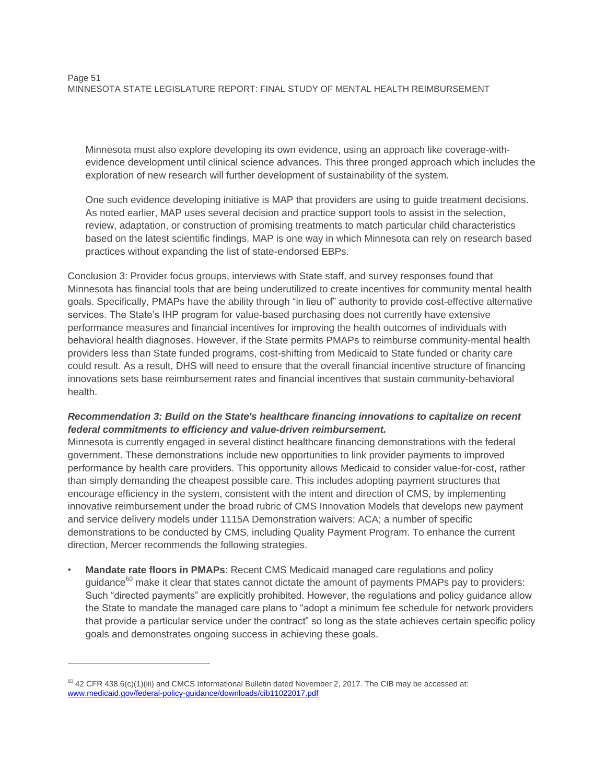Minnesota must also explore developing its own evidence, using an approach like coverage-withevidence development until clinical science advances. This three pronged approach which includes the exploration of new research will further development of sustainability of the system.

One such evidence developing initiative is MAP that providers are using to guide treatment decisions. As noted earlier, MAP uses several decision and practice support tools to assist in the selection, review, adaptation, or construction of promising treatments to match particular child characteristics based on the latest scientific findings. MAP is one way in which Minnesota can rely on research based practices without expanding the list of state-endorsed EBPs.

Conclusion 3: Provider focus groups, interviews with State staff, and survey responses found that Minnesota has financial tools that are being underutilized to create incentives for community mental health goals. Specifically, PMAPs have the ability through "in lieu of" authority to provide cost-effective alternative services. The State's IHP program for value-based purchasing does not currently have extensive performance measures and financial incentives for improving the health outcomes of individuals with behavioral health diagnoses. However, if the State permits PMAPs to reimburse community-mental health providers less than State funded programs, cost-shifting from Medicaid to State funded or charity care could result. As a result, DHS will need to ensure that the overall financial incentive structure of financing innovations sets base reimbursement rates and financial incentives that sustain community-behavioral health.

# *Recommendation 3: Build on the State's healthcare financing innovations to capitalize on recent federal commitments to efficiency and value-driven reimbursement.*

Minnesota is currently engaged in several distinct healthcare financing demonstrations with the federal government. These demonstrations include new opportunities to link provider payments to improved performance by health care providers. This opportunity allows Medicaid to consider value-for-cost, rather than simply demanding the cheapest possible care. This includes adopting payment structures that encourage efficiency in the system, consistent with the intent and direction of CMS, by implementing innovative reimbursement under the broad rubric of CMS Innovation Models that develops new payment and service delivery models under 1115A Demonstration waivers; ACA; a number of specific demonstrations to be conducted by CMS, including Quality Payment Program. To enhance the current direction, Mercer recommends the following strategies.

• **Mandate rate floors in PMAPs**: Recent CMS Medicaid managed care regulations and policy guidance<sup>60</sup> make it clear that states cannot dictate the amount of payments PMAPs pay to providers: Such "directed payments" are explicitly prohibited. However, the regulations and policy guidance allow the State to mandate the managed care plans to "adopt a minimum fee schedule for network providers that provide a particular service under the contract" so long as the state achieves certain specific policy goals and demonstrates ongoing success in achieving these goals.

 $60$  42 CFR 438.6(c)(1)(iii) and CMCS Informational Bulletin dated November 2, 2017. The CIB may be accessed at: [www.medicaid.gov/federal-policy-guidance/downloads/cib11022017.pdf](file:///C:/Users/brenda-d-jackson/AppData/Local/Microsoft/Windows/Temporary%20Internet%20Files/Content.Outlook/837X2PMZ/www.medicaid.gov/federal-policy-guidance/downloads/cib11022017.pdf)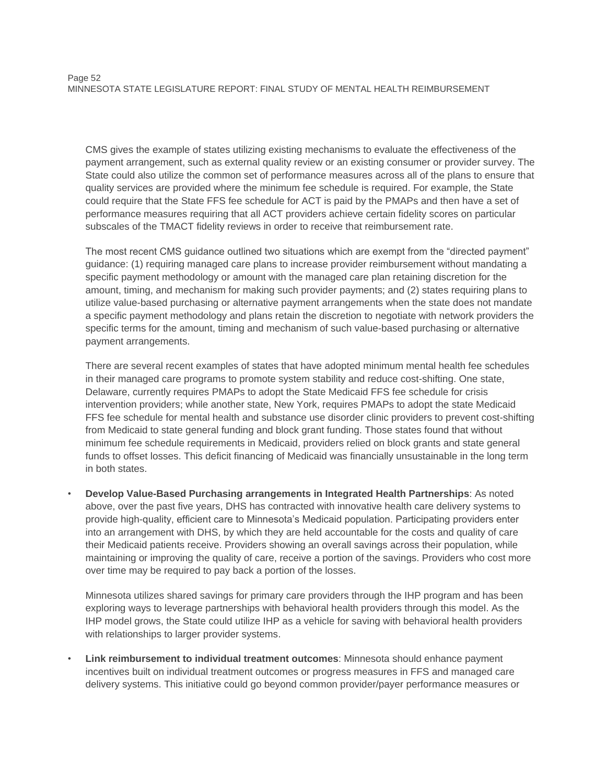CMS gives the example of states utilizing existing mechanisms to evaluate the effectiveness of the payment arrangement, such as external quality review or an existing consumer or provider survey. The State could also utilize the common set of performance measures across all of the plans to ensure that quality services are provided where the minimum fee schedule is required. For example, the State could require that the State FFS fee schedule for ACT is paid by the PMAPs and then have a set of performance measures requiring that all ACT providers achieve certain fidelity scores on particular subscales of the TMACT fidelity reviews in order to receive that reimbursement rate.

The most recent CMS guidance outlined two situations which are exempt from the "directed payment" guidance: (1) requiring managed care plans to increase provider reimbursement without mandating a specific payment methodology or amount with the managed care plan retaining discretion for the amount, timing, and mechanism for making such provider payments; and (2) states requiring plans to utilize value-based purchasing or alternative payment arrangements when the state does not mandate a specific payment methodology and plans retain the discretion to negotiate with network providers the specific terms for the amount, timing and mechanism of such value-based purchasing or alternative payment arrangements.

There are several recent examples of states that have adopted minimum mental health fee schedules in their managed care programs to promote system stability and reduce cost-shifting. One state, Delaware, currently requires PMAPs to adopt the State Medicaid FFS fee schedule for crisis intervention providers; while another state, New York, requires PMAPs to adopt the state Medicaid FFS fee schedule for mental health and substance use disorder clinic providers to prevent cost-shifting from Medicaid to state general funding and block grant funding. Those states found that without minimum fee schedule requirements in Medicaid, providers relied on block grants and state general funds to offset losses. This deficit financing of Medicaid was financially unsustainable in the long term in both states.

• **Develop Value-Based Purchasing arrangements in Integrated Health Partnerships**: As noted above, over the past five years, DHS has contracted with innovative health care delivery systems to provide high-quality, efficient care to Minnesota's Medicaid population. Participating providers enter into an arrangement with DHS, by which they are held accountable for the costs and quality of care their Medicaid patients receive. Providers showing an overall savings across their population, while maintaining or improving the quality of care, receive a portion of the savings. Providers who cost more over time may be required to pay back a portion of the losses.

Minnesota utilizes shared savings for primary care providers through the IHP program and has been exploring ways to leverage partnerships with behavioral health providers through this model. As the IHP model grows, the State could utilize IHP as a vehicle for saving with behavioral health providers with relationships to larger provider systems.

• **Link reimbursement to individual treatment outcomes**: Minnesota should enhance payment incentives built on individual treatment outcomes or progress measures in FFS and managed care delivery systems. This initiative could go beyond common provider/payer performance measures or